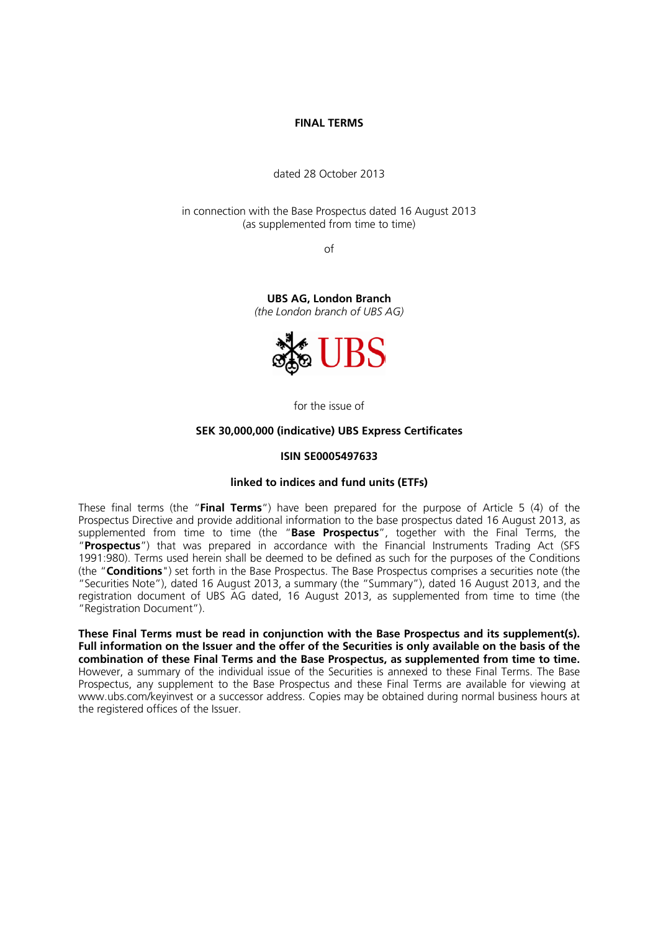### **FINAL TERMS**

dated 28 October 2013

in connection with the Base Prospectus dated 16 August 2013 (as supplemented from time to time)

of

**UBS AG, London Branch**  *(the London branch of UBS AG)*



for the issue of

### **SEK 30,000,000 (indicative) UBS Express Certificates**

#### **ISIN SE0005497633**

### **linked to indices and fund units (ETFs)**

These final terms (the "**Final Terms**") have been prepared for the purpose of Article 5 (4) of the Prospectus Directive and provide additional information to the base prospectus dated 16 August 2013, as supplemented from time to time (the "**Base Prospectus**", together with the Final Terms, the "**Prospectus**") that was prepared in accordance with the Financial Instruments Trading Act (SFS 1991:980). Terms used herein shall be deemed to be defined as such for the purposes of the Conditions (the "**Conditions**") set forth in the Base Prospectus. The Base Prospectus comprises a securities note (the "Securities Note"), dated 16 August 2013, a summary (the "Summary"), dated 16 August 2013, and the registration document of UBS AG dated, 16 August 2013, as supplemented from time to time (the "Registration Document").

**These Final Terms must be read in conjunction with the Base Prospectus and its supplement(s). Full information on the Issuer and the offer of the Securities is only available on the basis of the combination of these Final Terms and the Base Prospectus, as supplemented from time to time.** However, a summary of the individual issue of the Securities is annexed to these Final Terms. The Base Prospectus, any supplement to the Base Prospectus and these Final Terms are available for viewing at www.ubs.com/keyinvest or a successor address. Copies may be obtained during normal business hours at the registered offices of the Issuer.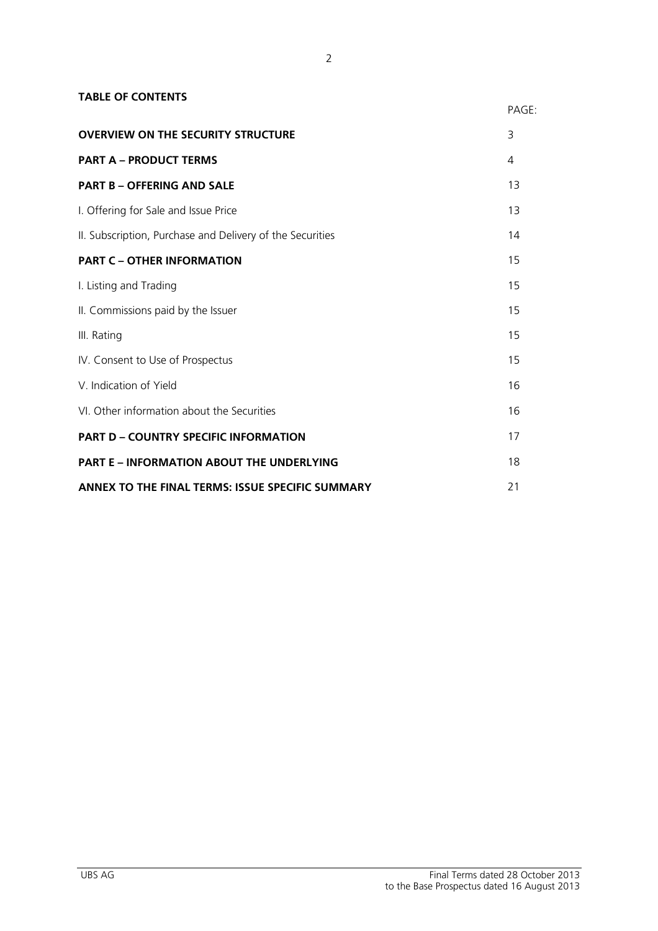| <b>TABLE OF CONTENTS</b>                                  |       |
|-----------------------------------------------------------|-------|
|                                                           | PAGE: |
| <b>OVERVIEW ON THE SECURITY STRUCTURE</b>                 | 3     |
| <b>PART A - PRODUCT TERMS</b>                             | 4     |
| <b>PART B - OFFERING AND SALE</b>                         | 13    |
| I. Offering for Sale and Issue Price                      | 13    |
| II. Subscription, Purchase and Delivery of the Securities | 14    |
| <b>PART C - OTHER INFORMATION</b>                         | 15    |
| I. Listing and Trading                                    | 15    |
| II. Commissions paid by the Issuer                        | 15    |
| III. Rating                                               | 15    |
| IV. Consent to Use of Prospectus                          | 15    |
| V. Indication of Yield                                    | 16    |
| VI. Other information about the Securities                | 16    |
| <b>PART D - COUNTRY SPECIFIC INFORMATION</b>              | 17    |
| <b>PART E - INFORMATION ABOUT THE UNDERLYING</b>          | 18    |
| ANNEX TO THE FINAL TERMS: ISSUE SPECIFIC SUMMARY          | 21    |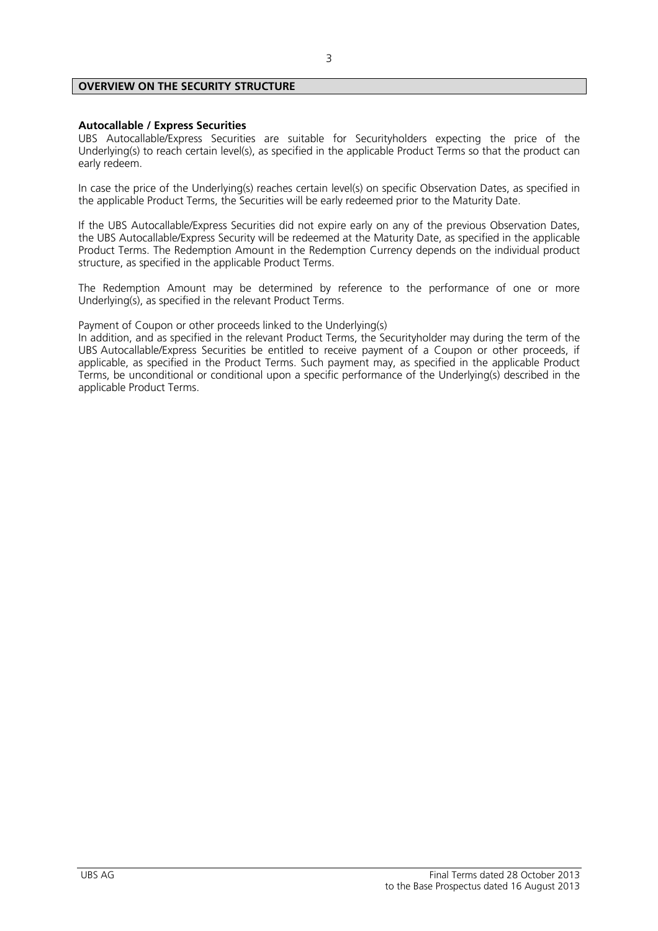### **OVERVIEW ON THE SECURITY STRUCTURE**

### **Autocallable / Express Securities**

UBS Autocallable/Express Securities are suitable for Securityholders expecting the price of the Underlying(s) to reach certain level(s), as specified in the applicable Product Terms so that the product can early redeem.

In case the price of the Underlying(s) reaches certain level(s) on specific Observation Dates, as specified in the applicable Product Terms, the Securities will be early redeemed prior to the Maturity Date.

If the UBS Autocallable/Express Securities did not expire early on any of the previous Observation Dates, the UBS Autocallable/Express Security will be redeemed at the Maturity Date, as specified in the applicable Product Terms. The Redemption Amount in the Redemption Currency depends on the individual product structure, as specified in the applicable Product Terms.

The Redemption Amount may be determined by reference to the performance of one or more Underlying(s), as specified in the relevant Product Terms.

Payment of Coupon or other proceeds linked to the Underlying(s)

In addition, and as specified in the relevant Product Terms, the Securityholder may during the term of the UBS Autocallable/Express Securities be entitled to receive payment of a Coupon or other proceeds, if applicable, as specified in the Product Terms. Such payment may, as specified in the applicable Product Terms, be unconditional or conditional upon a specific performance of the Underlying(s) described in the applicable Product Terms.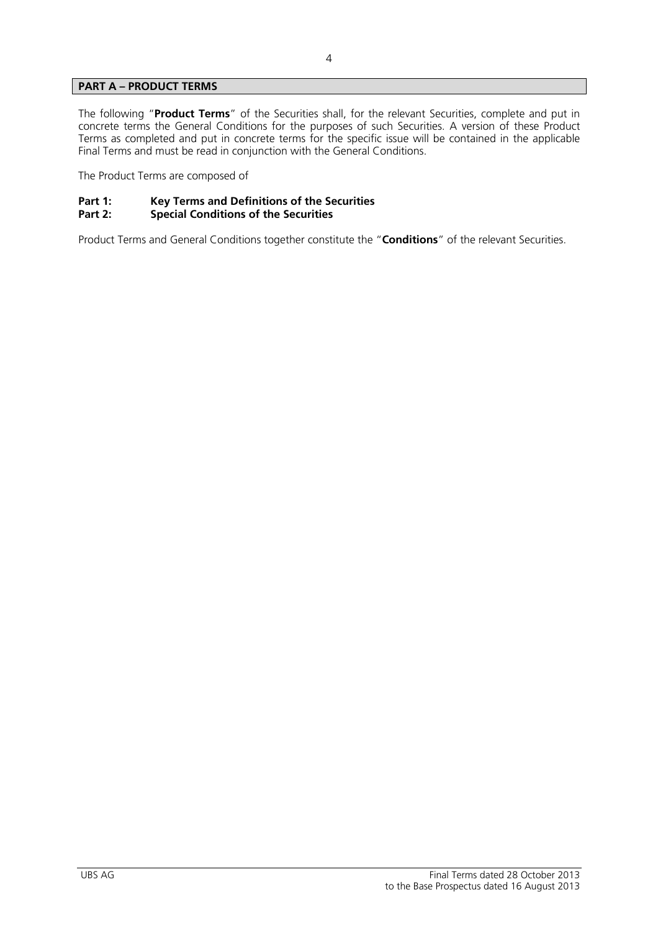### **PART A – PRODUCT TERMS**

The following "**Product Terms**" of the Securities shall, for the relevant Securities, complete and put in concrete terms the General Conditions for the purposes of such Securities. A version of these Product Terms as completed and put in concrete terms for the specific issue will be contained in the applicable Final Terms and must be read in conjunction with the General Conditions.

The Product Terms are composed of

# Part 1: Key Terms and Definitions of the Securities<br>Part 2: Special Conditions of the Securities

### **Special Conditions of the Securities**

Product Terms and General Conditions together constitute the "**Conditions**" of the relevant Securities.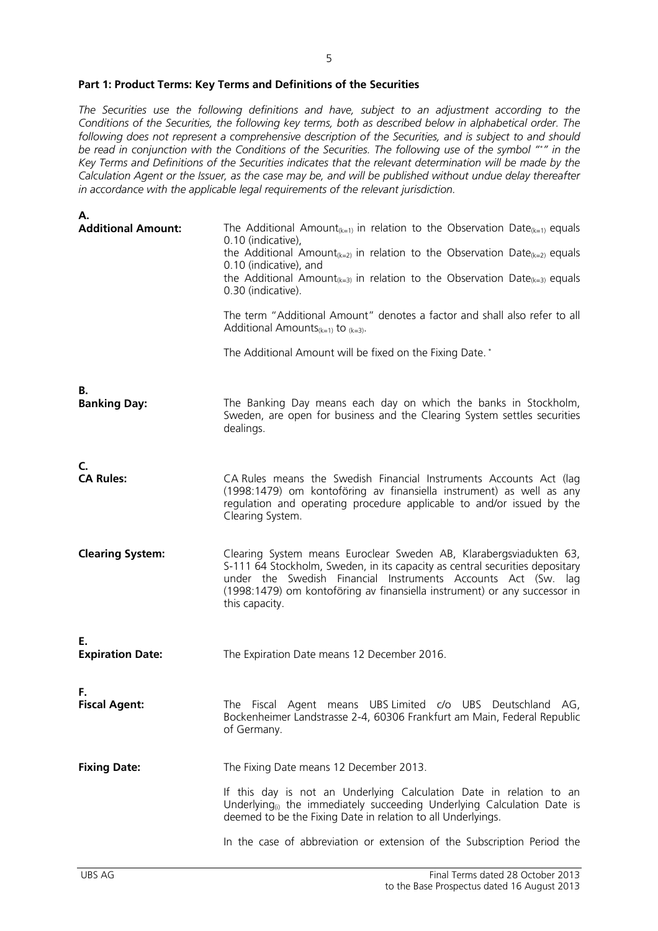### **Part 1: Product Terms: Key Terms and Definitions of the Securities**

*The Securities use the following definitions and have, subject to an adjustment according to the Conditions of the Securities, the following key terms, both as described below in alphabetical order. The following does not represent a comprehensive description of the Securities, and is subject to and should be read in conjunction with the Conditions of the Securities. The following use of the symbol "\*" in the Key Terms and Definitions of the Securities indicates that the relevant determination will be made by the Calculation Agent or the Issuer, as the case may be, and will be published without undue delay thereafter in accordance with the applicable legal requirements of the relevant jurisdiction.* 

| Α.                            |                                                                                                                                                                                                                                                                                                                    |
|-------------------------------|--------------------------------------------------------------------------------------------------------------------------------------------------------------------------------------------------------------------------------------------------------------------------------------------------------------------|
| <b>Additional Amount:</b>     | The Additional Amount <sub>(k=1)</sub> in relation to the Observation Date <sub>(k=1)</sub> equals<br>0.10 (indicative),<br>the Additional Amount <sub>(k=2)</sub> in relation to the Observation Date <sub>(k=2)</sub> equals                                                                                     |
|                               | 0.10 (indicative), and<br>the Additional Amount <sub>(k=3)</sub> in relation to the Observation Date <sub>(k=3)</sub> equals<br>0.30 (indicative).                                                                                                                                                                 |
|                               | The term "Additional Amount" denotes a factor and shall also refer to all<br>Additional Amounts $(k=1)$ to $(k=3)$ .                                                                                                                                                                                               |
|                               | The Additional Amount will be fixed on the Fixing Date. *                                                                                                                                                                                                                                                          |
| В.<br><b>Banking Day:</b>     | The Banking Day means each day on which the banks in Stockholm,<br>Sweden, are open for business and the Clearing System settles securities<br>dealings.                                                                                                                                                           |
| C.<br><b>CA Rules:</b>        | CA Rules means the Swedish Financial Instruments Accounts Act (lag<br>(1998:1479) om kontoföring av finansiella instrument) as well as any<br>regulation and operating procedure applicable to and/or issued by the<br>Clearing System.                                                                            |
| <b>Clearing System:</b>       | Clearing System means Euroclear Sweden AB, Klarabergsviadukten 63,<br>S-111 64 Stockholm, Sweden, in its capacity as central securities depositary<br>under the Swedish Financial Instruments Accounts Act (Sw. lag<br>(1998:1479) om kontoföring av finansiella instrument) or any successor in<br>this capacity. |
| Е.<br><b>Expiration Date:</b> | The Expiration Date means 12 December 2016.                                                                                                                                                                                                                                                                        |
| F.<br><b>Fiscal Agent:</b>    | The Fiscal Agent means UBS Limited c/o UBS Deutschland AG,<br>Bockenheimer Landstrasse 2-4, 60306 Frankfurt am Main, Federal Republic<br>of Germany.                                                                                                                                                               |
| <b>Fixing Date:</b>           | The Fixing Date means 12 December 2013.                                                                                                                                                                                                                                                                            |
|                               | If this day is not an Underlying Calculation Date in relation to an<br>Underlying <sub>(i)</sub> the immediately succeeding Underlying Calculation Date is<br>deemed to be the Fixing Date in relation to all Underlyings.                                                                                         |
|                               | In the case of abbreviation or extension of the Subscription Period the                                                                                                                                                                                                                                            |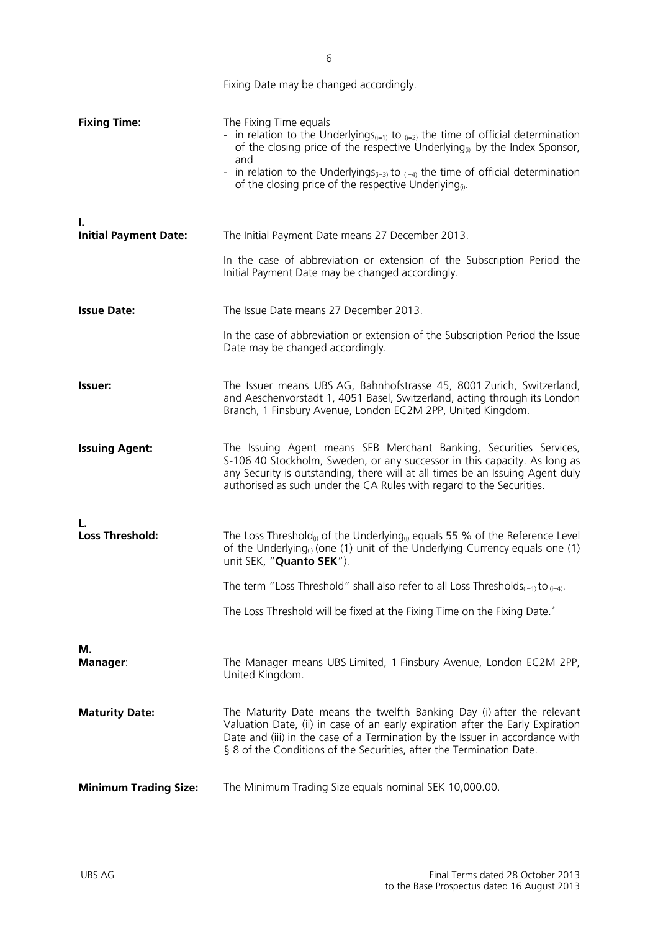|                                    | Fixing Date may be changed accordingly.                                                                                                                                                                                                                                                                                                                                                                   |
|------------------------------------|-----------------------------------------------------------------------------------------------------------------------------------------------------------------------------------------------------------------------------------------------------------------------------------------------------------------------------------------------------------------------------------------------------------|
| <b>Fixing Time:</b>                | The Fixing Time equals<br>- in relation to the Underlyings <sub>(i=1)</sub> to $_{(i=2)}$ the time of official determination<br>of the closing price of the respective Underlying <sub>(i)</sub> by the Index Sponsor,<br>and<br>- in relation to the Underlyings <sub>(i=3)</sub> to $_{(i=4)}$ the time of official determination<br>of the closing price of the respective Underlying <sub>(i)</sub> . |
| ı.<br><b>Initial Payment Date:</b> | The Initial Payment Date means 27 December 2013.                                                                                                                                                                                                                                                                                                                                                          |
|                                    | In the case of abbreviation or extension of the Subscription Period the<br>Initial Payment Date may be changed accordingly.                                                                                                                                                                                                                                                                               |
| <b>Issue Date:</b>                 | The Issue Date means 27 December 2013.                                                                                                                                                                                                                                                                                                                                                                    |
|                                    | In the case of abbreviation or extension of the Subscription Period the Issue<br>Date may be changed accordingly.                                                                                                                                                                                                                                                                                         |
| Issuer:                            | The Issuer means UBS AG, Bahnhofstrasse 45, 8001 Zurich, Switzerland,<br>and Aeschenvorstadt 1, 4051 Basel, Switzerland, acting through its London<br>Branch, 1 Finsbury Avenue, London EC2M 2PP, United Kingdom.                                                                                                                                                                                         |
| <b>Issuing Agent:</b>              | The Issuing Agent means SEB Merchant Banking, Securities Services,<br>S-106 40 Stockholm, Sweden, or any successor in this capacity. As long as<br>any Security is outstanding, there will at all times be an Issuing Agent duly<br>authorised as such under the CA Rules with regard to the Securities.                                                                                                  |
| L.<br><b>Loss Threshold:</b>       | The Loss Threshold <sub>(i)</sub> of the Underlying <sub>(i)</sub> equals 55 % of the Reference Level<br>of the Underlying <sub>(i)</sub> (one (1) unit of the Underlying Currency equals one (1)<br>unit SEK, "Quanto SEK").                                                                                                                                                                             |
|                                    | The term "Loss Threshold" shall also refer to all Loss Thresholds <sub>(i=1)</sub> to $_{(i=4)}$ .                                                                                                                                                                                                                                                                                                        |
|                                    | The Loss Threshold will be fixed at the Fixing Time on the Fixing Date.*                                                                                                                                                                                                                                                                                                                                  |
| М.<br><b>Manager:</b>              | The Manager means UBS Limited, 1 Finsbury Avenue, London EC2M 2PP,<br>United Kingdom.                                                                                                                                                                                                                                                                                                                     |
| <b>Maturity Date:</b>              | The Maturity Date means the twelfth Banking Day (i) after the relevant<br>Valuation Date, (ii) in case of an early expiration after the Early Expiration<br>Date and (iii) in the case of a Termination by the Issuer in accordance with<br>§ 8 of the Conditions of the Securities, after the Termination Date.                                                                                          |
| <b>Minimum Trading Size:</b>       | The Minimum Trading Size equals nominal SEK 10,000.00.                                                                                                                                                                                                                                                                                                                                                    |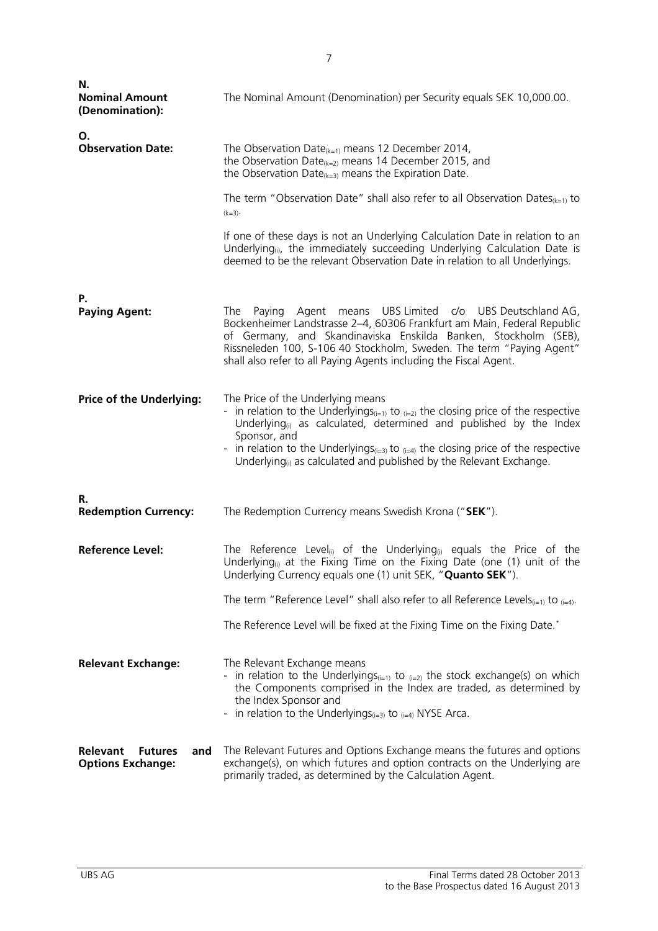| Ν.<br><b>Nominal Amount</b><br>(Denomination):                       | The Nominal Amount (Denomination) per Security equals SEK 10,000.00.                                                                                                                                                                                                                                                                                                                                                                                                                                                                                            |
|----------------------------------------------------------------------|-----------------------------------------------------------------------------------------------------------------------------------------------------------------------------------------------------------------------------------------------------------------------------------------------------------------------------------------------------------------------------------------------------------------------------------------------------------------------------------------------------------------------------------------------------------------|
| Ο.<br><b>Observation Date:</b>                                       | The Observation Date <sub>(k=1)</sub> means 12 December 2014,<br>the Observation Date <sub>(k=2)</sub> means 14 December 2015, and<br>the Observation Date <sub>(k=3)</sub> means the Expiration Date.<br>The term "Observation Date" shall also refer to all Observation Dates $_{(k=1)}$ to<br>$(k=3)$<br>If one of these days is not an Underlying Calculation Date in relation to an<br>Underlying <sub>(i)</sub> , the immediately succeeding Underlying Calculation Date is<br>deemed to be the relevant Observation Date in relation to all Underlyings. |
| Р.<br><b>Paying Agent:</b>                                           | Paying Agent means UBS Limited c/o UBS Deutschland AG,<br>The<br>Bockenheimer Landstrasse 2-4, 60306 Frankfurt am Main, Federal Republic<br>of Germany, and Skandinaviska Enskilda Banken, Stockholm (SEB),<br>Rissneleden 100, S-106 40 Stockholm, Sweden. The term "Paying Agent"<br>shall also refer to all Paying Agents including the Fiscal Agent.                                                                                                                                                                                                        |
| <b>Price of the Underlying:</b>                                      | The Price of the Underlying means<br>- in relation to the Underlyings <sub>(i=1)</sub> to $_{(i=2)}$ the closing price of the respective<br>Underlying <sub>(i)</sub> as calculated, determined and published by the Index<br>Sponsor, and<br>- in relation to the Underlyings <sub>(i=3)</sub> to $_{(i=4)}$ the closing price of the respective<br>Underlying $_{(i)}$ as calculated and published by the Relevant Exchange.                                                                                                                                  |
| R.<br><b>Redemption Currency:</b>                                    | The Redemption Currency means Swedish Krona ("SEK").                                                                                                                                                                                                                                                                                                                                                                                                                                                                                                            |
| <b>Reference Level:</b>                                              | The Reference Level <sub>(i)</sub> of the Underlying <sub>(i)</sub> equals the Price of the<br>Underlying <sub>(i)</sub> at the Fixing Time on the Fixing Date (one (1) unit of the<br>Underlying Currency equals one (1) unit SEK, " <b>Quanto SEK</b> ").<br>The term "Reference Level" shall also refer to all Reference Levels <sub>(i=1)</sub> to $_{(i=4)}$ .<br>The Reference Level will be fixed at the Fixing Time on the Fixing Date.*                                                                                                                |
| <b>Relevant Exchange:</b>                                            | The Relevant Exchange means<br>- in relation to the Underlyings $_{(i=1)}$ to $_{(i=2)}$ the stock exchange(s) on which<br>the Components comprised in the Index are traded, as determined by<br>the Index Sponsor and<br>- in relation to the Underlyings $(i=3)$ to $(i=4)$ NYSE Arca.                                                                                                                                                                                                                                                                        |
| <b>Relevant</b><br><b>Futures</b><br>and<br><b>Options Exchange:</b> | The Relevant Futures and Options Exchange means the futures and options<br>exchange(s), on which futures and option contracts on the Underlying are<br>primarily traded, as determined by the Calculation Agent.                                                                                                                                                                                                                                                                                                                                                |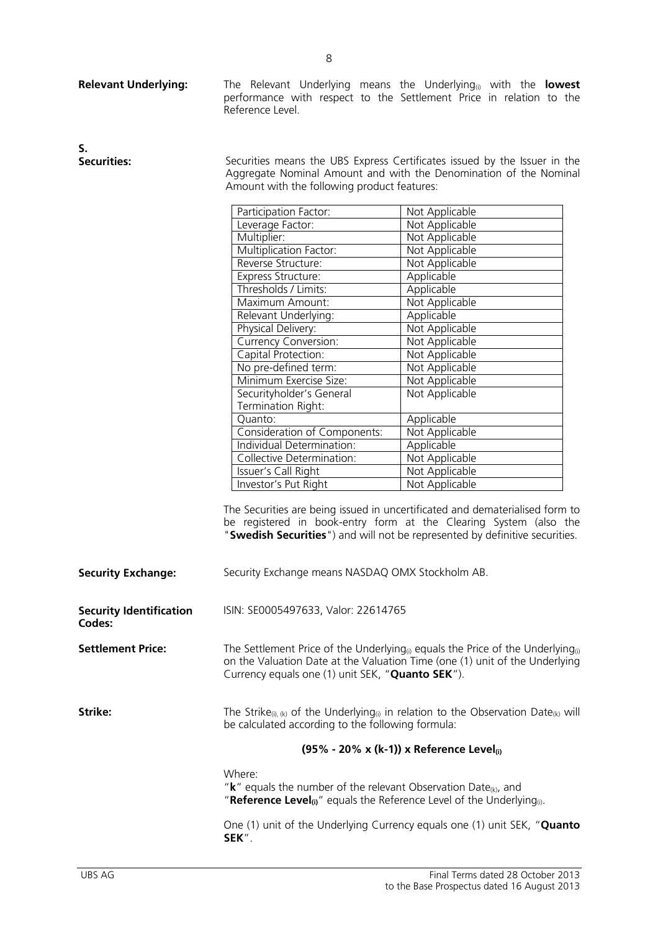| <b>Relevant Underlying:</b>              | Reference Level.                                                                                                                                                                                                                                                                                                                                                                                                                                                                                                                      | The Relevant Underlying means the Underlying <sub>(i)</sub> with the <b>lowest</b><br>performance with respect to the Settlement Price in relation to the                                                                                                                                                                                                                                                                                          |
|------------------------------------------|---------------------------------------------------------------------------------------------------------------------------------------------------------------------------------------------------------------------------------------------------------------------------------------------------------------------------------------------------------------------------------------------------------------------------------------------------------------------------------------------------------------------------------------|----------------------------------------------------------------------------------------------------------------------------------------------------------------------------------------------------------------------------------------------------------------------------------------------------------------------------------------------------------------------------------------------------------------------------------------------------|
| S.<br><b>Securities:</b>                 | Securities means the UBS Express Certificates issued by the Issuer in the<br>Aggregate Nominal Amount and with the Denomination of the Nominal<br>Amount with the following product features:                                                                                                                                                                                                                                                                                                                                         |                                                                                                                                                                                                                                                                                                                                                                                                                                                    |
|                                          | Participation Factor:<br>Leverage Factor:<br>Multiplier:<br>Multiplication Factor:<br>Reverse Structure:<br>Express Structure:<br>Thresholds / Limits:<br>Maximum Amount:<br>Relevant Underlying:<br>Physical Delivery:<br><b>Currency Conversion:</b><br>Capital Protection:<br>No pre-defined term:<br>Minimum Exercise Size:<br>Securityholder's General<br>Termination Right:<br>Quanto:<br>Consideration of Components:<br>Individual Determination:<br>Collective Determination:<br>Issuer's Call Right<br>Investor's Put Right | Not Applicable<br>Not Applicable<br>Not Applicable<br>Not Applicable<br>Not Applicable<br>Applicable<br>Applicable<br>Not Applicable<br>Applicable<br>Not Applicable<br>Not Applicable<br>Not Applicable<br>Not Applicable<br>Not Applicable<br>Not Applicable<br>Applicable<br>Not Applicable<br>Applicable<br>Not Applicable<br>Not Applicable<br>Not Applicable<br>The Securities are being issued in uncertificated and dematerialised form to |
| <b>Security Exchange:</b>                | Security Exchange means NASDAQ OMX Stockholm AB.                                                                                                                                                                                                                                                                                                                                                                                                                                                                                      | be registered in book-entry form at the Clearing System (also the<br>"Swedish Securities") and will not be represented by definitive securities.                                                                                                                                                                                                                                                                                                   |
| <b>Security Identification</b><br>Codes: | ISIN: SE0005497633, Valor: 22614765                                                                                                                                                                                                                                                                                                                                                                                                                                                                                                   |                                                                                                                                                                                                                                                                                                                                                                                                                                                    |
| <b>Settlement Price:</b>                 | The Settlement Price of the Underlying <sub>(i)</sub> equals the Price of the Underlying <sub>(i)</sub><br>on the Valuation Date at the Valuation Time (one (1) unit of the Underlying<br>Currency equals one (1) unit SEK, "Quanto SEK").                                                                                                                                                                                                                                                                                            |                                                                                                                                                                                                                                                                                                                                                                                                                                                    |
| Strike:                                  | The Strike <sub>(i), (k)</sub> of the Underlying <sub>(i)</sub> in relation to the Observation Date <sub>(k)</sub> will<br>be calculated according to the following formula:                                                                                                                                                                                                                                                                                                                                                          |                                                                                                                                                                                                                                                                                                                                                                                                                                                    |
|                                          |                                                                                                                                                                                                                                                                                                                                                                                                                                                                                                                                       | (95% - 20% x (k-1)) x Reference Level                                                                                                                                                                                                                                                                                                                                                                                                              |
|                                          | Where:<br>" $k$ " equals the number of the relevant Observation Date <sub>(k)</sub> , and<br>"Reference Level <sub>(i)</sub> " equals the Reference Level of the Underlying <sub>(i)</sub> .                                                                                                                                                                                                                                                                                                                                          |                                                                                                                                                                                                                                                                                                                                                                                                                                                    |
|                                          | SEK".                                                                                                                                                                                                                                                                                                                                                                                                                                                                                                                                 | One (1) unit of the Underlying Currency equals one (1) unit SEK, "Quanto                                                                                                                                                                                                                                                                                                                                                                           |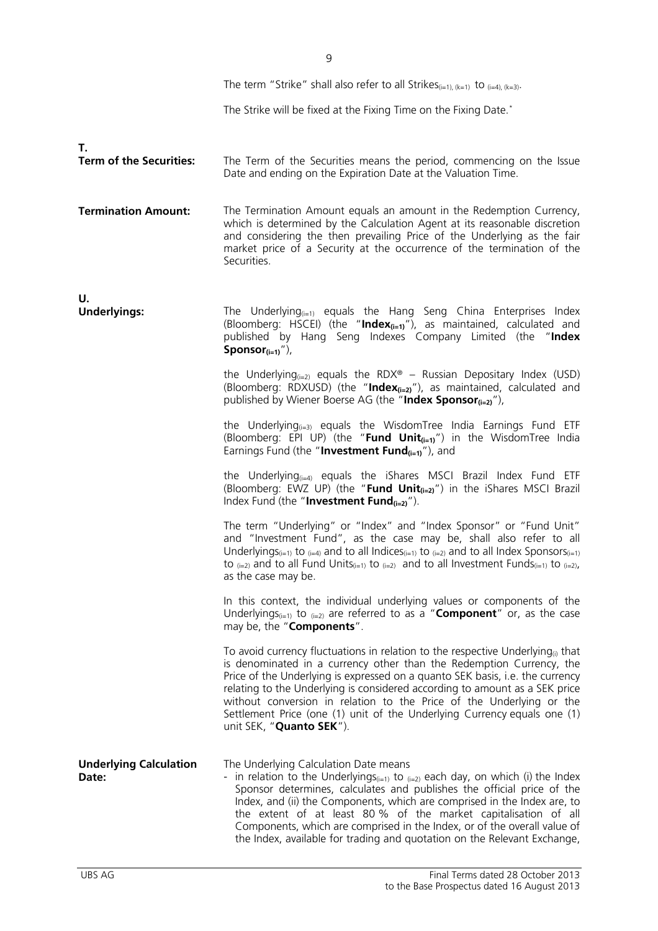|                                        | The term "Strike" shall also refer to all Strikes <sub>(i=1), (k=1)</sub> to $_{(i=4),(k=3)}$ .                                                                                                                                                                                                                                                                                                                                                                                                                                      |
|----------------------------------------|--------------------------------------------------------------------------------------------------------------------------------------------------------------------------------------------------------------------------------------------------------------------------------------------------------------------------------------------------------------------------------------------------------------------------------------------------------------------------------------------------------------------------------------|
|                                        | The Strike will be fixed at the Fixing Time on the Fixing Date.*                                                                                                                                                                                                                                                                                                                                                                                                                                                                     |
|                                        |                                                                                                                                                                                                                                                                                                                                                                                                                                                                                                                                      |
| Т.<br><b>Term of the Securities:</b>   | The Term of the Securities means the period, commencing on the Issue<br>Date and ending on the Expiration Date at the Valuation Time.                                                                                                                                                                                                                                                                                                                                                                                                |
| <b>Termination Amount:</b>             | The Termination Amount equals an amount in the Redemption Currency,<br>which is determined by the Calculation Agent at its reasonable discretion<br>and considering the then prevailing Price of the Underlying as the fair<br>market price of a Security at the occurrence of the termination of the<br>Securities.                                                                                                                                                                                                                 |
| U.<br><b>Underlyings:</b>              | The Underlying $_{(i=1)}$ equals the Hang Seng China Enterprises Index<br>(Bloomberg: HSCEI) (the "Index $_{(i=1)}$ "), as maintained, calculated and<br>published by Hang Seng Indexes Company Limited (the "Index<br>Sponsor $(i=1)$ "),                                                                                                                                                                                                                                                                                           |
|                                        | the Underlying <sub><math>(i=2)</math></sub> equals the RDX <sup>®</sup> – Russian Depositary Index (USD)<br>(Bloomberg: RDXUSD) (the "Index <sub>(i=2)</sub> "), as maintained, calculated and<br>published by Wiener Boerse AG (the "Index Sponsor $_{(i=2)}$ "),                                                                                                                                                                                                                                                                  |
|                                        | the Underlying $_{(i=3)}$ equals the WisdomTree India Earnings Fund ETF<br>(Bloomberg: EPI UP) (the "Fund Unit <sub>(i=1)</sub> ") in the WisdomTree India<br>Earnings Fund (the "Investment Fund $_{(i=1)}$ "), and                                                                                                                                                                                                                                                                                                                 |
|                                        | the Underlying $_{(i=4)}$ equals the iShares MSCI Brazil Index Fund ETF<br>(Bloomberg: EWZ UP) (the " <b>Fund Unit</b> $_{(i=2)}$ ") in the iShares MSCI Brazil<br>Index Fund (the "Investment Fund $_{(i=2)}$ ").                                                                                                                                                                                                                                                                                                                   |
|                                        | The term "Underlying" or "Index" and "Index Sponsor" or "Fund Unit"<br>and "Investment Fund", as the case may be, shall also refer to all<br>Underlyings(i=1) to (i=4) and to all Indices(i=1) to (i=2) and to all Index Sponsors(i=1)<br>to $(i=2)$ and to all Fund Units $(i=1)$ to $(i=2)$ and to all Investment Funds $(i=1)$ to $(i=2)$ ,<br>as the case may be.                                                                                                                                                                |
|                                        | In this context, the individual underlying values or components of the<br>Underlyings <sub>(i=1)</sub> to $_{(i=2)}$ are referred to as a " <b>Component</b> " or, as the case<br>may be, the "Components".                                                                                                                                                                                                                                                                                                                          |
|                                        | To avoid currency fluctuations in relation to the respective Underlying <sub><math>0</math></sub> that<br>is denominated in a currency other than the Redemption Currency, the<br>Price of the Underlying is expressed on a quanto SEK basis, i.e. the currency<br>relating to the Underlying is considered according to amount as a SEK price<br>without conversion in relation to the Price of the Underlying or the<br>Settlement Price (one (1) unit of the Underlying Currency equals one (1)<br>unit SEK, "Quanto SEK").       |
| <b>Underlying Calculation</b><br>Date: | The Underlying Calculation Date means<br>- in relation to the Underlyings <sub><math>(i=1)</math></sub> to $(i=2)$ each day, on which (i) the Index<br>Sponsor determines, calculates and publishes the official price of the<br>Index, and (ii) the Components, which are comprised in the Index are, to<br>the extent of at least 80 % of the market capitalisation of all<br>Components, which are comprised in the Index, or of the overall value of<br>the Index, available for trading and quotation on the Relevant Exchange, |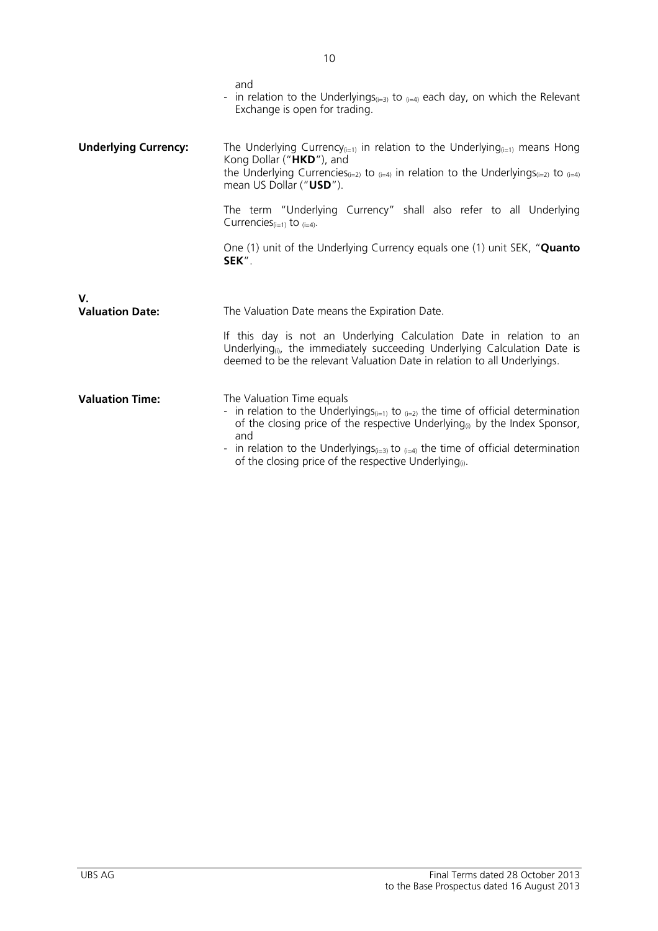|                              | and<br>- in relation to the Underlyings <sub>(i=3)</sub> to $_{(i=4)}$ each day, on which the Relevant<br>Exchange is open for trading.                                                                                                                                                                                                                                                                      |
|------------------------------|--------------------------------------------------------------------------------------------------------------------------------------------------------------------------------------------------------------------------------------------------------------------------------------------------------------------------------------------------------------------------------------------------------------|
| <b>Underlying Currency:</b>  | The Underlying Currency <sub>(i=1)</sub> in relation to the Underlying <sub>(i=1)</sub> means Hong<br>Kong Dollar ("HKD"), and<br>the Underlying Currencies <sub>(i=2)</sub> to $_{(i=4)}$ in relation to the Underlyings <sub>(i=2)</sub> to $_{(i=4)}$<br>mean US Dollar ("USD").                                                                                                                          |
|                              | The term "Underlying Currency" shall also refer to all Underlying<br>Currencies $(i=1)$ to $(i=4)$ .                                                                                                                                                                                                                                                                                                         |
|                              | One (1) unit of the Underlying Currency equals one (1) unit SEK, "Quanto<br>SEK".                                                                                                                                                                                                                                                                                                                            |
|                              |                                                                                                                                                                                                                                                                                                                                                                                                              |
| V.<br><b>Valuation Date:</b> | The Valuation Date means the Expiration Date.                                                                                                                                                                                                                                                                                                                                                                |
|                              | If this day is not an Underlying Calculation Date in relation to an<br>Underlying <sub>(i)</sub> , the immediately succeeding Underlying Calculation Date is<br>deemed to be the relevant Valuation Date in relation to all Underlyings.                                                                                                                                                                     |
| <b>Valuation Time:</b>       | The Valuation Time equals<br>- in relation to the Underlyings <sub>(i=1)</sub> to $_{(i=2)}$ the time of official determination<br>of the closing price of the respective Underlying <sub>(i)</sub> by the Index Sponsor,<br>and<br>- in relation to the Underlyings <sub>(i=3)</sub> to $_{(i=4)}$ the time of official determination<br>of the closing price of the respective Underlying <sub>(i)</sub> . |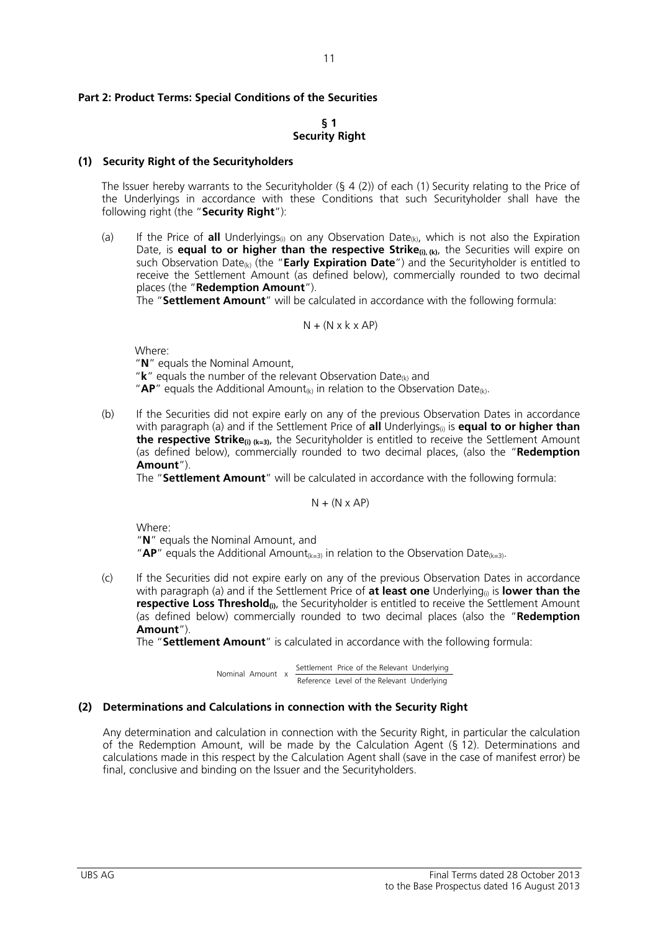### **Part 2: Product Terms: Special Conditions of the Securities**

### **§ 1 Security Right**

#### **(1) Security Right of the Securityholders**

The Issuer hereby warrants to the Securityholder (§ 4 (2)) of each (1) Security relating to the Price of the Underlyings in accordance with these Conditions that such Securityholder shall have the following right (the "**Security Right**"):

(a) If the Price of **all** Underlyings<sub>(i)</sub> on any Observation Date<sub>(k)</sub>, which is not also the Expiration Date, is **equal to or higher than the respective Strike<sub>(i), (k)</sub>, the Securities will expire on** such Observation Date(k) (the "**Early Expiration Date**") and the Securityholder is entitled to receive the Settlement Amount (as defined below), commercially rounded to two decimal places (the "**Redemption Amount**").

The "**Settlement Amount**" will be calculated in accordance with the following formula:

$$
N + (N \times k \times AP)
$$

Where:

"**N**" equals the Nominal Amount,

"**k**" equals the number of the relevant Observation Date(k) and

" $AP"$  equals the Additional Amount<sub>(k)</sub> in relation to the Observation Date<sub>(k)</sub>.

(b) If the Securities did not expire early on any of the previous Observation Dates in accordance with paragraph (a) and if the Settlement Price of **all** Underlyings<sub>(i)</sub> is **equal to or higher than the respective Strike**(i) (k=3), the Securityholder is entitled to receive the Settlement Amount (as defined below), commercially rounded to two decimal places, (also the "**Redemption Amount**").

The "**Settlement Amount**" will be calculated in accordance with the following formula:

 $N + (N \times AP)$ 

Where:

 "**N**" equals the Nominal Amount, and "**AP**" equals the Additional Amount<sub>(k=3)</sub> in relation to the Observation Date<sub>(k=3)</sub>.

(c) If the Securities did not expire early on any of the previous Observation Dates in accordance with paragraph (a) and if the Settlement Price of **at least one** Underlying<sub>(a)</sub> is **lower than the respective Loss Threshold**<sub>(i)</sub>, the Securityholder is entitled to receive the Settlement Amount (as defined below) commercially rounded to two decimal places (also the "**Redemption Amount**").

The "**Settlement Amount**" is calculated in accordance with the following formula:

 Reference Level of the Relevant Underlying Nominal Amount x Settlement Price of the Relevant Underlying

### **(2) Determinations and Calculations in connection with the Security Right**

Any determination and calculation in connection with the Security Right, in particular the calculation of the Redemption Amount, will be made by the Calculation Agent (§ 12). Determinations and calculations made in this respect by the Calculation Agent shall (save in the case of manifest error) be final, conclusive and binding on the Issuer and the Securityholders.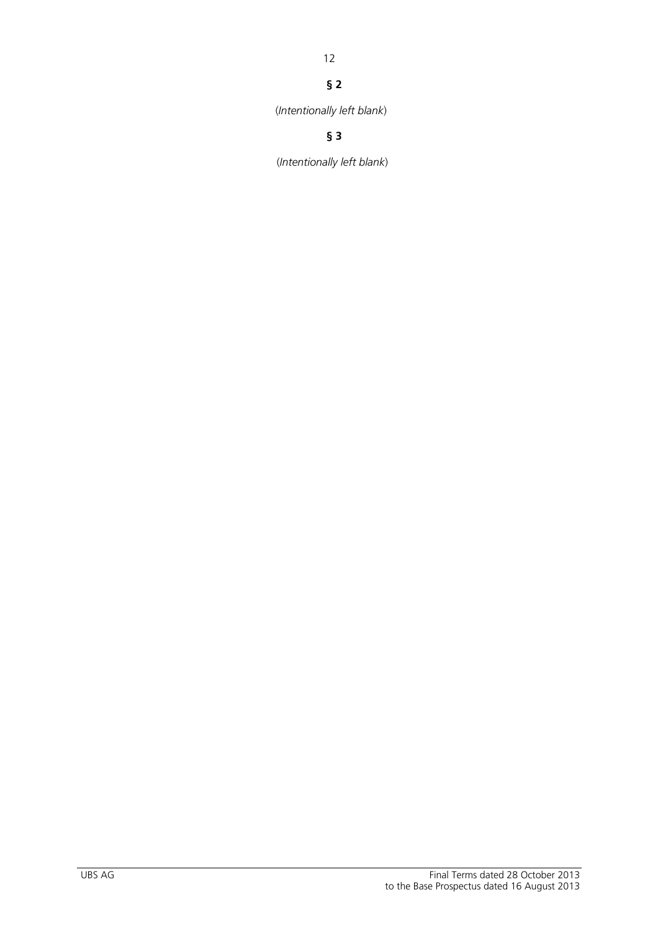### 12

### **§ 2**

(*Intentionally left blank*)

## **§ 3**

(*Intentionally left blank*)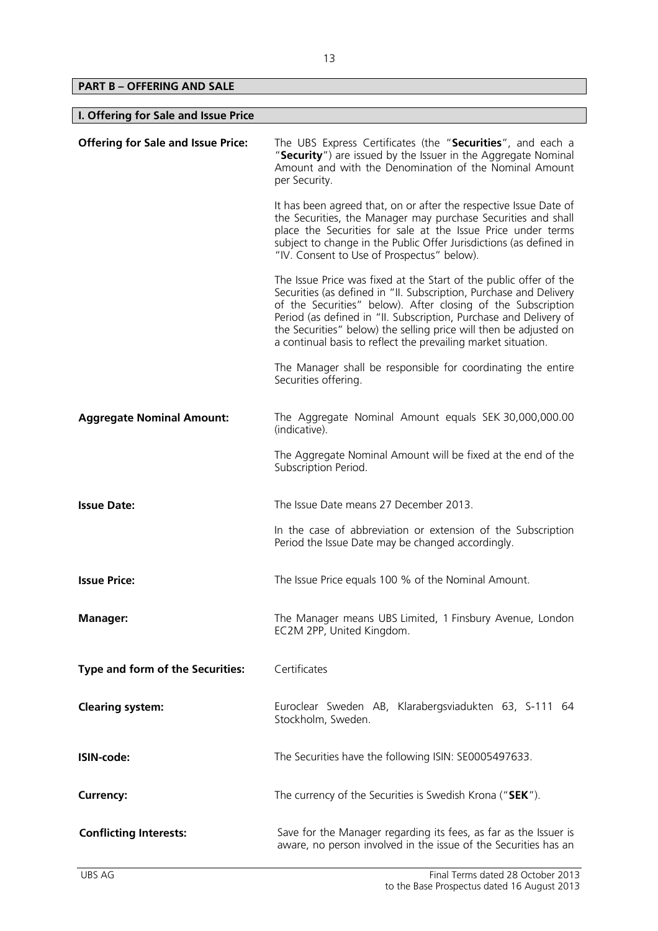**PART B – OFFERING AND SALE** 

 $\overline{\phantom{a}}$ 

| I. Offering for Sale and Issue Price      |                                                                                                                                                                                                                                                                                                                                                                                                                    |
|-------------------------------------------|--------------------------------------------------------------------------------------------------------------------------------------------------------------------------------------------------------------------------------------------------------------------------------------------------------------------------------------------------------------------------------------------------------------------|
| <b>Offering for Sale and Issue Price:</b> | The UBS Express Certificates (the "Securities", and each a<br>"Security") are issued by the Issuer in the Aggregate Nominal<br>Amount and with the Denomination of the Nominal Amount<br>per Security.                                                                                                                                                                                                             |
|                                           | It has been agreed that, on or after the respective Issue Date of<br>the Securities, the Manager may purchase Securities and shall<br>place the Securities for sale at the Issue Price under terms<br>subject to change in the Public Offer Jurisdictions (as defined in<br>"IV. Consent to Use of Prospectus" below).                                                                                             |
|                                           | The Issue Price was fixed at the Start of the public offer of the<br>Securities (as defined in "II. Subscription, Purchase and Delivery<br>of the Securities" below). After closing of the Subscription<br>Period (as defined in "II. Subscription, Purchase and Delivery of<br>the Securities" below) the selling price will then be adjusted on<br>a continual basis to reflect the prevailing market situation. |
|                                           | The Manager shall be responsible for coordinating the entire<br>Securities offering.                                                                                                                                                                                                                                                                                                                               |
| <b>Aggregate Nominal Amount:</b>          | The Aggregate Nominal Amount equals SEK 30,000,000.00<br>(indicative).                                                                                                                                                                                                                                                                                                                                             |
|                                           | The Aggregate Nominal Amount will be fixed at the end of the<br>Subscription Period.                                                                                                                                                                                                                                                                                                                               |
| <b>Issue Date:</b>                        | The Issue Date means 27 December 2013.                                                                                                                                                                                                                                                                                                                                                                             |
|                                           | In the case of abbreviation or extension of the Subscription<br>Period the Issue Date may be changed accordingly.                                                                                                                                                                                                                                                                                                  |
| <b>Issue Price:</b>                       | The Issue Price equals 100 % of the Nominal Amount.                                                                                                                                                                                                                                                                                                                                                                |
| <b>Manager:</b>                           | The Manager means UBS Limited, 1 Finsbury Avenue, London<br>EC2M 2PP, United Kingdom.                                                                                                                                                                                                                                                                                                                              |
| Type and form of the Securities:          | Certificates                                                                                                                                                                                                                                                                                                                                                                                                       |
| <b>Clearing system:</b>                   | Euroclear Sweden AB, Klarabergsviadukten 63, S-111 64<br>Stockholm, Sweden.                                                                                                                                                                                                                                                                                                                                        |
| ISIN-code:                                | The Securities have the following ISIN: SE0005497633.                                                                                                                                                                                                                                                                                                                                                              |
| <b>Currency:</b>                          | The currency of the Securities is Swedish Krona ("SEK").                                                                                                                                                                                                                                                                                                                                                           |
| <b>Conflicting Interests:</b>             | Save for the Manager regarding its fees, as far as the Issuer is<br>aware, no person involved in the issue of the Securities has an                                                                                                                                                                                                                                                                                |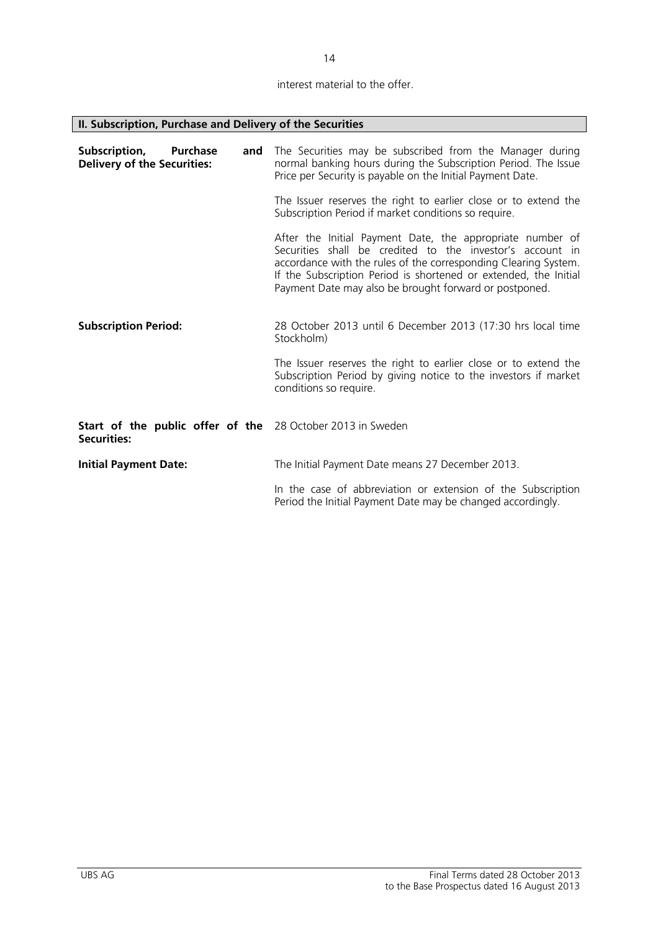interest material to the offer.

| II. Subscription, Purchase and Delivery of the Securities                        |                                                                                                                                                                                                                                                                                                                         |
|----------------------------------------------------------------------------------|-------------------------------------------------------------------------------------------------------------------------------------------------------------------------------------------------------------------------------------------------------------------------------------------------------------------------|
| Subscription,<br><b>Purchase</b><br>and<br><b>Delivery of the Securities:</b>    | The Securities may be subscribed from the Manager during<br>normal banking hours during the Subscription Period. The Issue<br>Price per Security is payable on the Initial Payment Date.                                                                                                                                |
|                                                                                  | The Issuer reserves the right to earlier close or to extend the<br>Subscription Period if market conditions so require.                                                                                                                                                                                                 |
|                                                                                  | After the Initial Payment Date, the appropriate number of<br>Securities shall be credited to the investor's account in<br>accordance with the rules of the corresponding Clearing System.<br>If the Subscription Period is shortened or extended, the Initial<br>Payment Date may also be brought forward or postponed. |
| <b>Subscription Period:</b>                                                      | 28 October 2013 until 6 December 2013 (17:30 hrs local time<br>Stockholm)                                                                                                                                                                                                                                               |
|                                                                                  | The Issuer reserves the right to earlier close or to extend the<br>Subscription Period by giving notice to the investors if market<br>conditions so require.                                                                                                                                                            |
| Start of the public offer of the 28 October 2013 in Sweden<br><b>Securities:</b> |                                                                                                                                                                                                                                                                                                                         |
| <b>Initial Payment Date:</b>                                                     | The Initial Payment Date means 27 December 2013.                                                                                                                                                                                                                                                                        |
|                                                                                  | In the case of abbreviation or extension of the Subscription<br>Period the Initial Payment Date may be changed accordingly.                                                                                                                                                                                             |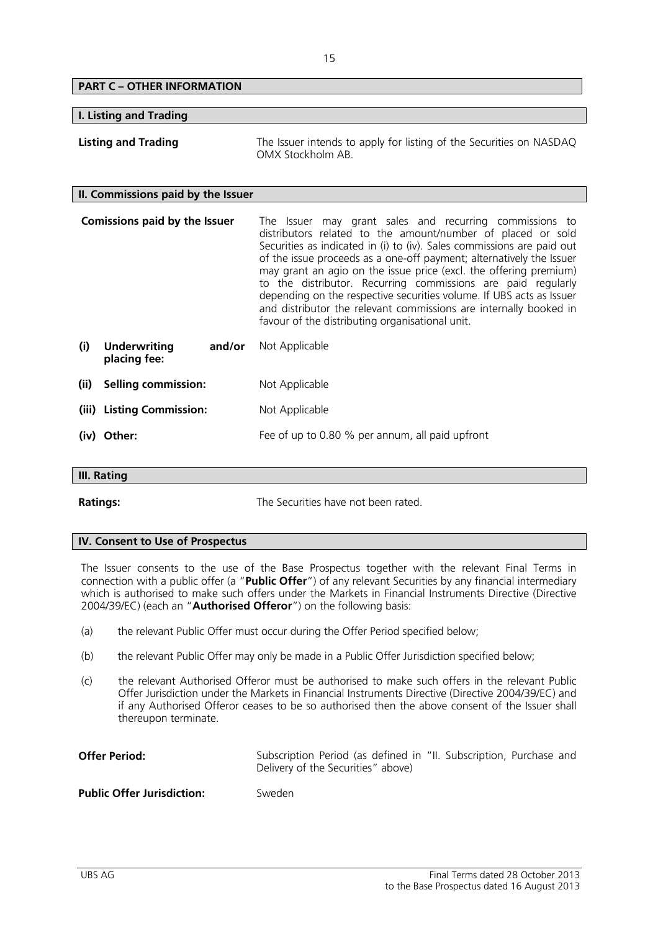| <b>PART C - OTHER INFORMATION</b>                    |                                                                                                                                                                                                                                                                                                                                                                                                                                                                                                                                                                                                               |
|------------------------------------------------------|---------------------------------------------------------------------------------------------------------------------------------------------------------------------------------------------------------------------------------------------------------------------------------------------------------------------------------------------------------------------------------------------------------------------------------------------------------------------------------------------------------------------------------------------------------------------------------------------------------------|
| <b>I. Listing and Trading</b>                        |                                                                                                                                                                                                                                                                                                                                                                                                                                                                                                                                                                                                               |
| <b>Listing and Trading</b>                           | The Issuer intends to apply for listing of the Securities on NASDAQ<br>OMX Stockholm AB                                                                                                                                                                                                                                                                                                                                                                                                                                                                                                                       |
| II. Commissions paid by the Issuer                   |                                                                                                                                                                                                                                                                                                                                                                                                                                                                                                                                                                                                               |
| <b>Comissions paid by the Issuer</b>                 | The Issuer may grant sales and recurring commissions to<br>distributors related to the amount/number of placed or sold<br>Securities as indicated in (i) to (iv). Sales commissions are paid out<br>of the issue proceeds as a one-off payment; alternatively the Issuer<br>may grant an agio on the issue price (excl. the offering premium)<br>to the distributor. Recurring commissions are paid regularly<br>depending on the respective securities volume. If UBS acts as Issuer<br>and distributor the relevant commissions are internally booked in<br>favour of the distributing organisational unit. |
| (i)<br><b>Underwriting</b><br>and/or<br>placing fee: | Not Applicable                                                                                                                                                                                                                                                                                                                                                                                                                                                                                                                                                                                                |
| (ii)<br><b>Selling commission:</b>                   | Not Applicable                                                                                                                                                                                                                                                                                                                                                                                                                                                                                                                                                                                                |
| <b>Listing Commission:</b><br>(iii)                  | Not Applicable                                                                                                                                                                                                                                                                                                                                                                                                                                                                                                                                                                                                |
| (iv) Other:                                          | Fee of up to 0.80 % per annum, all paid upfront                                                                                                                                                                                                                                                                                                                                                                                                                                                                                                                                                               |
| $III$ Datina                                         |                                                                                                                                                                                                                                                                                                                                                                                                                                                                                                                                                                                                               |

### **III. Rating**

**Ratings:** The Securities have not been rated.

### **IV. Consent to Use of Prospectus**

The Issuer consents to the use of the Base Prospectus together with the relevant Final Terms in connection with a public offer (a "**Public Offer**") of any relevant Securities by any financial intermediary which is authorised to make such offers under the Markets in Financial Instruments Directive (Directive 2004/39/EC) (each an "**Authorised Offeror**") on the following basis:

- (a) the relevant Public Offer must occur during the Offer Period specified below;
- (b) the relevant Public Offer may only be made in a Public Offer Jurisdiction specified below;
- (c) the relevant Authorised Offeror must be authorised to make such offers in the relevant Public Offer Jurisdiction under the Markets in Financial Instruments Directive (Directive 2004/39/EC) and if any Authorised Offeror ceases to be so authorised then the above consent of the Issuer shall thereupon terminate.

| <b>Offer Period:</b>              | Subscription Period (as defined in "II. Subscription, Purchase and<br>Delivery of the Securities" above) |
|-----------------------------------|----------------------------------------------------------------------------------------------------------|
| <b>Public Offer Jurisdiction:</b> | Sweden                                                                                                   |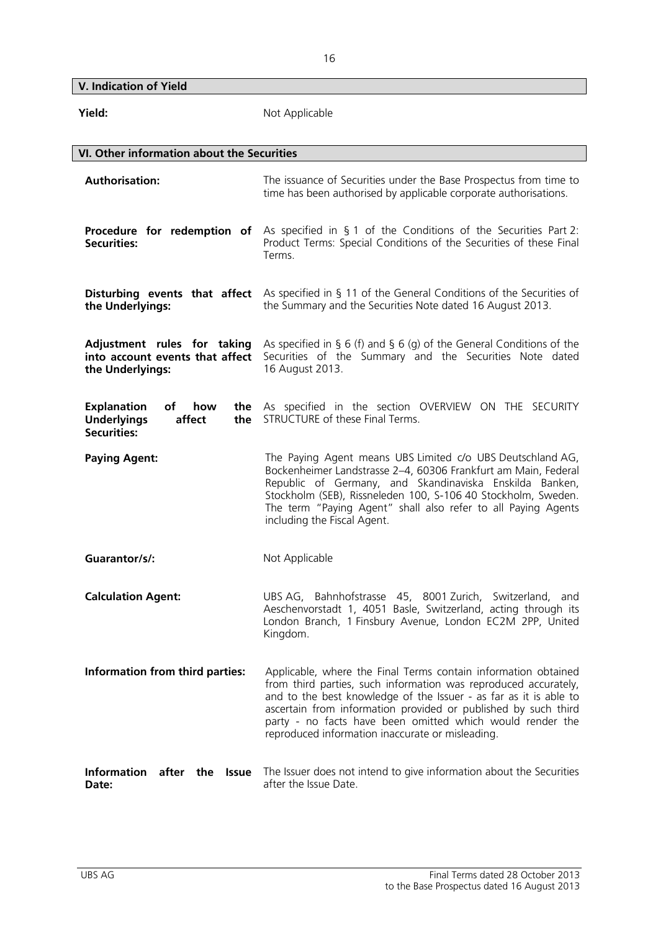**V. Indication of Yield** 

| Yield:                                                                                       | Not Applicable                                                                                                                                                                                                                                                                                                                                                                            |
|----------------------------------------------------------------------------------------------|-------------------------------------------------------------------------------------------------------------------------------------------------------------------------------------------------------------------------------------------------------------------------------------------------------------------------------------------------------------------------------------------|
| VI. Other information about the Securities                                                   |                                                                                                                                                                                                                                                                                                                                                                                           |
| <b>Authorisation:</b>                                                                        | The issuance of Securities under the Base Prospectus from time to<br>time has been authorised by applicable corporate authorisations.                                                                                                                                                                                                                                                     |
| <b>Securities:</b>                                                                           | <b>Procedure for redemption of</b> As specified in § 1 of the Conditions of the Securities Part 2:<br>Product Terms: Special Conditions of the Securities of these Final<br>Terms.                                                                                                                                                                                                        |
| Disturbing events that affect<br>the Underlyings:                                            | As specified in § 11 of the General Conditions of the Securities of<br>the Summary and the Securities Note dated 16 August 2013.                                                                                                                                                                                                                                                          |
| Adjustment rules for taking<br>into account events that affect<br>the Underlyings:           | As specified in § 6 (f) and § 6 (g) of the General Conditions of the<br>Securities of the Summary and the Securities Note dated<br>16 August 2013.                                                                                                                                                                                                                                        |
| <b>Explanation</b><br>of<br>how<br><b>Underlyings</b><br>affect<br>the<br><b>Securities:</b> | the As specified in the section OVERVIEW ON THE SECURITY<br>STRUCTURE of these Final Terms.                                                                                                                                                                                                                                                                                               |
| <b>Paying Agent:</b>                                                                         | The Paying Agent means UBS Limited c/o UBS Deutschland AG,<br>Bockenheimer Landstrasse 2-4, 60306 Frankfurt am Main, Federal<br>Republic of Germany, and Skandinaviska Enskilda Banken,<br>Stockholm (SEB), Rissneleden 100, S-106 40 Stockholm, Sweden.<br>The term "Paying Agent" shall also refer to all Paying Agents<br>including the Fiscal Agent.                                  |
| Guarantor/s/:                                                                                | Not Applicable                                                                                                                                                                                                                                                                                                                                                                            |
| <b>Calculation Agent:</b>                                                                    | UBS AG, Bahnhofstrasse 45, 8001 Zurich, Switzerland, and<br>Aeschenvorstadt 1, 4051 Basle, Switzerland, acting through its<br>London Branch, 1 Finsbury Avenue, London EC2M 2PP, United<br>Kingdom.                                                                                                                                                                                       |
| Information from third parties:                                                              | Applicable, where the Final Terms contain information obtained<br>from third parties, such information was reproduced accurately,<br>and to the best knowledge of the Issuer - as far as it is able to<br>ascertain from information provided or published by such third<br>party - no facts have been omitted which would render the<br>reproduced information inaccurate or misleading. |
| Information after the<br><b>Issue</b><br>Date:                                               | The Issuer does not intend to give information about the Securities<br>after the Issue Date.                                                                                                                                                                                                                                                                                              |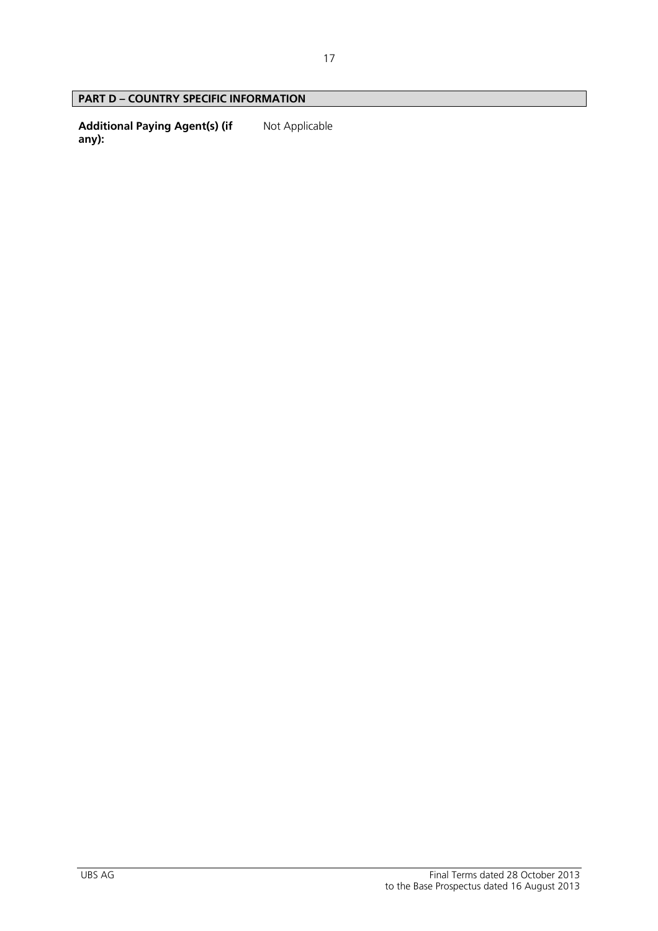### **PART D – COUNTRY SPECIFIC INFORMATION**

**Additional Paying Agent(s) (if any):**  Not Applicable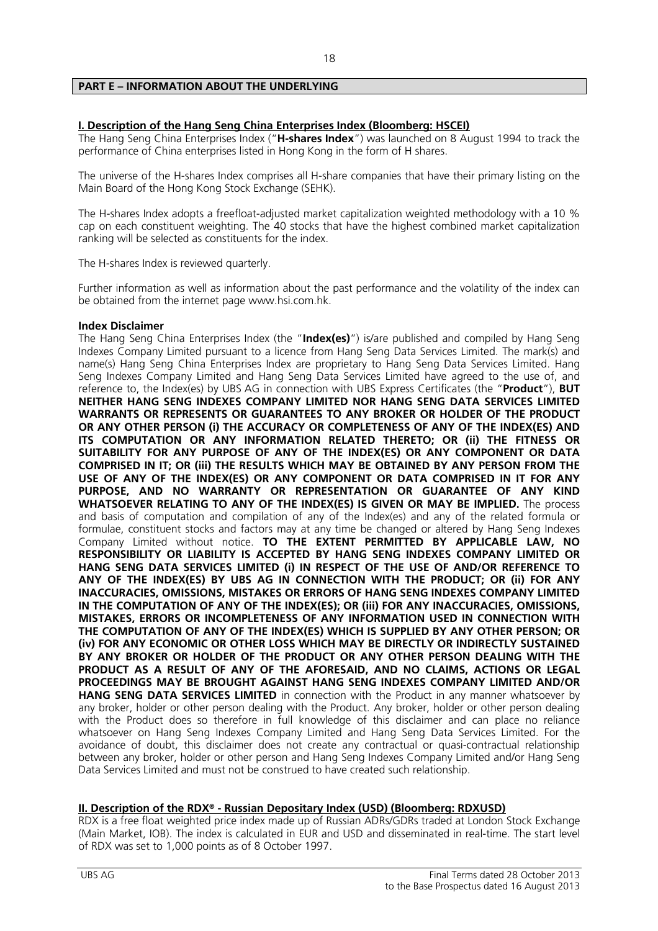### **PART E – INFORMATION ABOUT THE UNDERLYING**

### **I. Description of the Hang Seng China Enterprises Index (Bloomberg: HSCEI)**

The Hang Seng China Enterprises Index ("**H-shares Index**") was launched on 8 August 1994 to track the performance of China enterprises listed in Hong Kong in the form of H shares.

The universe of the H-shares Index comprises all H-share companies that have their primary listing on the Main Board of the Hong Kong Stock Exchange (SEHK).

The H-shares Index adopts a freefloat-adjusted market capitalization weighted methodology with a 10 % cap on each constituent weighting. The 40 stocks that have the highest combined market capitalization ranking will be selected as constituents for the index.

The H-shares Index is reviewed quarterly.

Further information as well as information about the past performance and the volatility of the index can be obtained from the internet page www.hsi.com.hk.

### **Index Disclaimer**

The Hang Seng China Enterprises Index (the "**Index(es)**") is/are published and compiled by Hang Seng Indexes Company Limited pursuant to a licence from Hang Seng Data Services Limited. The mark(s) and name(s) Hang Seng China Enterprises Index are proprietary to Hang Seng Data Services Limited. Hang Seng Indexes Company Limited and Hang Seng Data Services Limited have agreed to the use of, and reference to, the Index(es) by UBS AG in connection with UBS Express Certificates (the "**Product**"), **BUT NEITHER HANG SENG INDEXES COMPANY LIMITED NOR HANG SENG DATA SERVICES LIMITED WARRANTS OR REPRESENTS OR GUARANTEES TO ANY BROKER OR HOLDER OF THE PRODUCT OR ANY OTHER PERSON (i) THE ACCURACY OR COMPLETENESS OF ANY OF THE INDEX(ES) AND ITS COMPUTATION OR ANY INFORMATION RELATED THERETO; OR (ii) THE FITNESS OR SUITABILITY FOR ANY PURPOSE OF ANY OF THE INDEX(ES) OR ANY COMPONENT OR DATA COMPRISED IN IT; OR (iii) THE RESULTS WHICH MAY BE OBTAINED BY ANY PERSON FROM THE USE OF ANY OF THE INDEX(ES) OR ANY COMPONENT OR DATA COMPRISED IN IT FOR ANY PURPOSE, AND NO WARRANTY OR REPRESENTATION OR GUARANTEE OF ANY KIND WHATSOEVER RELATING TO ANY OF THE INDEX(ES) IS GIVEN OR MAY BE IMPLIED.** The process and basis of computation and compilation of any of the Index(es) and any of the related formula or formulae, constituent stocks and factors may at any time be changed or altered by Hang Seng Indexes Company Limited without notice. **TO THE EXTENT PERMITTED BY APPLICABLE LAW, NO RESPONSIBILITY OR LIABILITY IS ACCEPTED BY HANG SENG INDEXES COMPANY LIMITED OR HANG SENG DATA SERVICES LIMITED (i) IN RESPECT OF THE USE OF AND/OR REFERENCE TO ANY OF THE INDEX(ES) BY UBS AG IN CONNECTION WITH THE PRODUCT; OR (ii) FOR ANY INACCURACIES, OMISSIONS, MISTAKES OR ERRORS OF HANG SENG INDEXES COMPANY LIMITED IN THE COMPUTATION OF ANY OF THE INDEX(ES); OR (iii) FOR ANY INACCURACIES, OMISSIONS, MISTAKES, ERRORS OR INCOMPLETENESS OF ANY INFORMATION USED IN CONNECTION WITH THE COMPUTATION OF ANY OF THE INDEX(ES) WHICH IS SUPPLIED BY ANY OTHER PERSON; OR (iv) FOR ANY ECONOMIC OR OTHER LOSS WHICH MAY BE DIRECTLY OR INDIRECTLY SUSTAINED BY ANY BROKER OR HOLDER OF THE PRODUCT OR ANY OTHER PERSON DEALING WITH THE PRODUCT AS A RESULT OF ANY OF THE AFORESAID, AND NO CLAIMS, ACTIONS OR LEGAL PROCEEDINGS MAY BE BROUGHT AGAINST HANG SENG INDEXES COMPANY LIMITED AND/OR HANG SENG DATA SERVICES LIMITED** in connection with the Product in any manner whatsoever by any broker, holder or other person dealing with the Product. Any broker, holder or other person dealing with the Product does so therefore in full knowledge of this disclaimer and can place no reliance whatsoever on Hang Seng Indexes Company Limited and Hang Seng Data Services Limited. For the avoidance of doubt, this disclaimer does not create any contractual or quasi-contractual relationship between any broker, holder or other person and Hang Seng Indexes Company Limited and/or Hang Seng Data Services Limited and must not be construed to have created such relationship.

### **II. Description of the RDX® - Russian Depositary Index (USD) (Bloomberg: RDXUSD)**

RDX is a free float weighted price index made up of Russian ADRs/GDRs traded at London Stock Exchange (Main Market, IOB). The index is calculated in EUR and USD and disseminated in real-time. The start level of RDX was set to 1,000 points as of 8 October 1997.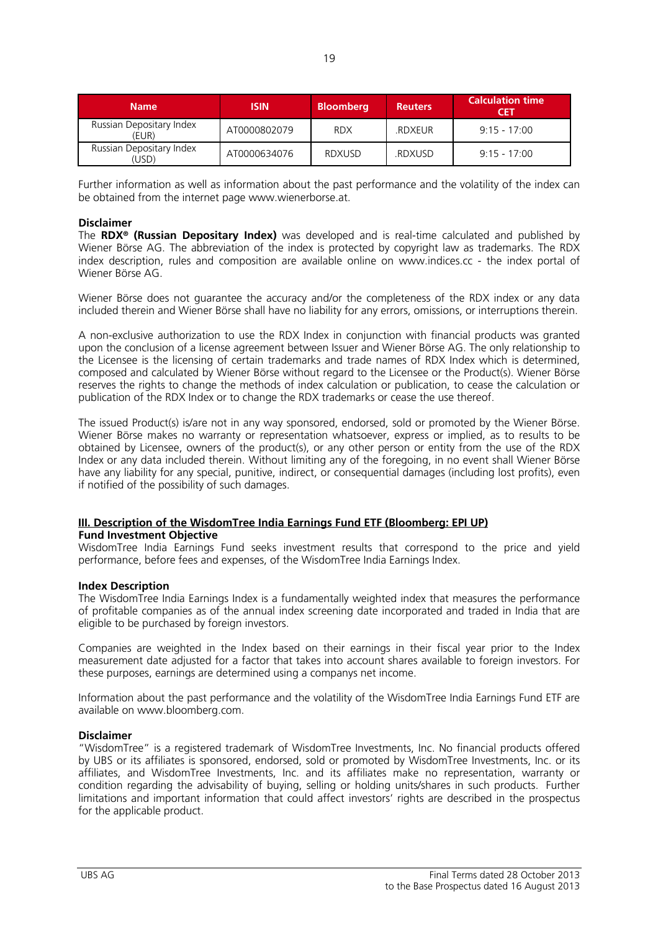| <b>Name</b>                       | <b>ISIN</b>  | <b>Bloomberg</b> | <b>Reuters</b> | <b>Calculation time</b><br>CET |
|-----------------------------------|--------------|------------------|----------------|--------------------------------|
| Russian Depositary Index<br>(EUR) | AT0000802079 | <b>RDX</b>       | .RDXEUR        | $9.15 - 17.00$                 |
| Russian Depositary Index<br>USD)  | AT0000634076 | <b>RDXUSD</b>    | .RDXUSD        | $9.15 - 17.00$                 |

Further information as well as information about the past performance and the volatility of the index can be obtained from the internet page www.wienerborse.at.

### **Disclaimer**

The **RDX® (Russian Depositary Index)** was developed and is real-time calculated and published by Wiener Börse AG. The abbreviation of the index is protected by copyright law as trademarks. The RDX index description, rules and composition are available online on www.indices.cc - the index portal of Wiener Börse AG.

Wiener Börse does not guarantee the accuracy and/or the completeness of the RDX index or any data included therein and Wiener Börse shall have no liability for any errors, omissions, or interruptions therein.

A non-exclusive authorization to use the RDX Index in conjunction with financial products was granted upon the conclusion of a license agreement between Issuer and Wiener Börse AG. The only relationship to the Licensee is the licensing of certain trademarks and trade names of RDX Index which is determined, composed and calculated by Wiener Börse without regard to the Licensee or the Product(s). Wiener Börse reserves the rights to change the methods of index calculation or publication, to cease the calculation or publication of the RDX Index or to change the RDX trademarks or cease the use thereof.

The issued Product(s) is/are not in any way sponsored, endorsed, sold or promoted by the Wiener Börse. Wiener Börse makes no warranty or representation whatsoever, express or implied, as to results to be obtained by Licensee, owners of the product(s), or any other person or entity from the use of the RDX Index or any data included therein. Without limiting any of the foregoing, in no event shall Wiener Börse have any liability for any special, punitive, indirect, or consequential damages (including lost profits), even if notified of the possibility of such damages.

### **III. Description of the WisdomTree India Earnings Fund ETF (Bloomberg: EPI UP)**

### **Fund Investment Objective**

WisdomTree India Earnings Fund seeks investment results that correspond to the price and yield performance, before fees and expenses, of the WisdomTree India Earnings Index.

### **Index Description**

The WisdomTree India Earnings Index is a fundamentally weighted index that measures the performance of profitable companies as of the annual index screening date incorporated and traded in India that are eligible to be purchased by foreign investors.

Companies are weighted in the Index based on their earnings in their fiscal year prior to the Index measurement date adjusted for a factor that takes into account shares available to foreign investors. For these purposes, earnings are determined using a companys net income.

Information about the past performance and the volatility of the WisdomTree India Earnings Fund ETF are available on www.bloomberg.com.

### **Disclaimer**

"WisdomTree" is a registered trademark of WisdomTree Investments, Inc. No financial products offered by UBS or its affiliates is sponsored, endorsed, sold or promoted by WisdomTree Investments, Inc. or its affiliates, and WisdomTree Investments, Inc. and its affiliates make no representation, warranty or condition regarding the advisability of buying, selling or holding units/shares in such products. Further limitations and important information that could affect investors' rights are described in the prospectus for the applicable product.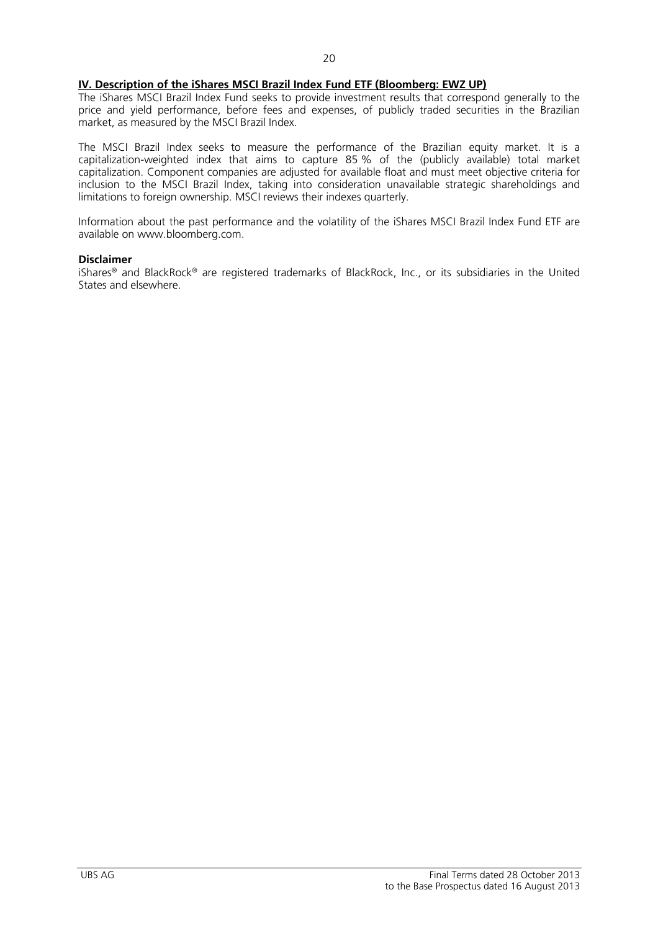### **IV. Description of the iShares MSCI Brazil Index Fund ETF (Bloomberg: EWZ UP)**

The iShares MSCI Brazil Index Fund seeks to provide investment results that correspond generally to the price and yield performance, before fees and expenses, of publicly traded securities in the Brazilian market, as measured by the MSCI Brazil Index.

The MSCI Brazil Index seeks to measure the performance of the Brazilian equity market. It is a capitalization-weighted index that aims to capture 85 % of the (publicly available) total market capitalization. Component companies are adjusted for available float and must meet objective criteria for inclusion to the MSCI Brazil Index, taking into consideration unavailable strategic shareholdings and limitations to foreign ownership. MSCI reviews their indexes quarterly.

Information about the past performance and the volatility of the iShares MSCI Brazil Index Fund ETF are available on www.bloomberg.com.

#### **Disclaimer**

iShares® and BlackRock® are registered trademarks of BlackRock, Inc., or its subsidiaries in the United States and elsewhere.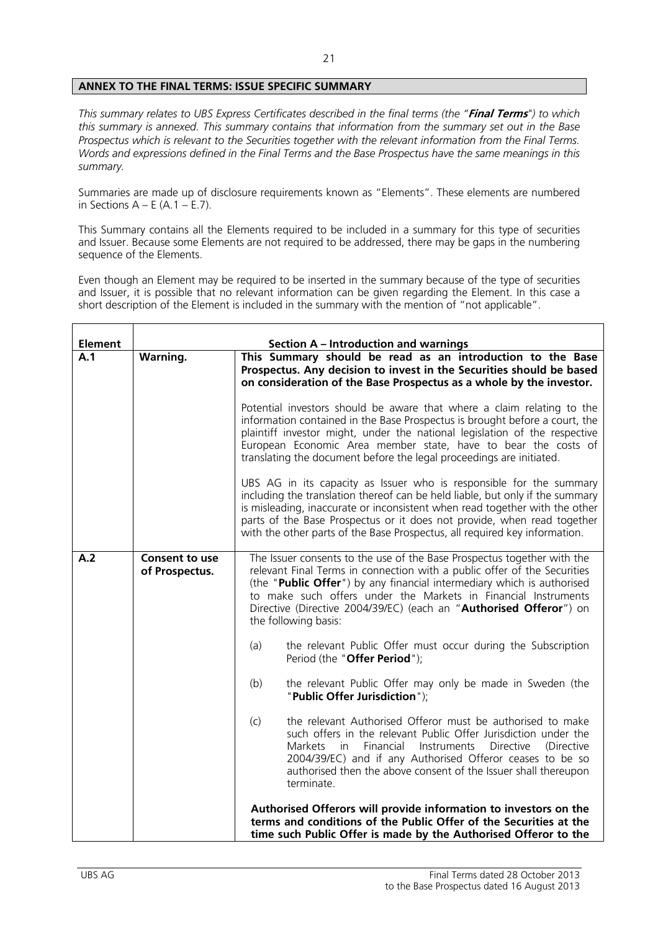### **ANNEX TO THE FINAL TERMS: ISSUE SPECIFIC SUMMARY**

*This summary relates to UBS Express Certificates described in the final terms (the "***Final Terms***") to which this summary is annexed. This summary contains that information from the summary set out in the Base Prospectus which is relevant to the Securities together with the relevant information from the Final Terms. Words and expressions defined in the Final Terms and the Base Prospectus have the same meanings in this summary.* 

Summaries are made up of disclosure requirements known as "Elements". These elements are numbered in Sections  $A - E(A.1 - E.7)$ .

This Summary contains all the Elements required to be included in a summary for this type of securities and Issuer. Because some Elements are not required to be addressed, there may be gaps in the numbering sequence of the Elements.

Even though an Element may be required to be inserted in the summary because of the type of securities and Issuer, it is possible that no relevant information can be given regarding the Element. In this case a short description of the Element is included in the summary with the mention of "not applicable".

| <b>Element</b> |                                         | <b>Section A - Introduction and warnings</b>                                                                                                                                                                                                                                                                                                                                                  |
|----------------|-----------------------------------------|-----------------------------------------------------------------------------------------------------------------------------------------------------------------------------------------------------------------------------------------------------------------------------------------------------------------------------------------------------------------------------------------------|
| A.1            | <b>Warning.</b>                         | This Summary should be read as an introduction to the Base<br>Prospectus. Any decision to invest in the Securities should be based<br>on consideration of the Base Prospectus as a whole by the investor.                                                                                                                                                                                     |
|                |                                         | Potential investors should be aware that where a claim relating to the<br>information contained in the Base Prospectus is brought before a court, the<br>plaintiff investor might, under the national legislation of the respective<br>European Economic Area member state, have to bear the costs of<br>translating the document before the legal proceedings are initiated.                 |
|                |                                         | UBS AG in its capacity as Issuer who is responsible for the summary<br>including the translation thereof can be held liable, but only if the summary<br>is misleading, inaccurate or inconsistent when read together with the other<br>parts of the Base Prospectus or it does not provide, when read together<br>with the other parts of the Base Prospectus, all required key information.  |
| A.2            | <b>Consent to use</b><br>of Prospectus. | The Issuer consents to the use of the Base Prospectus together with the<br>relevant Final Terms in connection with a public offer of the Securities<br>(the "Public Offer") by any financial intermediary which is authorised<br>to make such offers under the Markets in Financial Instruments<br>Directive (Directive 2004/39/EC) (each an "Authorised Offeror") on<br>the following basis: |
|                |                                         | the relevant Public Offer must occur during the Subscription<br>(a)<br>Period (the "Offer Period");                                                                                                                                                                                                                                                                                           |
|                |                                         | the relevant Public Offer may only be made in Sweden (the<br>(b)<br>"Public Offer Jurisdiction");                                                                                                                                                                                                                                                                                             |
|                |                                         | the relevant Authorised Offeror must be authorised to make<br>(c)<br>such offers in the relevant Public Offer Jurisdiction under the<br>Financial<br>Instruments<br><b>Directive</b><br>Markets in<br>(Directive)<br>2004/39/EC) and if any Authorised Offeror ceases to be so<br>authorised then the above consent of the Issuer shall thereupon<br>terminate.                               |
|                |                                         | Authorised Offerors will provide information to investors on the<br>terms and conditions of the Public Offer of the Securities at the<br>time such Public Offer is made by the Authorised Offeror to the                                                                                                                                                                                      |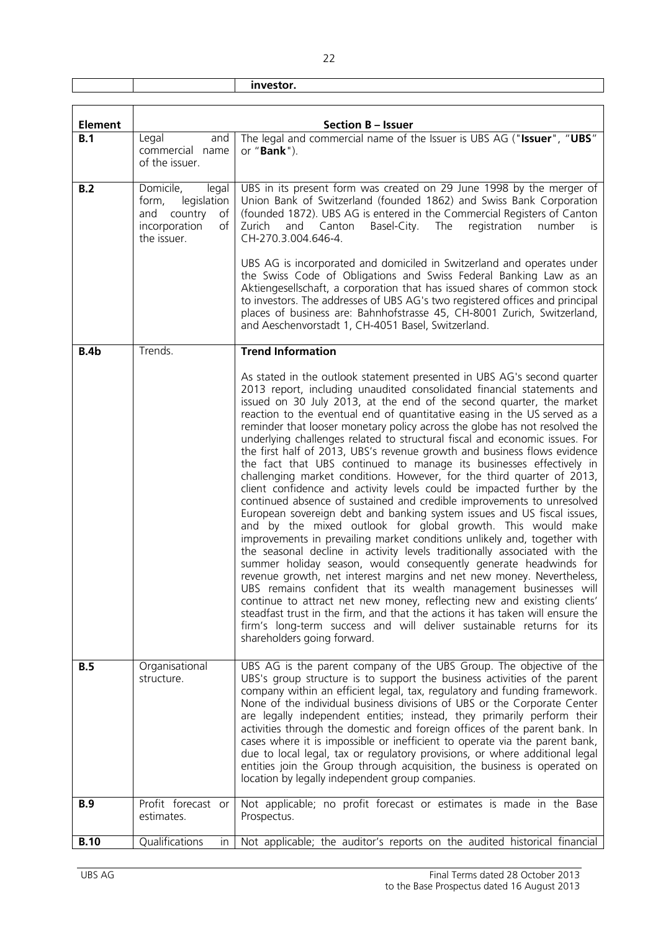|  | . |
|--|---|
|  |   |

 $\overline{1}$ 

| <b>Element</b> |                                                                                                       | <b>Section B - Issuer</b>                                                                                                                                                                                                                                                                                                                                                                                                                                                                                                                                                                                                                                                                                                                                                                                                                                                                                                                                                                                                                                                                                                                                                                                                                                                                                                                                                                                                                                                                                                                                                                                                                     |
|----------------|-------------------------------------------------------------------------------------------------------|-----------------------------------------------------------------------------------------------------------------------------------------------------------------------------------------------------------------------------------------------------------------------------------------------------------------------------------------------------------------------------------------------------------------------------------------------------------------------------------------------------------------------------------------------------------------------------------------------------------------------------------------------------------------------------------------------------------------------------------------------------------------------------------------------------------------------------------------------------------------------------------------------------------------------------------------------------------------------------------------------------------------------------------------------------------------------------------------------------------------------------------------------------------------------------------------------------------------------------------------------------------------------------------------------------------------------------------------------------------------------------------------------------------------------------------------------------------------------------------------------------------------------------------------------------------------------------------------------------------------------------------------------|
| B.1            | Legal<br>and<br>commercial name<br>of the issuer.                                                     | The legal and commercial name of the Issuer is UBS AG ("Issuer", "UBS"<br>or " <b>Bank</b> ").                                                                                                                                                                                                                                                                                                                                                                                                                                                                                                                                                                                                                                                                                                                                                                                                                                                                                                                                                                                                                                                                                                                                                                                                                                                                                                                                                                                                                                                                                                                                                |
| B.2            | Domicile,<br>legal<br>form,<br>legislation<br>and country<br>of<br>incorporation<br>of<br>the issuer. | UBS in its present form was created on 29 June 1998 by the merger of<br>Union Bank of Switzerland (founded 1862) and Swiss Bank Corporation<br>(founded 1872). UBS AG is entered in the Commercial Registers of Canton<br>Basel-City.<br>The<br>registration<br>Zurich<br>and<br>Canton<br>number<br>is<br>CH-270.3.004.646-4.<br>UBS AG is incorporated and domiciled in Switzerland and operates under<br>the Swiss Code of Obligations and Swiss Federal Banking Law as an<br>Aktiengesellschaft, a corporation that has issued shares of common stock<br>to investors. The addresses of UBS AG's two registered offices and principal<br>places of business are: Bahnhofstrasse 45, CH-8001 Zurich, Switzerland,<br>and Aeschenvorstadt 1, CH-4051 Basel, Switzerland.                                                                                                                                                                                                                                                                                                                                                                                                                                                                                                                                                                                                                                                                                                                                                                                                                                                                    |
| B.4b           | Trends.                                                                                               | <b>Trend Information</b>                                                                                                                                                                                                                                                                                                                                                                                                                                                                                                                                                                                                                                                                                                                                                                                                                                                                                                                                                                                                                                                                                                                                                                                                                                                                                                                                                                                                                                                                                                                                                                                                                      |
|                |                                                                                                       | As stated in the outlook statement presented in UBS AG's second quarter<br>2013 report, including unaudited consolidated financial statements and<br>issued on 30 July 2013, at the end of the second quarter, the market<br>reaction to the eventual end of quantitative easing in the US served as a<br>reminder that looser monetary policy across the globe has not resolved the<br>underlying challenges related to structural fiscal and economic issues. For<br>the first half of 2013, UBS's revenue growth and business flows evidence<br>the fact that UBS continued to manage its businesses effectively in<br>challenging market conditions. However, for the third quarter of 2013,<br>client confidence and activity levels could be impacted further by the<br>continued absence of sustained and credible improvements to unresolved<br>European sovereign debt and banking system issues and US fiscal issues,<br>and by the mixed outlook for global growth. This would make<br>improvements in prevailing market conditions unlikely and, together with<br>the seasonal decline in activity levels traditionally associated with the<br>summer holiday season, would consequently generate headwinds for<br>revenue growth, net interest margins and net new money. Nevertheless,<br>UBS remains confident that its wealth management businesses will<br>continue to attract net new money, reflecting new and existing clients'<br>steadfast trust in the firm, and that the actions it has taken will ensure the<br>firm's long-term success and will deliver sustainable returns for its<br>shareholders going forward. |
| <b>B.5</b>     | Organisational<br>structure.                                                                          | UBS AG is the parent company of the UBS Group. The objective of the<br>UBS's group structure is to support the business activities of the parent<br>company within an efficient legal, tax, regulatory and funding framework.<br>None of the individual business divisions of UBS or the Corporate Center<br>are legally independent entities; instead, they primarily perform their<br>activities through the domestic and foreign offices of the parent bank. In<br>cases where it is impossible or inefficient to operate via the parent bank,<br>due to local legal, tax or regulatory provisions, or where additional legal<br>entities join the Group through acquisition, the business is operated on<br>location by legally independent group companies.                                                                                                                                                                                                                                                                                                                                                                                                                                                                                                                                                                                                                                                                                                                                                                                                                                                                              |
| <b>B.9</b>     | Profit forecast<br>or<br>estimates.                                                                   | Not applicable; no profit forecast or estimates is made in the Base<br>Prospectus.                                                                                                                                                                                                                                                                                                                                                                                                                                                                                                                                                                                                                                                                                                                                                                                                                                                                                                                                                                                                                                                                                                                                                                                                                                                                                                                                                                                                                                                                                                                                                            |
| <b>B.10</b>    | Qualifications<br>in.                                                                                 | Not applicable; the auditor's reports on the audited historical financial                                                                                                                                                                                                                                                                                                                                                                                                                                                                                                                                                                                                                                                                                                                                                                                                                                                                                                                                                                                                                                                                                                                                                                                                                                                                                                                                                                                                                                                                                                                                                                     |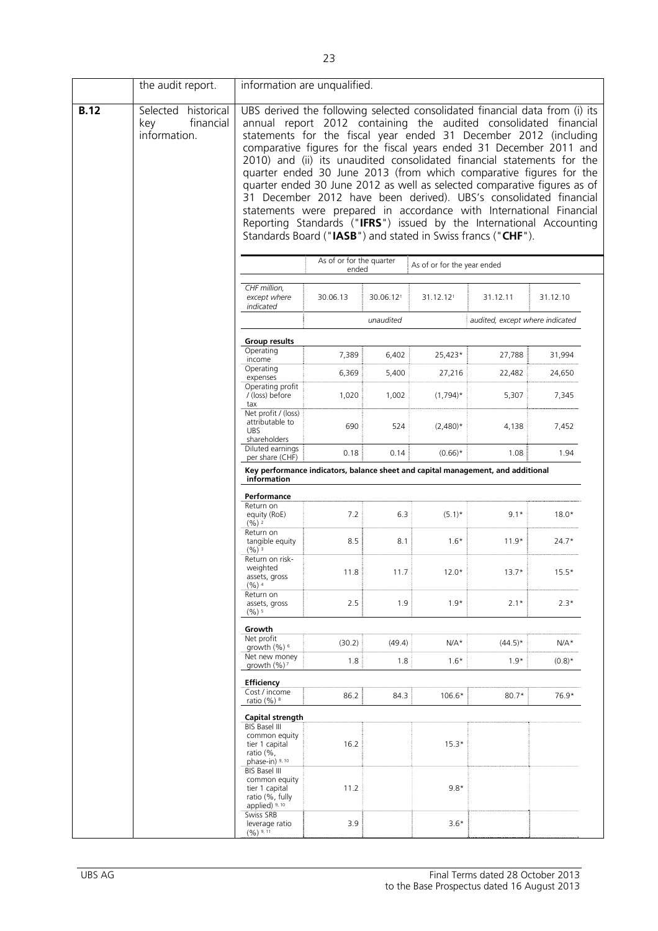|             | the audit report.                                       | information are unqualified.                                                                     |                                                                                                                                                                                                                                                                                                                                                                                                                                                                                                                                                                                                                                                                                                                                                                                                           |           |                             |                                                                                  |           |  |
|-------------|---------------------------------------------------------|--------------------------------------------------------------------------------------------------|-----------------------------------------------------------------------------------------------------------------------------------------------------------------------------------------------------------------------------------------------------------------------------------------------------------------------------------------------------------------------------------------------------------------------------------------------------------------------------------------------------------------------------------------------------------------------------------------------------------------------------------------------------------------------------------------------------------------------------------------------------------------------------------------------------------|-----------|-----------------------------|----------------------------------------------------------------------------------|-----------|--|
| <b>B.12</b> | Selected historical<br>financial<br>key<br>information. |                                                                                                  | UBS derived the following selected consolidated financial data from (i) its<br>annual report 2012 containing the audited consolidated financial<br>statements for the fiscal year ended 31 December 2012 (including<br>comparative figures for the fiscal years ended 31 December 2011 and<br>2010) and (ii) its unaudited consolidated financial statements for the<br>quarter ended 30 June 2013 (from which comparative figures for the<br>quarter ended 30 June 2012 as well as selected comparative figures as of<br>31 December 2012 have been derived). UBS's consolidated financial<br>statements were prepared in accordance with International Financial<br>Reporting Standards ("IFRS") issued by the International Accounting<br>Standards Board ("IASB") and stated in Swiss francs ("CHF"). |           |                             |                                                                                  |           |  |
|             |                                                         |                                                                                                  | As of or for the quarter<br>ended                                                                                                                                                                                                                                                                                                                                                                                                                                                                                                                                                                                                                                                                                                                                                                         |           | As of or for the year ended |                                                                                  |           |  |
|             |                                                         | CHF million,<br>except where<br>indicated                                                        | 30.06.13                                                                                                                                                                                                                                                                                                                                                                                                                                                                                                                                                                                                                                                                                                                                                                                                  | 30.06.121 | 31.12.121                   | 31.12.11                                                                         | 31.12.10  |  |
|             |                                                         |                                                                                                  |                                                                                                                                                                                                                                                                                                                                                                                                                                                                                                                                                                                                                                                                                                                                                                                                           | unaudited |                             | audited, except where indicated                                                  |           |  |
|             |                                                         | <b>Group results</b>                                                                             |                                                                                                                                                                                                                                                                                                                                                                                                                                                                                                                                                                                                                                                                                                                                                                                                           |           |                             |                                                                                  |           |  |
|             |                                                         | Operating<br>income                                                                              | 7,389                                                                                                                                                                                                                                                                                                                                                                                                                                                                                                                                                                                                                                                                                                                                                                                                     | 6,402     | 25,423*                     | 27,788                                                                           | 31,994    |  |
|             |                                                         | Operating<br>expenses                                                                            | 6,369                                                                                                                                                                                                                                                                                                                                                                                                                                                                                                                                                                                                                                                                                                                                                                                                     | 5,400     | 27,216                      | 22,482                                                                           | 24,650    |  |
|             |                                                         | Operating profit<br>/ (loss) before<br>tax                                                       | 1,020                                                                                                                                                                                                                                                                                                                                                                                                                                                                                                                                                                                                                                                                                                                                                                                                     | 1,002     | $(1,794)$ *                 | 5,307                                                                            | 7,345     |  |
|             |                                                         | Net profit / (loss)<br>attributable to<br><b>UBS</b><br>shareholders                             | 690                                                                                                                                                                                                                                                                                                                                                                                                                                                                                                                                                                                                                                                                                                                                                                                                       | 524       | $(2,480)*$                  | 4,138                                                                            | 7,452     |  |
|             |                                                         | Diluted earnings<br>per share (CHF)                                                              | 0.18                                                                                                                                                                                                                                                                                                                                                                                                                                                                                                                                                                                                                                                                                                                                                                                                      | 0.14      | $(0.66)*$                   | 1.08                                                                             | 1.94      |  |
|             |                                                         |                                                                                                  |                                                                                                                                                                                                                                                                                                                                                                                                                                                                                                                                                                                                                                                                                                                                                                                                           |           |                             | Key performance indicators, balance sheet and capital management, and additional |           |  |
|             |                                                         | information                                                                                      |                                                                                                                                                                                                                                                                                                                                                                                                                                                                                                                                                                                                                                                                                                                                                                                                           |           |                             |                                                                                  |           |  |
|             |                                                         | Performance<br>Return on<br>equity (RoE)<br>$(96)^2$                                             | 7.2                                                                                                                                                                                                                                                                                                                                                                                                                                                                                                                                                                                                                                                                                                                                                                                                       | 6.3       | $(5.1)^*$                   | $9.1*$                                                                           | $18.0*$   |  |
|             |                                                         | Return on<br>tangible equity<br>$(96)^3$                                                         | 8.5                                                                                                                                                                                                                                                                                                                                                                                                                                                                                                                                                                                                                                                                                                                                                                                                       | 8.1       | $1.6*$                      | $11.9*$                                                                          | $24.7*$   |  |
|             |                                                         | Return on risk-<br>weighted<br>assets, gross<br>$(%)^4$                                          | 11.8                                                                                                                                                                                                                                                                                                                                                                                                                                                                                                                                                                                                                                                                                                                                                                                                      | 11.7      | $12.0*$                     | $13.7*$                                                                          | $15.5*$   |  |
|             |                                                         | Return on<br>assets, gross<br>$(9/6)$ <sup>5</sup>                                               | 2.5                                                                                                                                                                                                                                                                                                                                                                                                                                                                                                                                                                                                                                                                                                                                                                                                       | 1.9       | $1.9*$                      | $2.1*$                                                                           | $2.3*$    |  |
|             |                                                         | Growth                                                                                           |                                                                                                                                                                                                                                                                                                                                                                                                                                                                                                                                                                                                                                                                                                                                                                                                           |           |                             |                                                                                  |           |  |
|             |                                                         | Net profit<br>growth $(\%)$ <sup>6</sup>                                                         | (30.2)                                                                                                                                                                                                                                                                                                                                                                                                                                                                                                                                                                                                                                                                                                                                                                                                    | (49.4)    | $N/A*$                      | $(44.5)^*$                                                                       | $N/A*$    |  |
|             |                                                         | Net new money<br>growth $(\%)$ ?                                                                 | 1.8                                                                                                                                                                                                                                                                                                                                                                                                                                                                                                                                                                                                                                                                                                                                                                                                       | 1.8       | $1.6*$                      | $1.9*$                                                                           | $(0.8)^*$ |  |
|             |                                                         | <b>Efficiency</b><br>Cost / income<br>ratio $(\%)$ <sup>8</sup>                                  | 86.2                                                                                                                                                                                                                                                                                                                                                                                                                                                                                                                                                                                                                                                                                                                                                                                                      | 84.3      | 106.6*                      | $80.7*$                                                                          | 76.9*     |  |
|             |                                                         | Capital strength                                                                                 |                                                                                                                                                                                                                                                                                                                                                                                                                                                                                                                                                                                                                                                                                                                                                                                                           |           |                             |                                                                                  |           |  |
|             |                                                         | <b>BIS Basel III</b><br>common equity<br>tier 1 capital<br>ratio (%.<br>phase-in) 9, 10          | 16.2                                                                                                                                                                                                                                                                                                                                                                                                                                                                                                                                                                                                                                                                                                                                                                                                      |           | $15.3*$                     |                                                                                  |           |  |
|             |                                                         | BIS Basel III<br>common equity<br>tier 1 capital<br>ratio (%, fully<br>applied) <sup>9, 10</sup> | 11.2                                                                                                                                                                                                                                                                                                                                                                                                                                                                                                                                                                                                                                                                                                                                                                                                      |           | $9.8*$                      |                                                                                  |           |  |
|             |                                                         | Swiss SRB<br>leverage ratio<br>$(96)$ 9, 11                                                      | 3.9                                                                                                                                                                                                                                                                                                                                                                                                                                                                                                                                                                                                                                                                                                                                                                                                       |           | $3.6*$                      |                                                                                  |           |  |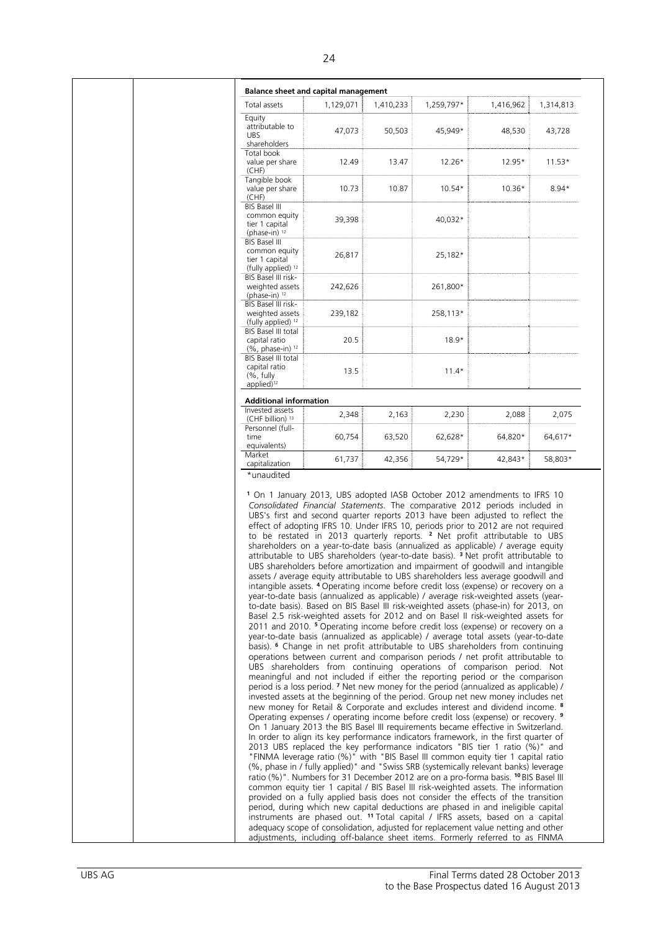|                                                                             |           | <b>Balance sheet and capital management</b> |            |                                                                                                                                                                                  |           |
|-----------------------------------------------------------------------------|-----------|---------------------------------------------|------------|----------------------------------------------------------------------------------------------------------------------------------------------------------------------------------|-----------|
| Total assets                                                                | 1,129,071 | 1,410,233                                   | 1,259,797* | 1,416,962                                                                                                                                                                        | 1,314,813 |
| Equity<br>attributable to<br><b>UBS</b><br>shareholders                     | 47,073    | 50,503                                      | 45.949*    | 48,530                                                                                                                                                                           | 43,728    |
| Total book<br>value per share<br>(CHF)                                      | 12.49     | 13.47                                       | 12.26*     | 12.95*                                                                                                                                                                           | $11.53*$  |
| Tangible book<br>value per share<br>(CHF)                                   | 10.73     | 10.87                                       | $10.54*$   | $10.36*$                                                                                                                                                                         | $8.94*$   |
| <b>BIS Basel III</b><br>common equity<br>tier 1 capital                     | 39,398    |                                             | 40,032*    |                                                                                                                                                                                  |           |
| (phase-in) 12<br>BIS Basel III<br>common equity                             |           |                                             |            |                                                                                                                                                                                  |           |
| tier 1 capital<br>(fully applied) 12<br>BIS Basel III risk-                 | 26,817    |                                             | 25,182*    |                                                                                                                                                                                  |           |
| weighted assets<br>(phase-in) $12$                                          | 242,626   |                                             | 261,800*   |                                                                                                                                                                                  |           |
| BIS Basel III risk-<br>weighted assets<br>(fully applied) <sup>12</sup>     | 239,182   |                                             | 258,113*   |                                                                                                                                                                                  |           |
| BIS Basel III total<br>capital ratio<br>(%, phase-in) <sup>12</sup>         | 20.5      |                                             | $18.9*$    |                                                                                                                                                                                  |           |
| BIS Basel III total<br>capital ratio<br>$(%$ , fully                        | 13.5      |                                             | $11.4*$    |                                                                                                                                                                                  |           |
| applied) <sup>12</sup>                                                      |           |                                             |            |                                                                                                                                                                                  |           |
| <b>Additional information</b><br>Invested assets                            | 2,348     | 2,163                                       | 2,230      | 2,088                                                                                                                                                                            | 2,075     |
| (CHF billion) <sup>13</sup><br>Personnel (full-<br>time                     | 60,754    | 63,520                                      | 62,628*    | 64,820*                                                                                                                                                                          | 64,617*   |
| equivalents)<br>Market                                                      |           |                                             |            |                                                                                                                                                                                  |           |
| capitalization                                                              | 61,737    | 42,356                                      | 54,729*    | 42,843*                                                                                                                                                                          | 58,803*   |
| *unaudited                                                                  |           |                                             |            | <sup>1</sup> On 1 January 2013, UBS adopted IASB October 2012 amendments to IFRS 10                                                                                              |           |
| Consolidated Financial Statements. The comparative 2012 periods included in |           |                                             |            |                                                                                                                                                                                  |           |
|                                                                             |           |                                             |            |                                                                                                                                                                                  |           |
|                                                                             |           |                                             |            | UBS's first and second quarter reports 2013 have been adjusted to reflect the                                                                                                    |           |
|                                                                             |           |                                             |            | effect of adopting IFRS 10. Under IFRS 10, periods prior to 2012 are not required<br>to be restated in 2013 quarterly reports. <sup>2</sup> Net profit attributable to UBS       |           |
|                                                                             |           |                                             |            | shareholders on a year-to-date basis (annualized as applicable) / average equity                                                                                                 |           |
|                                                                             |           |                                             |            | attributable to UBS shareholders (year-to-date basis). <sup>3</sup> Net profit attributable to<br>UBS shareholders before amortization and impairment of goodwill and intangible |           |
|                                                                             |           |                                             |            | assets / average equity attributable to UBS shareholders less average goodwill and                                                                                               |           |
|                                                                             |           |                                             |            | intangible assets. 4 Operating income before credit loss (expense) or recovery on a                                                                                              |           |
|                                                                             |           |                                             |            | year-to-date basis (annualized as applicable) / average risk-weighted assets (year-<br>to-date basis). Based on BIS Basel III risk-weighted assets (phase-in) for 2013, on       |           |
|                                                                             |           |                                             |            | Basel 2.5 risk-weighted assets for 2012 and on Basel II risk-weighted assets for                                                                                                 |           |
|                                                                             |           |                                             |            | 2011 and 2010. <sup>5</sup> Operating income before credit loss (expense) or recovery on a                                                                                       |           |
|                                                                             |           |                                             |            | year-to-date basis (annualized as applicable) / average total assets (year-to-date                                                                                               |           |
|                                                                             |           |                                             |            | basis). <sup>6</sup> Change in net profit attributable to UBS shareholders from continuing<br>operations between current and comparison periods / net profit attributable to     |           |
|                                                                             |           |                                             |            | UBS shareholders from continuing operations of comparison period. Not                                                                                                            |           |
|                                                                             |           |                                             |            | meaningful and not included if either the reporting period or the comparison                                                                                                     |           |
|                                                                             |           |                                             |            | period is a loss period. 7 Net new money for the period (annualized as applicable) /<br>invested assets at the beginning of the period. Group net new money includes net         |           |
|                                                                             |           |                                             |            | new money for Retail & Corporate and excludes interest and dividend income. <sup>8</sup>                                                                                         |           |
|                                                                             |           |                                             |            | Operating expenses / operating income before credit loss (expense) or recovery. 9                                                                                                |           |
|                                                                             |           |                                             |            | On 1 January 2013 the BIS Basel III requirements became effective in Switzerland.                                                                                                |           |
|                                                                             |           |                                             |            | In order to align its key performance indicators framework, in the first quarter of                                                                                              |           |
|                                                                             |           |                                             |            | 2013 UBS replaced the key performance indicators "BIS tier 1 ratio (%)" and                                                                                                      |           |
|                                                                             |           |                                             |            | "FINMA leverage ratio (%)" with "BIS Basel III common equity tier 1 capital ratio<br>(%, phase in / fully applied)" and "Swiss SRB (systemically relevant banks) leverage        |           |
|                                                                             |           |                                             |            | ratio (%)". Numbers for 31 December 2012 are on a pro-forma basis. <sup>10</sup> BIS Basel III                                                                                   |           |
|                                                                             |           |                                             |            | common equity tier 1 capital / BIS Basel III risk-weighted assets. The information                                                                                               |           |
|                                                                             |           |                                             |            | provided on a fully applied basis does not consider the effects of the transition                                                                                                |           |
|                                                                             |           |                                             |            | period, during which new capital deductions are phased in and ineligible capital                                                                                                 |           |
|                                                                             |           |                                             |            | instruments are phased out. <sup>11</sup> Total capital / IFRS assets, based on a capital<br>adequacy scope of consolidation, adjusted for replacement value netting and other   |           |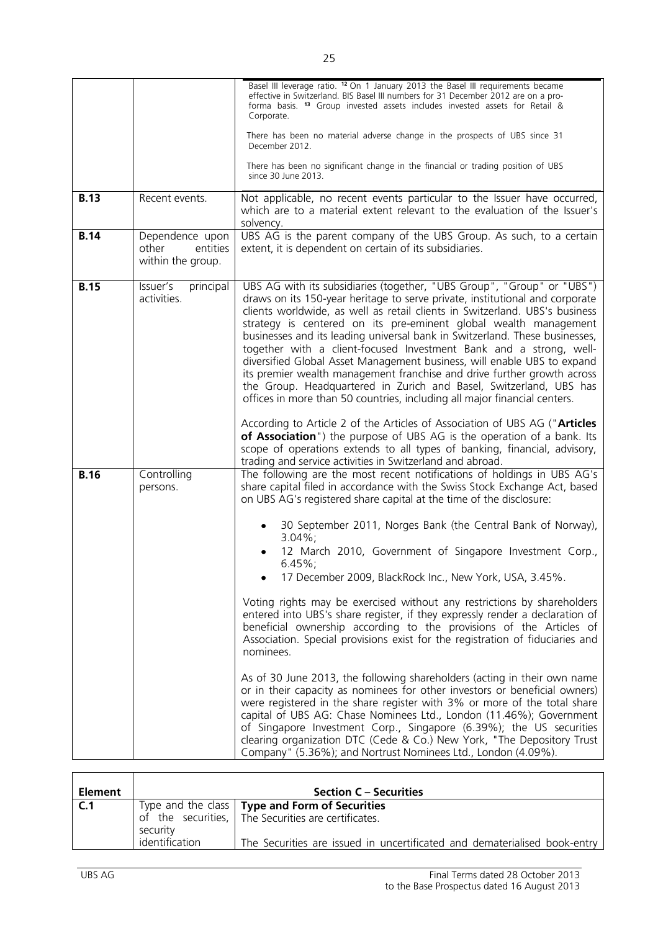|             |                                                           | Basel III leverage ratio. 12 On 1 January 2013 the Basel III requirements became<br>effective in Switzerland. BIS Basel III numbers for 31 December 2012 are on a pro-<br>forma basis. <sup>13</sup> Group invested assets includes invested assets for Retail &<br>Corporate.<br>There has been no material adverse change in the prospects of UBS since 31<br>December 2012.<br>There has been no significant change in the financial or trading position of UBS<br>since 30 June 2013.                                                                                                                                                                                                                                                                                                                                                                                                                                                                                                                                                                                                                                                                                                                                                                                                                      |
|-------------|-----------------------------------------------------------|----------------------------------------------------------------------------------------------------------------------------------------------------------------------------------------------------------------------------------------------------------------------------------------------------------------------------------------------------------------------------------------------------------------------------------------------------------------------------------------------------------------------------------------------------------------------------------------------------------------------------------------------------------------------------------------------------------------------------------------------------------------------------------------------------------------------------------------------------------------------------------------------------------------------------------------------------------------------------------------------------------------------------------------------------------------------------------------------------------------------------------------------------------------------------------------------------------------------------------------------------------------------------------------------------------------|
| <b>B.13</b> | Recent events.                                            | Not applicable, no recent events particular to the Issuer have occurred,<br>which are to a material extent relevant to the evaluation of the Issuer's<br>solvency.                                                                                                                                                                                                                                                                                                                                                                                                                                                                                                                                                                                                                                                                                                                                                                                                                                                                                                                                                                                                                                                                                                                                             |
| <b>B.14</b> | Dependence upon<br>entities<br>other<br>within the group. | UBS AG is the parent company of the UBS Group. As such, to a certain<br>extent, it is dependent on certain of its subsidiaries.                                                                                                                                                                                                                                                                                                                                                                                                                                                                                                                                                                                                                                                                                                                                                                                                                                                                                                                                                                                                                                                                                                                                                                                |
| <b>B.15</b> | Issuer's<br>principal<br>activities.                      | UBS AG with its subsidiaries (together, "UBS Group", "Group" or "UBS")<br>draws on its 150-year heritage to serve private, institutional and corporate<br>clients worldwide, as well as retail clients in Switzerland. UBS's business<br>strategy is centered on its pre-eminent global wealth management<br>businesses and its leading universal bank in Switzerland. These businesses,<br>together with a client-focused Investment Bank and a strong, well-<br>diversified Global Asset Management business, will enable UBS to expand<br>its premier wealth management franchise and drive further growth across<br>the Group. Headquartered in Zurich and Basel, Switzerland, UBS has<br>offices in more than 50 countries, including all major financial centers.<br>According to Article 2 of the Articles of Association of UBS AG ("Articles<br>of Association") the purpose of UBS AG is the operation of a bank. Its<br>scope of operations extends to all types of banking, financial, advisory,<br>trading and service activities in Switzerland and abroad.                                                                                                                                                                                                                                      |
| <b>B.16</b> | Controlling<br>persons.                                   | The following are the most recent notifications of holdings in UBS AG's<br>share capital filed in accordance with the Swiss Stock Exchange Act, based<br>on UBS AG's registered share capital at the time of the disclosure:<br>30 September 2011, Norges Bank (the Central Bank of Norway),<br>$3.04\%$ ;<br>12 March 2010, Government of Singapore Investment Corp.,<br>$6.45\%$ ;<br>17 December 2009, BlackRock Inc., New York, USA, 3.45%.<br>Voting rights may be exercised without any restrictions by shareholders<br>entered into UBS's share register, if they expressly render a declaration of<br>beneficial ownership according to the provisions of the Articles of<br>Association. Special provisions exist for the registration of fiduciaries and<br>nominees.<br>As of 30 June 2013, the following shareholders (acting in their own name<br>or in their capacity as nominees for other investors or beneficial owners)<br>were registered in the share register with 3% or more of the total share<br>capital of UBS AG: Chase Nominees Ltd., London (11.46%); Government<br>of Singapore Investment Corp., Singapore (6.39%); the US securities<br>clearing organization DTC (Cede & Co.) New York, "The Depository Trust<br>Company" (5.36%); and Nortrust Nominees Ltd., London (4.09%). |

| <b>Element</b> |                | <b>Section C – Securities</b>                                                                                          |
|----------------|----------------|------------------------------------------------------------------------------------------------------------------------|
| C.1            | security       | Type and the class   Type and Form of Securities<br>of the securities, $\overline{ }$ The Securities are certificates. |
|                | identification | The Securities are issued in uncertificated and dematerialised book-entry                                              |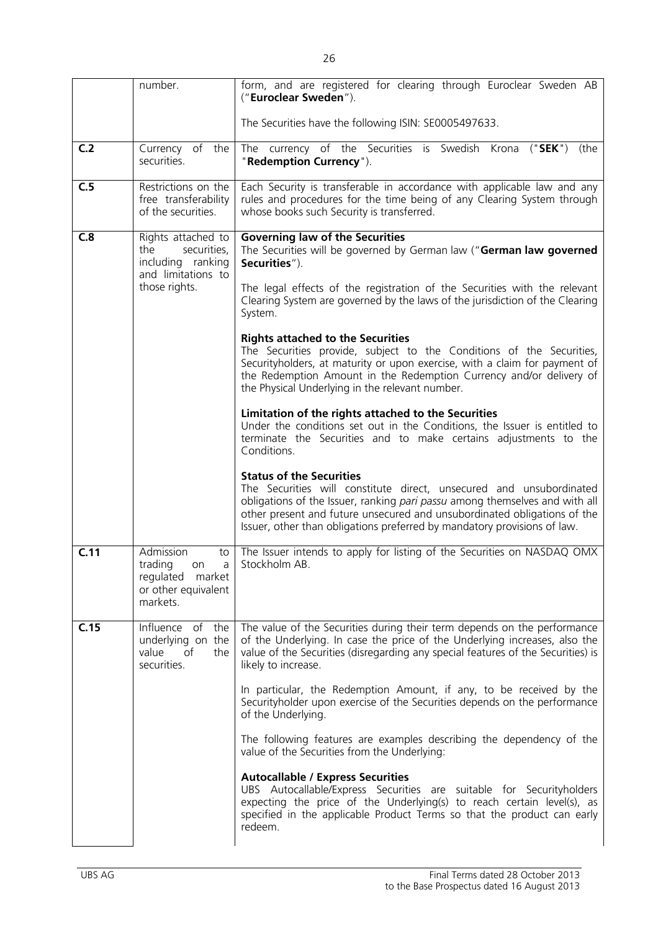|      | number.                                                                                              | form, and are registered for clearing through Euroclear Sweden AB<br>("Euroclear Sweden").                                                                                                                                                                                                                                                                                                                                                                                                                                                                                                                                                                                                                                                                                                                                                                                                                                                                                                                                                                                                                                                                                                                 |
|------|------------------------------------------------------------------------------------------------------|------------------------------------------------------------------------------------------------------------------------------------------------------------------------------------------------------------------------------------------------------------------------------------------------------------------------------------------------------------------------------------------------------------------------------------------------------------------------------------------------------------------------------------------------------------------------------------------------------------------------------------------------------------------------------------------------------------------------------------------------------------------------------------------------------------------------------------------------------------------------------------------------------------------------------------------------------------------------------------------------------------------------------------------------------------------------------------------------------------------------------------------------------------------------------------------------------------|
|      |                                                                                                      | The Securities have the following ISIN: SE0005497633.                                                                                                                                                                                                                                                                                                                                                                                                                                                                                                                                                                                                                                                                                                                                                                                                                                                                                                                                                                                                                                                                                                                                                      |
|      |                                                                                                      |                                                                                                                                                                                                                                                                                                                                                                                                                                                                                                                                                                                                                                                                                                                                                                                                                                                                                                                                                                                                                                                                                                                                                                                                            |
| C.2  | Currency of the<br>securities.                                                                       | The currency of the Securities is Swedish Krona ("SEK")<br>(the<br>"Redemption Currency").                                                                                                                                                                                                                                                                                                                                                                                                                                                                                                                                                                                                                                                                                                                                                                                                                                                                                                                                                                                                                                                                                                                 |
| C.5  | Restrictions on the<br>free transferability<br>of the securities.                                    | Each Security is transferable in accordance with applicable law and any<br>rules and procedures for the time being of any Clearing System through<br>whose books such Security is transferred.                                                                                                                                                                                                                                                                                                                                                                                                                                                                                                                                                                                                                                                                                                                                                                                                                                                                                                                                                                                                             |
| C.8  | Rights attached to<br>the<br>securities,<br>including ranking<br>and limitations to<br>those rights. | <b>Governing law of the Securities</b><br>The Securities will be governed by German law ("German law governed<br>Securities").<br>The legal effects of the registration of the Securities with the relevant<br>Clearing System are governed by the laws of the jurisdiction of the Clearing<br>System.<br><b>Rights attached to the Securities</b><br>The Securities provide, subject to the Conditions of the Securities,<br>Securityholders, at maturity or upon exercise, with a claim for payment of<br>the Redemption Amount in the Redemption Currency and/or delivery of<br>the Physical Underlying in the relevant number.<br>Limitation of the rights attached to the Securities<br>Under the conditions set out in the Conditions, the Issuer is entitled to<br>terminate the Securities and to make certains adjustments to the<br>Conditions.<br><b>Status of the Securities</b><br>The Securities will constitute direct, unsecured and unsubordinated<br>obligations of the Issuer, ranking pari passu among themselves and with all<br>other present and future unsecured and unsubordinated obligations of the<br>Issuer, other than obligations preferred by mandatory provisions of law. |
| C.11 | Admission<br>to<br>trading<br>a<br>on<br>regulated market<br>or other equivalent<br>markets.         | The Issuer intends to apply for listing of the Securities on NASDAQ OMX<br>Stockholm AB.                                                                                                                                                                                                                                                                                                                                                                                                                                                                                                                                                                                                                                                                                                                                                                                                                                                                                                                                                                                                                                                                                                                   |
| C.15 | Influence of<br>the<br>underlying on the<br>value<br>of<br>the<br>securities.                        | The value of the Securities during their term depends on the performance<br>of the Underlying. In case the price of the Underlying increases, also the<br>value of the Securities (disregarding any special features of the Securities) is<br>likely to increase.<br>In particular, the Redemption Amount, if any, to be received by the<br>Securityholder upon exercise of the Securities depends on the performance<br>of the Underlying.<br>The following features are examples describing the dependency of the<br>value of the Securities from the Underlying:<br><b>Autocallable / Express Securities</b><br>UBS Autocallable/Express Securities are suitable for Securityholders<br>expecting the price of the Underlying(s) to reach certain level(s), as<br>specified in the applicable Product Terms so that the product can early<br>redeem.                                                                                                                                                                                                                                                                                                                                                    |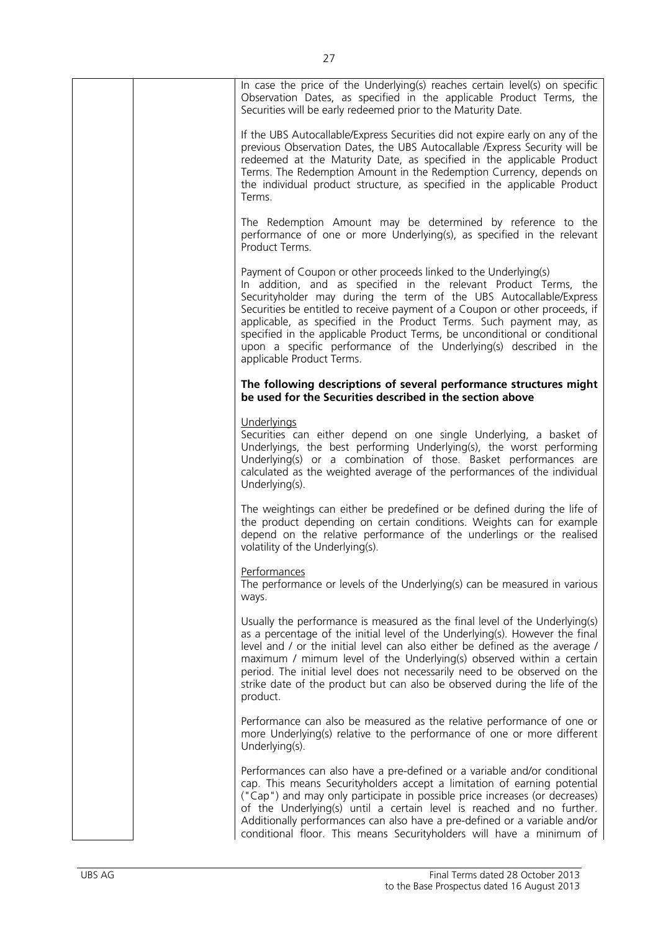| In case the price of the Underlying(s) reaches certain level(s) on specific<br>Observation Dates, as specified in the applicable Product Terms, the<br>Securities will be early redeemed prior to the Maturity Date.                                                                                                                                                                                                                                                                                                                            |
|-------------------------------------------------------------------------------------------------------------------------------------------------------------------------------------------------------------------------------------------------------------------------------------------------------------------------------------------------------------------------------------------------------------------------------------------------------------------------------------------------------------------------------------------------|
| If the UBS Autocallable/Express Securities did not expire early on any of the<br>previous Observation Dates, the UBS Autocallable / Express Security will be<br>redeemed at the Maturity Date, as specified in the applicable Product<br>Terms. The Redemption Amount in the Redemption Currency, depends on<br>the individual product structure, as specified in the applicable Product<br>Terms.                                                                                                                                              |
| The Redemption Amount may be determined by reference to the<br>performance of one or more Underlying(s), as specified in the relevant<br>Product Terms.                                                                                                                                                                                                                                                                                                                                                                                         |
| Payment of Coupon or other proceeds linked to the Underlying(s)<br>In addition, and as specified in the relevant Product Terms, the<br>Securityholder may during the term of the UBS Autocallable/Express<br>Securities be entitled to receive payment of a Coupon or other proceeds, if<br>applicable, as specified in the Product Terms. Such payment may, as<br>specified in the applicable Product Terms, be unconditional or conditional<br>upon a specific performance of the Underlying(s) described in the<br>applicable Product Terms. |
| The following descriptions of several performance structures might<br>be used for the Securities described in the section above                                                                                                                                                                                                                                                                                                                                                                                                                 |
| Underlyings<br>Securities can either depend on one single Underlying, a basket of<br>Underlyings, the best performing Underlying(s), the worst performing<br>Underlying(s) or a combination of those. Basket performances are<br>calculated as the weighted average of the performances of the individual<br>Underlying(s).                                                                                                                                                                                                                     |
| The weightings can either be predefined or be defined during the life of<br>the product depending on certain conditions. Weights can for example<br>depend on the relative performance of the underlings or the realised<br>volatility of the Underlying(s).                                                                                                                                                                                                                                                                                    |
| Performances<br>The performance or levels of the Underlying(s) can be measured in various<br>ways.                                                                                                                                                                                                                                                                                                                                                                                                                                              |
| Usually the performance is measured as the final level of the Underlying(s)<br>as a percentage of the initial level of the Underlying(s). However the final<br>level and / or the initial level can also either be defined as the average /<br>maximum / mimum level of the Underlying(s) observed within a certain<br>period. The initial level does not necessarily need to be observed on the<br>strike date of the product but can also be observed during the life of the<br>product.                                                      |
| Performance can also be measured as the relative performance of one or<br>more Underlying(s) relative to the performance of one or more different<br>Underlying(s).                                                                                                                                                                                                                                                                                                                                                                             |
| Performances can also have a pre-defined or a variable and/or conditional<br>cap. This means Securityholders accept a limitation of earning potential<br>("Cap") and may only participate in possible price increases (or decreases)<br>of the Underlying(s) until a certain level is reached and no further.<br>Additionally performances can also have a pre-defined or a variable and/or<br>conditional floor. This means Securityholders will have a minimum of                                                                             |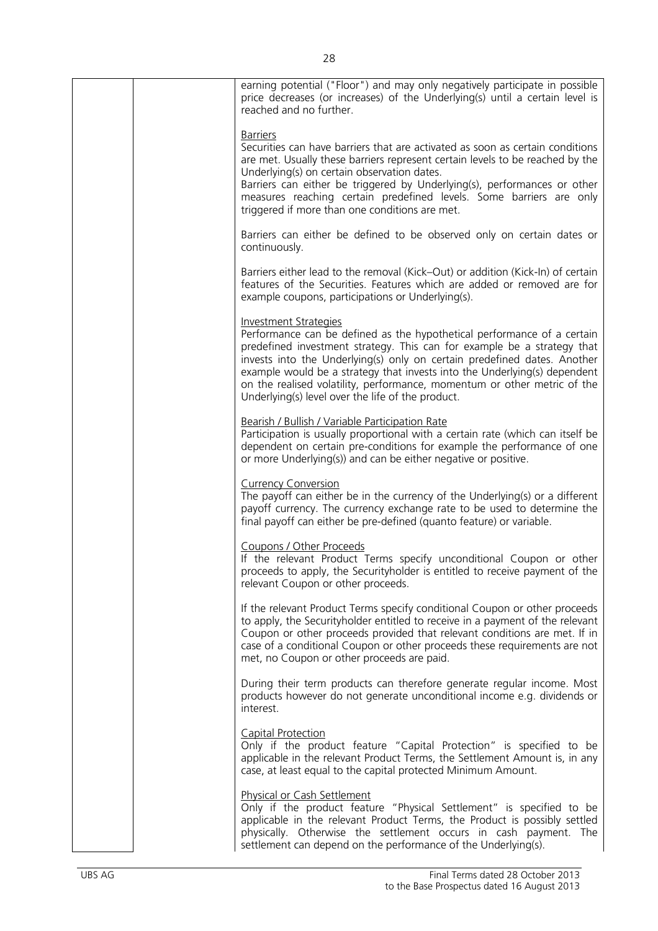|  | earning potential ("Floor") and may only negatively participate in possible<br>price decreases (or increases) of the Underlying(s) until a certain level is<br>reached and no further.                                                                                                                                                                                                                                                                                       |
|--|------------------------------------------------------------------------------------------------------------------------------------------------------------------------------------------------------------------------------------------------------------------------------------------------------------------------------------------------------------------------------------------------------------------------------------------------------------------------------|
|  | <b>Barriers</b><br>Securities can have barriers that are activated as soon as certain conditions<br>are met. Usually these barriers represent certain levels to be reached by the<br>Underlying(s) on certain observation dates.<br>Barriers can either be triggered by Underlying(s), performances or other<br>measures reaching certain predefined levels. Some barriers are only<br>triggered if more than one conditions are met.                                        |
|  | Barriers can either be defined to be observed only on certain dates or<br>continuously.                                                                                                                                                                                                                                                                                                                                                                                      |
|  | Barriers either lead to the removal (Kick–Out) or addition (Kick-In) of certain<br>features of the Securities. Features which are added or removed are for<br>example coupons, participations or Underlying(s).                                                                                                                                                                                                                                                              |
|  | <b>Investment Strategies</b><br>Performance can be defined as the hypothetical performance of a certain<br>predefined investment strategy. This can for example be a strategy that<br>invests into the Underlying(s) only on certain predefined dates. Another<br>example would be a strategy that invests into the Underlying(s) dependent<br>on the realised volatility, performance, momentum or other metric of the<br>Underlying(s) level over the life of the product. |
|  | Bearish / Bullish / Variable Participation Rate<br>Participation is usually proportional with a certain rate (which can itself be<br>dependent on certain pre-conditions for example the performance of one<br>or more Underlying(s)) and can be either negative or positive.                                                                                                                                                                                                |
|  | <b>Currency Conversion</b><br>The payoff can either be in the currency of the Underlying(s) or a different<br>payoff currency. The currency exchange rate to be used to determine the<br>final payoff can either be pre-defined (quanto feature) or variable.                                                                                                                                                                                                                |
|  | Coupons / Other Proceeds<br>If the relevant Product Terms specify unconditional Coupon or other<br>proceeds to apply, the Securityholder is entitled to receive payment of the<br>relevant Coupon or other proceeds.                                                                                                                                                                                                                                                         |
|  | If the relevant Product Terms specify conditional Coupon or other proceeds<br>to apply, the Securityholder entitled to receive in a payment of the relevant<br>Coupon or other proceeds provided that relevant conditions are met. If in<br>case of a conditional Coupon or other proceeds these requirements are not<br>met, no Coupon or other proceeds are paid.                                                                                                          |
|  | During their term products can therefore generate regular income. Most<br>products however do not generate unconditional income e.g. dividends or<br>interest.                                                                                                                                                                                                                                                                                                               |
|  | <b>Capital Protection</b><br>Only if the product feature "Capital Protection" is specified to be<br>applicable in the relevant Product Terms, the Settlement Amount is, in any<br>case, at least equal to the capital protected Minimum Amount.                                                                                                                                                                                                                              |
|  | <b>Physical or Cash Settlement</b><br>Only if the product feature "Physical Settlement" is specified to be<br>applicable in the relevant Product Terms, the Product is possibly settled<br>physically. Otherwise the settlement occurs in cash payment. The<br>settlement can depend on the performance of the Underlying(s).                                                                                                                                                |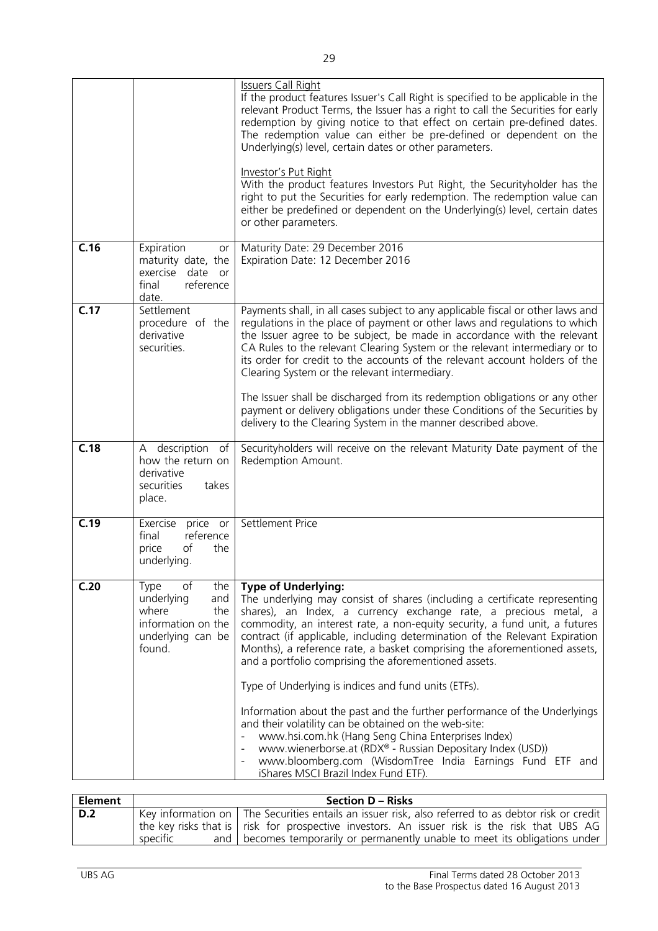|      |                                                                                                             | <b>Issuers Call Right</b><br>If the product features Issuer's Call Right is specified to be applicable in the<br>relevant Product Terms, the Issuer has a right to call the Securities for early<br>redemption by giving notice to that effect on certain pre-defined dates.<br>The redemption value can either be pre-defined or dependent on the<br>Underlying(s) level, certain dates or other parameters.<br>Investor's Put Right<br>With the product features Investors Put Right, the Securityholder has the<br>right to put the Securities for early redemption. The redemption value can<br>either be predefined or dependent on the Underlying(s) level, certain dates<br>or other parameters.                                                                                                                                                                                                                                          |
|------|-------------------------------------------------------------------------------------------------------------|--------------------------------------------------------------------------------------------------------------------------------------------------------------------------------------------------------------------------------------------------------------------------------------------------------------------------------------------------------------------------------------------------------------------------------------------------------------------------------------------------------------------------------------------------------------------------------------------------------------------------------------------------------------------------------------------------------------------------------------------------------------------------------------------------------------------------------------------------------------------------------------------------------------------------------------------------|
| C.16 | Expiration<br>or<br>maturity date, the<br>exercise date or<br>final<br>reference<br>date.                   | Maturity Date: 29 December 2016<br>Expiration Date: 12 December 2016                                                                                                                                                                                                                                                                                                                                                                                                                                                                                                                                                                                                                                                                                                                                                                                                                                                                             |
| C.17 | Settlement<br>procedure of the<br>derivative<br>securities.                                                 | Payments shall, in all cases subject to any applicable fiscal or other laws and<br>regulations in the place of payment or other laws and regulations to which<br>the Issuer agree to be subject, be made in accordance with the relevant<br>CA Rules to the relevant Clearing System or the relevant intermediary or to<br>its order for credit to the accounts of the relevant account holders of the<br>Clearing System or the relevant intermediary.<br>The Issuer shall be discharged from its redemption obligations or any other<br>payment or delivery obligations under these Conditions of the Securities by<br>delivery to the Clearing System in the manner described above.                                                                                                                                                                                                                                                          |
| C.18 | description<br>of<br>A<br>how the return on<br>derivative<br>securities<br>takes<br>place.                  | Securityholders will receive on the relevant Maturity Date payment of the<br>Redemption Amount.                                                                                                                                                                                                                                                                                                                                                                                                                                                                                                                                                                                                                                                                                                                                                                                                                                                  |
| C.19 | Exercise price or<br>final<br>reference<br>price<br>оf<br>the<br>underlying.                                | Settlement Price                                                                                                                                                                                                                                                                                                                                                                                                                                                                                                                                                                                                                                                                                                                                                                                                                                                                                                                                 |
| C.20 | of<br>the<br>Type<br>underlying<br>and<br>where<br>the<br>information on the<br>underlying can be<br>found. | <b>Type of Underlying:</b><br>The underlying may consist of shares (including a certificate representing<br>shares), an Index, a currency exchange rate, a precious metal, a<br>commodity, an interest rate, a non-equity security, a fund unit, a futures<br>contract (if applicable, including determination of the Relevant Expiration<br>Months), a reference rate, a basket comprising the aforementioned assets,<br>and a portfolio comprising the aforementioned assets.<br>Type of Underlying is indices and fund units (ETFs).<br>Information about the past and the further performance of the Underlyings<br>and their volatility can be obtained on the web-site:<br>www.hsi.com.hk (Hang Seng China Enterprises Index)<br>$\equiv$<br>www.wienerborse.at (RDX® - Russian Depositary Index (USD))<br>$\omega$<br>www.bloomberg.com (WisdomTree India Earnings Fund ETF and<br>$\blacksquare$<br>iShares MSCI Brazil Index Fund ETF). |

| <b>Element</b> |          | <b>Section D – Risks</b>                                                                                                                                                                                                                                                                 |
|----------------|----------|------------------------------------------------------------------------------------------------------------------------------------------------------------------------------------------------------------------------------------------------------------------------------------------|
| D.2            | specific | Key information on   The Securities entails an issuer risk, also referred to as debtor risk or credit<br>the key risks that is   risk for prospective investors. An issuer risk is the risk that UBS AG<br>and   becomes temporarily or permanently unable to meet its obligations under |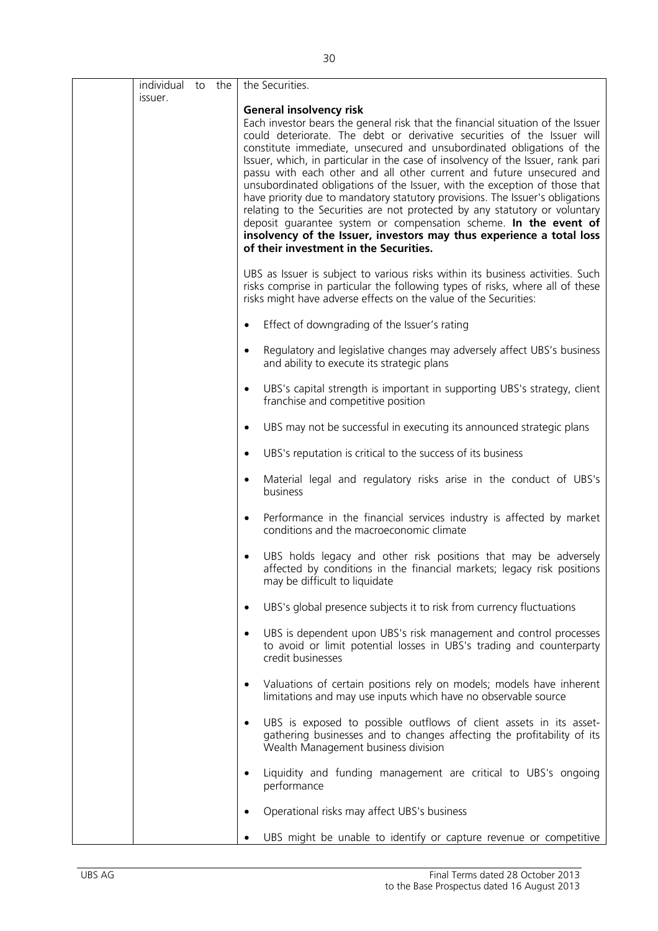| individual to the<br>issuer. |  | the Securities.                                                                                                                                                                                                                                                                                                                                                                                                                                                                                                                                                                                                                                                                                                                                                                                                                                                     |
|------------------------------|--|---------------------------------------------------------------------------------------------------------------------------------------------------------------------------------------------------------------------------------------------------------------------------------------------------------------------------------------------------------------------------------------------------------------------------------------------------------------------------------------------------------------------------------------------------------------------------------------------------------------------------------------------------------------------------------------------------------------------------------------------------------------------------------------------------------------------------------------------------------------------|
|                              |  | <b>General insolvency risk</b><br>Each investor bears the general risk that the financial situation of the Issuer<br>could deteriorate. The debt or derivative securities of the Issuer will<br>constitute immediate, unsecured and unsubordinated obligations of the<br>Issuer, which, in particular in the case of insolvency of the Issuer, rank pari<br>passu with each other and all other current and future unsecured and<br>unsubordinated obligations of the Issuer, with the exception of those that<br>have priority due to mandatory statutory provisions. The Issuer's obligations<br>relating to the Securities are not protected by any statutory or voluntary<br>deposit guarantee system or compensation scheme. In the event of<br>insolvency of the Issuer, investors may thus experience a total loss<br>of their investment in the Securities. |
|                              |  | UBS as Issuer is subject to various risks within its business activities. Such<br>risks comprise in particular the following types of risks, where all of these<br>risks might have adverse effects on the value of the Securities:                                                                                                                                                                                                                                                                                                                                                                                                                                                                                                                                                                                                                                 |
|                              |  | Effect of downgrading of the Issuer's rating<br>$\bullet$                                                                                                                                                                                                                                                                                                                                                                                                                                                                                                                                                                                                                                                                                                                                                                                                           |
|                              |  | Regulatory and legislative changes may adversely affect UBS's business<br>$\bullet$<br>and ability to execute its strategic plans                                                                                                                                                                                                                                                                                                                                                                                                                                                                                                                                                                                                                                                                                                                                   |
|                              |  | UBS's capital strength is important in supporting UBS's strategy, client<br>$\bullet$<br>franchise and competitive position                                                                                                                                                                                                                                                                                                                                                                                                                                                                                                                                                                                                                                                                                                                                         |
|                              |  | UBS may not be successful in executing its announced strategic plans<br>$\bullet$                                                                                                                                                                                                                                                                                                                                                                                                                                                                                                                                                                                                                                                                                                                                                                                   |
|                              |  | UBS's reputation is critical to the success of its business<br>$\bullet$                                                                                                                                                                                                                                                                                                                                                                                                                                                                                                                                                                                                                                                                                                                                                                                            |
|                              |  | Material legal and regulatory risks arise in the conduct of UBS's<br>$\bullet$<br>business                                                                                                                                                                                                                                                                                                                                                                                                                                                                                                                                                                                                                                                                                                                                                                          |
|                              |  | Performance in the financial services industry is affected by market<br>$\bullet$<br>conditions and the macroeconomic climate                                                                                                                                                                                                                                                                                                                                                                                                                                                                                                                                                                                                                                                                                                                                       |
|                              |  | UBS holds legacy and other risk positions that may be adversely<br>affected by conditions in the financial markets; legacy risk positions<br>may be difficult to liquidate                                                                                                                                                                                                                                                                                                                                                                                                                                                                                                                                                                                                                                                                                          |
|                              |  | UBS's global presence subjects it to risk from currency fluctuations<br>٠                                                                                                                                                                                                                                                                                                                                                                                                                                                                                                                                                                                                                                                                                                                                                                                           |
|                              |  | UBS is dependent upon UBS's risk management and control processes<br>to avoid or limit potential losses in UBS's trading and counterparty<br>credit businesses                                                                                                                                                                                                                                                                                                                                                                                                                                                                                                                                                                                                                                                                                                      |
|                              |  | Valuations of certain positions rely on models; models have inherent<br>$\bullet$<br>limitations and may use inputs which have no observable source                                                                                                                                                                                                                                                                                                                                                                                                                                                                                                                                                                                                                                                                                                                 |
|                              |  | UBS is exposed to possible outflows of client assets in its asset-<br>$\bullet$<br>gathering businesses and to changes affecting the profitability of its<br>Wealth Management business division                                                                                                                                                                                                                                                                                                                                                                                                                                                                                                                                                                                                                                                                    |
|                              |  | Liquidity and funding management are critical to UBS's ongoing<br>performance                                                                                                                                                                                                                                                                                                                                                                                                                                                                                                                                                                                                                                                                                                                                                                                       |
|                              |  | Operational risks may affect UBS's business                                                                                                                                                                                                                                                                                                                                                                                                                                                                                                                                                                                                                                                                                                                                                                                                                         |
|                              |  | UBS might be unable to identify or capture revenue or competitive                                                                                                                                                                                                                                                                                                                                                                                                                                                                                                                                                                                                                                                                                                                                                                                                   |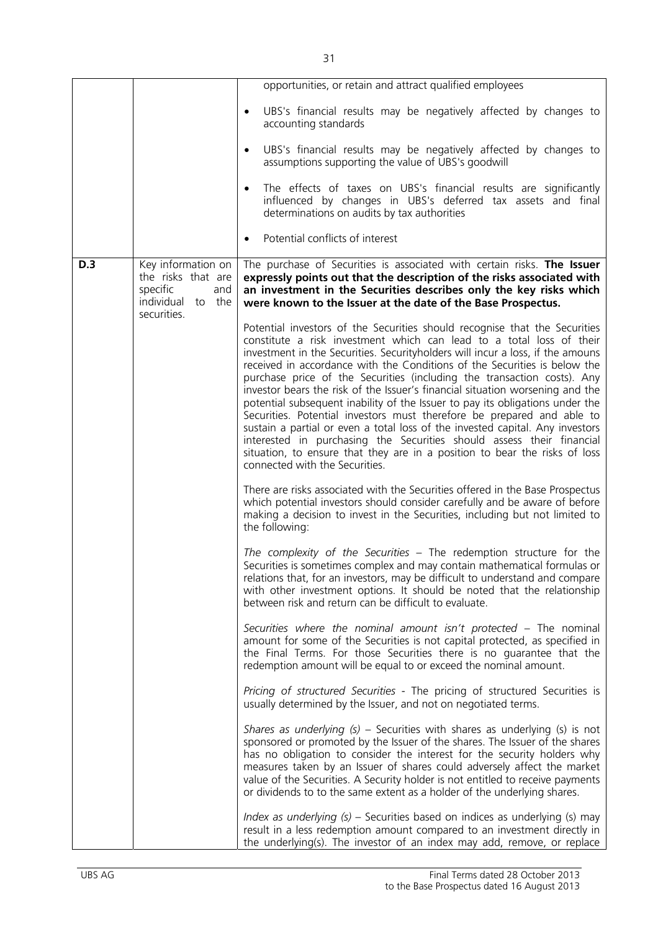|            |                                                                                                 | opportunities, or retain and attract qualified employees                                                                                                                                                                                                                                                                                                                                                                                                                                                                                                                                                                                                                                                                                                                                                                                                                                                           |
|------------|-------------------------------------------------------------------------------------------------|--------------------------------------------------------------------------------------------------------------------------------------------------------------------------------------------------------------------------------------------------------------------------------------------------------------------------------------------------------------------------------------------------------------------------------------------------------------------------------------------------------------------------------------------------------------------------------------------------------------------------------------------------------------------------------------------------------------------------------------------------------------------------------------------------------------------------------------------------------------------------------------------------------------------|
|            |                                                                                                 | UBS's financial results may be negatively affected by changes to<br>$\bullet$<br>accounting standards                                                                                                                                                                                                                                                                                                                                                                                                                                                                                                                                                                                                                                                                                                                                                                                                              |
|            |                                                                                                 | UBS's financial results may be negatively affected by changes to<br>$\bullet$<br>assumptions supporting the value of UBS's goodwill                                                                                                                                                                                                                                                                                                                                                                                                                                                                                                                                                                                                                                                                                                                                                                                |
|            |                                                                                                 | The effects of taxes on UBS's financial results are significantly<br>$\bullet$<br>influenced by changes in UBS's deferred tax assets and final<br>determinations on audits by tax authorities                                                                                                                                                                                                                                                                                                                                                                                                                                                                                                                                                                                                                                                                                                                      |
|            |                                                                                                 | Potential conflicts of interest<br>$\bullet$                                                                                                                                                                                                                                                                                                                                                                                                                                                                                                                                                                                                                                                                                                                                                                                                                                                                       |
| <b>D.3</b> | Key information on<br>the risks that are<br>specific<br>and<br>individual to the<br>securities. | The purchase of Securities is associated with certain risks. The Issuer<br>expressly points out that the description of the risks associated with<br>an investment in the Securities describes only the key risks which<br>were known to the Issuer at the date of the Base Prospectus.                                                                                                                                                                                                                                                                                                                                                                                                                                                                                                                                                                                                                            |
|            |                                                                                                 | Potential investors of the Securities should recognise that the Securities<br>constitute a risk investment which can lead to a total loss of their<br>investment in the Securities. Securityholders will incur a loss, if the amouns<br>received in accordance with the Conditions of the Securities is below the<br>purchase price of the Securities (including the transaction costs). Any<br>investor bears the risk of the Issuer's financial situation worsening and the<br>potential subsequent inability of the Issuer to pay its obligations under the<br>Securities. Potential investors must therefore be prepared and able to<br>sustain a partial or even a total loss of the invested capital. Any investors<br>interested in purchasing the Securities should assess their financial<br>situation, to ensure that they are in a position to bear the risks of loss<br>connected with the Securities. |
|            |                                                                                                 | There are risks associated with the Securities offered in the Base Prospectus<br>which potential investors should consider carefully and be aware of before<br>making a decision to invest in the Securities, including but not limited to<br>the following:                                                                                                                                                                                                                                                                                                                                                                                                                                                                                                                                                                                                                                                       |
|            |                                                                                                 | The complexity of the Securities - The redemption structure for the<br>Securities is sometimes complex and may contain mathematical formulas or<br>relations that, for an investors, may be difficult to understand and compare<br>with other investment options. It should be noted that the relationship<br>between risk and return can be difficult to evaluate.                                                                                                                                                                                                                                                                                                                                                                                                                                                                                                                                                |
|            |                                                                                                 | Securities where the nominal amount isn't protected - The nominal<br>amount for some of the Securities is not capital protected, as specified in<br>the Final Terms. For those Securities there is no guarantee that the<br>redemption amount will be equal to or exceed the nominal amount.                                                                                                                                                                                                                                                                                                                                                                                                                                                                                                                                                                                                                       |
|            |                                                                                                 | Pricing of structured Securities - The pricing of structured Securities is<br>usually determined by the Issuer, and not on negotiated terms.                                                                                                                                                                                                                                                                                                                                                                                                                                                                                                                                                                                                                                                                                                                                                                       |
|            |                                                                                                 | Shares as underlying $(s)$ – Securities with shares as underlying $(s)$ is not<br>sponsored or promoted by the Issuer of the shares. The Issuer of the shares<br>has no obligation to consider the interest for the security holders why<br>measures taken by an Issuer of shares could adversely affect the market<br>value of the Securities. A Security holder is not entitled to receive payments<br>or dividends to to the same extent as a holder of the underlying shares.                                                                                                                                                                                                                                                                                                                                                                                                                                  |
|            |                                                                                                 | <i>Index as underlying</i> $(s)$ – Securities based on indices as underlying $(s)$ may<br>result in a less redemption amount compared to an investment directly in<br>the underlying(s). The investor of an index may add, remove, or replace                                                                                                                                                                                                                                                                                                                                                                                                                                                                                                                                                                                                                                                                      |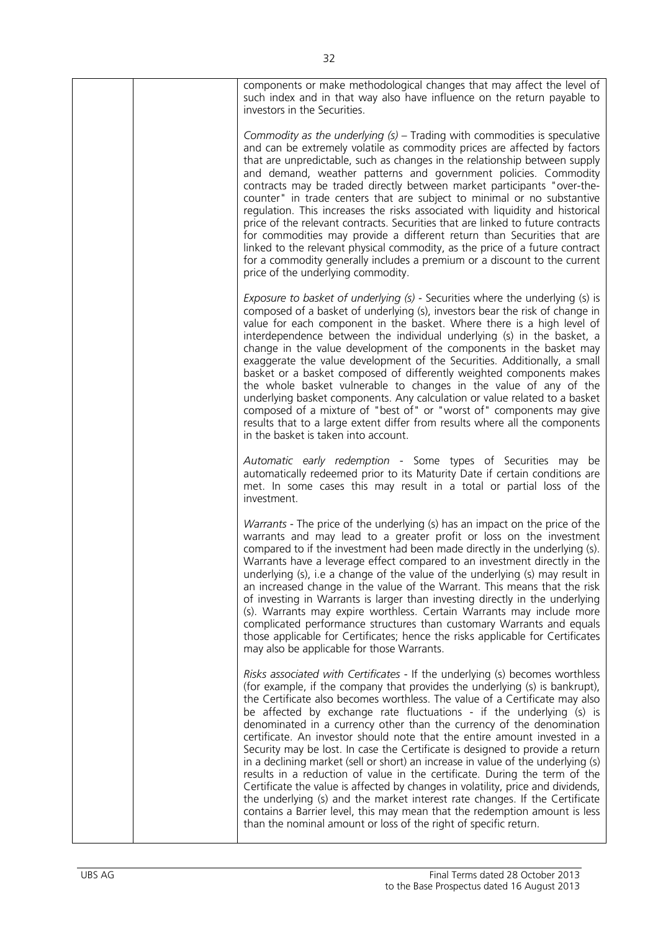| components or make methodological changes that may affect the level of<br>such index and in that way also have influence on the return payable to<br>investors in the Securities.                                                                                                                                                                                                                                                                                                                                                                                                                                                                                                                                                                                                                                                                                                                                                                                                                                                                |
|--------------------------------------------------------------------------------------------------------------------------------------------------------------------------------------------------------------------------------------------------------------------------------------------------------------------------------------------------------------------------------------------------------------------------------------------------------------------------------------------------------------------------------------------------------------------------------------------------------------------------------------------------------------------------------------------------------------------------------------------------------------------------------------------------------------------------------------------------------------------------------------------------------------------------------------------------------------------------------------------------------------------------------------------------|
| Commodity as the underlying $(s)$ – Trading with commodities is speculative<br>and can be extremely volatile as commodity prices are affected by factors<br>that are unpredictable, such as changes in the relationship between supply<br>and demand, weather patterns and government policies. Commodity<br>contracts may be traded directly between market participants "over-the-<br>counter" in trade centers that are subject to minimal or no substantive<br>regulation. This increases the risks associated with liquidity and historical<br>price of the relevant contracts. Securities that are linked to future contracts<br>for commodities may provide a different return than Securities that are<br>linked to the relevant physical commodity, as the price of a future contract<br>for a commodity generally includes a premium or a discount to the current<br>price of the underlying commodity.                                                                                                                                |
| Exposure to basket of underlying (s) - Securities where the underlying (s) is<br>composed of a basket of underlying (s), investors bear the risk of change in<br>value for each component in the basket. Where there is a high level of<br>interdependence between the individual underlying (s) in the basket, a<br>change in the value development of the components in the basket may<br>exaggerate the value development of the Securities. Additionally, a small<br>basket or a basket composed of differently weighted components makes<br>the whole basket vulnerable to changes in the value of any of the<br>underlying basket components. Any calculation or value related to a basket<br>composed of a mixture of "best of" or "worst of" components may give<br>results that to a large extent differ from results where all the components<br>in the basket is taken into account.                                                                                                                                                  |
| Automatic early redemption - Some types of Securities may be<br>automatically redeemed prior to its Maturity Date if certain conditions are<br>met. In some cases this may result in a total or partial loss of the<br>investment.                                                                                                                                                                                                                                                                                                                                                                                                                                                                                                                                                                                                                                                                                                                                                                                                               |
| Warrants - The price of the underlying (s) has an impact on the price of the<br>warrants and may lead to a greater profit or loss on the investment<br>compared to if the investment had been made directly in the underlying (s).<br>Warrants have a leverage effect compared to an investment directly in the<br>underlying (s), i.e a change of the value of the underlying (s) may result in<br>an increased change in the value of the Warrant. This means that the risk<br>of investing in Warrants is larger than investing directly in the underlying<br>(s). Warrants may expire worthless. Certain Warrants may include more<br>complicated performance structures than customary Warrants and equals<br>those applicable for Certificates; hence the risks applicable for Certificates<br>may also be applicable for those Warrants.                                                                                                                                                                                                  |
| Risks associated with Certificates - If the underlying (s) becomes worthless<br>(for example, if the company that provides the underlying (s) is bankrupt),<br>the Certificate also becomes worthless. The value of a Certificate may also<br>be affected by exchange rate fluctuations - if the underlying (s) is<br>denominated in a currency other than the currency of the denomination<br>certificate. An investor should note that the entire amount invested in a<br>Security may be lost. In case the Certificate is designed to provide a return<br>in a declining market (sell or short) an increase in value of the underlying (s)<br>results in a reduction of value in the certificate. During the term of the<br>Certificate the value is affected by changes in volatility, price and dividends,<br>the underlying (s) and the market interest rate changes. If the Certificate<br>contains a Barrier level, this may mean that the redemption amount is less<br>than the nominal amount or loss of the right of specific return. |
|                                                                                                                                                                                                                                                                                                                                                                                                                                                                                                                                                                                                                                                                                                                                                                                                                                                                                                                                                                                                                                                  |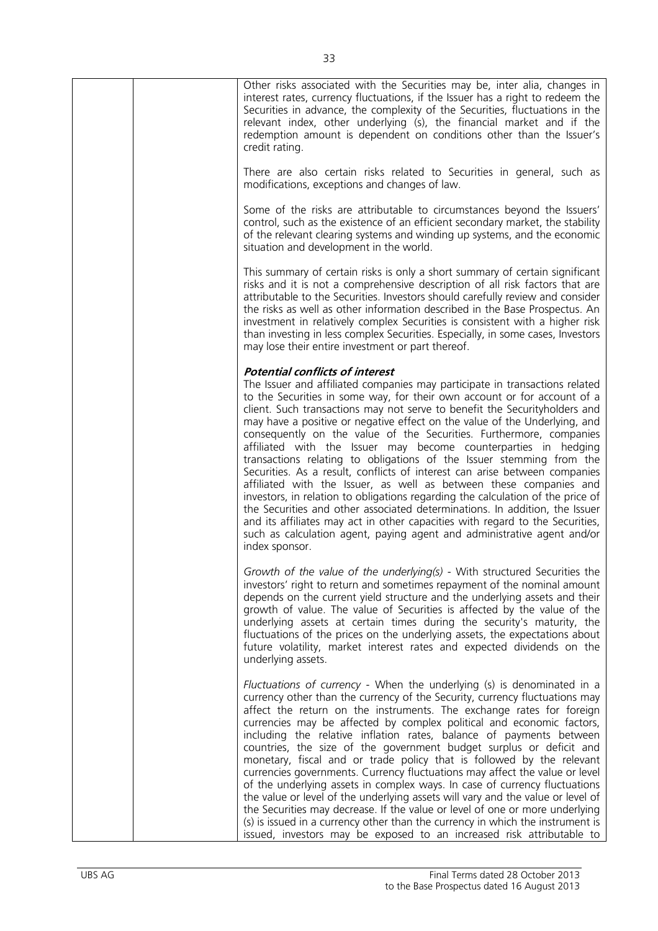| Other risks associated with the Securities may be, inter alia, changes in<br>interest rates, currency fluctuations, if the Issuer has a right to redeem the<br>Securities in advance, the complexity of the Securities, fluctuations in the<br>relevant index, other underlying (s), the financial market and if the<br>redemption amount is dependent on conditions other than the Issuer's<br>credit rating.                                                                                                                                                                                                                                                                                                                                                                                                                                                                                                                                                                                                                                                                      |
|-------------------------------------------------------------------------------------------------------------------------------------------------------------------------------------------------------------------------------------------------------------------------------------------------------------------------------------------------------------------------------------------------------------------------------------------------------------------------------------------------------------------------------------------------------------------------------------------------------------------------------------------------------------------------------------------------------------------------------------------------------------------------------------------------------------------------------------------------------------------------------------------------------------------------------------------------------------------------------------------------------------------------------------------------------------------------------------|
| There are also certain risks related to Securities in general, such as<br>modifications, exceptions and changes of law.                                                                                                                                                                                                                                                                                                                                                                                                                                                                                                                                                                                                                                                                                                                                                                                                                                                                                                                                                             |
| Some of the risks are attributable to circumstances beyond the Issuers'<br>control, such as the existence of an efficient secondary market, the stability<br>of the relevant clearing systems and winding up systems, and the economic<br>situation and development in the world.                                                                                                                                                                                                                                                                                                                                                                                                                                                                                                                                                                                                                                                                                                                                                                                                   |
| This summary of certain risks is only a short summary of certain significant<br>risks and it is not a comprehensive description of all risk factors that are<br>attributable to the Securities. Investors should carefully review and consider<br>the risks as well as other information described in the Base Prospectus. An<br>investment in relatively complex Securities is consistent with a higher risk<br>than investing in less complex Securities. Especially, in some cases, Investors<br>may lose their entire investment or part thereof.                                                                                                                                                                                                                                                                                                                                                                                                                                                                                                                               |
| <b>Potential conflicts of interest</b><br>The Issuer and affiliated companies may participate in transactions related<br>to the Securities in some way, for their own account or for account of a<br>client. Such transactions may not serve to benefit the Securityholders and<br>may have a positive or negative effect on the value of the Underlying, and<br>consequently on the value of the Securities. Furthermore, companies<br>affiliated with the Issuer may become counterparties in hedging<br>transactions relating to obligations of the Issuer stemming from the<br>Securities. As a result, conflicts of interest can arise between companies<br>affiliated with the Issuer, as well as between these companies and<br>investors, in relation to obligations regarding the calculation of the price of<br>the Securities and other associated determinations. In addition, the Issuer<br>and its affiliates may act in other capacities with regard to the Securities,<br>such as calculation agent, paying agent and administrative agent and/or<br>index sponsor. |
| Growth of the value of the underlying(s) - With structured Securities the<br>investors' right to return and sometimes repayment of the nominal amount<br>depends on the current yield structure and the underlying assets and their<br>growth of value. The value of Securities is affected by the value of the<br>underlying assets at certain times during the security's maturity, the<br>fluctuations of the prices on the underlying assets, the expectations about<br>future volatility, market interest rates and expected dividends on the<br>underlying assets.                                                                                                                                                                                                                                                                                                                                                                                                                                                                                                            |
| Fluctuations of currency - When the underlying (s) is denominated in a<br>currency other than the currency of the Security, currency fluctuations may<br>affect the return on the instruments. The exchange rates for foreign<br>currencies may be affected by complex political and economic factors,<br>including the relative inflation rates, balance of payments between<br>countries, the size of the government budget surplus or deficit and<br>monetary, fiscal and or trade policy that is followed by the relevant<br>currencies governments. Currency fluctuations may affect the value or level<br>of the underlying assets in complex ways. In case of currency fluctuations<br>the value or level of the underlying assets will vary and the value or level of<br>the Securities may decrease. If the value or level of one or more underlying<br>(s) is issued in a currency other than the currency in which the instrument is<br>issued, investors may be exposed to an increased risk attributable to                                                            |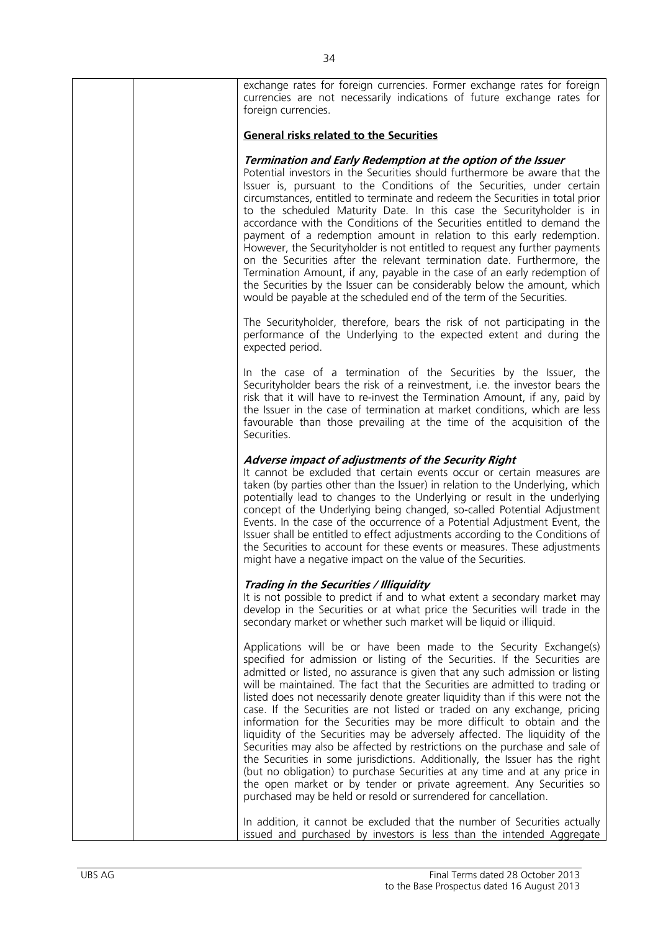| exchange rates for foreign currencies. Former exchange rates for foreign<br>currencies are not necessarily indications of future exchange rates for<br>foreign currencies.                                                                                                                                                                                                                                                                                                                                                                                                                                                                                                                                                                                                                                                                                                                                                                                                                                                        |
|-----------------------------------------------------------------------------------------------------------------------------------------------------------------------------------------------------------------------------------------------------------------------------------------------------------------------------------------------------------------------------------------------------------------------------------------------------------------------------------------------------------------------------------------------------------------------------------------------------------------------------------------------------------------------------------------------------------------------------------------------------------------------------------------------------------------------------------------------------------------------------------------------------------------------------------------------------------------------------------------------------------------------------------|
| <b>General risks related to the Securities</b>                                                                                                                                                                                                                                                                                                                                                                                                                                                                                                                                                                                                                                                                                                                                                                                                                                                                                                                                                                                    |
| Termination and Early Redemption at the option of the Issuer<br>Potential investors in the Securities should furthermore be aware that the<br>Issuer is, pursuant to the Conditions of the Securities, under certain<br>circumstances, entitled to terminate and redeem the Securities in total prior<br>to the scheduled Maturity Date. In this case the Securityholder is in<br>accordance with the Conditions of the Securities entitled to demand the<br>payment of a redemption amount in relation to this early redemption.<br>However, the Securityholder is not entitled to request any further payments<br>on the Securities after the relevant termination date. Furthermore, the<br>Termination Amount, if any, payable in the case of an early redemption of<br>the Securities by the Issuer can be considerably below the amount, which<br>would be payable at the scheduled end of the term of the Securities.                                                                                                      |
| The Securityholder, therefore, bears the risk of not participating in the<br>performance of the Underlying to the expected extent and during the<br>expected period.                                                                                                                                                                                                                                                                                                                                                                                                                                                                                                                                                                                                                                                                                                                                                                                                                                                              |
| In the case of a termination of the Securities by the Issuer, the<br>Securityholder bears the risk of a reinvestment, i.e. the investor bears the<br>risk that it will have to re-invest the Termination Amount, if any, paid by<br>the Issuer in the case of termination at market conditions, which are less<br>favourable than those prevailing at the time of the acquisition of the<br>Securities.                                                                                                                                                                                                                                                                                                                                                                                                                                                                                                                                                                                                                           |
| Adverse impact of adjustments of the Security Right<br>It cannot be excluded that certain events occur or certain measures are<br>taken (by parties other than the Issuer) in relation to the Underlying, which<br>potentially lead to changes to the Underlying or result in the underlying<br>concept of the Underlying being changed, so-called Potential Adjustment<br>Events. In the case of the occurrence of a Potential Adjustment Event, the<br>Issuer shall be entitled to effect adjustments according to the Conditions of<br>the Securities to account for these events or measures. These adjustments<br>might have a negative impact on the value of the Securities.                                                                                                                                                                                                                                                                                                                                               |
| Trading in the Securities / Illiquidity<br>It is not possible to predict if and to what extent a secondary market may<br>develop in the Securities or at what price the Securities will trade in the<br>secondary market or whether such market will be liquid or illiquid.                                                                                                                                                                                                                                                                                                                                                                                                                                                                                                                                                                                                                                                                                                                                                       |
| Applications will be or have been made to the Security Exchange(s)<br>specified for admission or listing of the Securities. If the Securities are<br>admitted or listed, no assurance is given that any such admission or listing<br>will be maintained. The fact that the Securities are admitted to trading or<br>listed does not necessarily denote greater liquidity than if this were not the<br>case. If the Securities are not listed or traded on any exchange, pricing<br>information for the Securities may be more difficult to obtain and the<br>liquidity of the Securities may be adversely affected. The liquidity of the<br>Securities may also be affected by restrictions on the purchase and sale of<br>the Securities in some jurisdictions. Additionally, the Issuer has the right<br>(but no obligation) to purchase Securities at any time and at any price in<br>the open market or by tender or private agreement. Any Securities so<br>purchased may be held or resold or surrendered for cancellation. |
| In addition, it cannot be excluded that the number of Securities actually<br>issued and purchased by investors is less than the intended Aggregate                                                                                                                                                                                                                                                                                                                                                                                                                                                                                                                                                                                                                                                                                                                                                                                                                                                                                |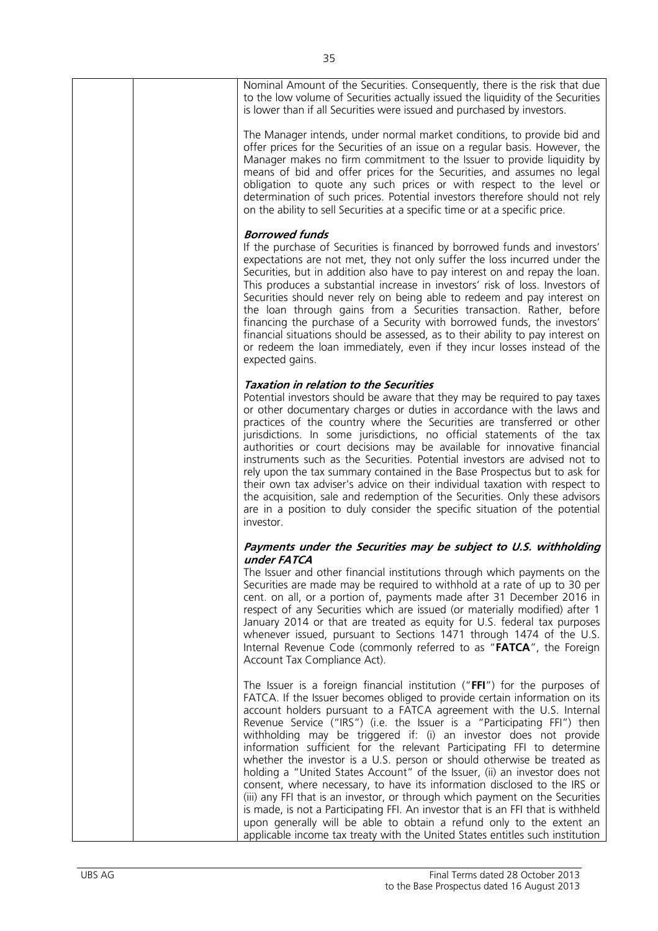| Nominal Amount of the Securities. Consequently, there is the risk that due<br>to the low volume of Securities actually issued the liquidity of the Securities<br>is lower than if all Securities were issued and purchased by investors.                                                                                                                                                                                                                                                                                                                                                                                                                                                                                                                                                                                                                                                                                                                                                                                          |
|-----------------------------------------------------------------------------------------------------------------------------------------------------------------------------------------------------------------------------------------------------------------------------------------------------------------------------------------------------------------------------------------------------------------------------------------------------------------------------------------------------------------------------------------------------------------------------------------------------------------------------------------------------------------------------------------------------------------------------------------------------------------------------------------------------------------------------------------------------------------------------------------------------------------------------------------------------------------------------------------------------------------------------------|
| The Manager intends, under normal market conditions, to provide bid and<br>offer prices for the Securities of an issue on a regular basis. However, the<br>Manager makes no firm commitment to the Issuer to provide liquidity by<br>means of bid and offer prices for the Securities, and assumes no legal<br>obligation to quote any such prices or with respect to the level or<br>determination of such prices. Potential investors therefore should not rely<br>on the ability to sell Securities at a specific time or at a specific price.                                                                                                                                                                                                                                                                                                                                                                                                                                                                                 |
| <b>Borrowed funds</b><br>If the purchase of Securities is financed by borrowed funds and investors'<br>expectations are not met, they not only suffer the loss incurred under the<br>Securities, but in addition also have to pay interest on and repay the loan.<br>This produces a substantial increase in investors' risk of loss. Investors of<br>Securities should never rely on being able to redeem and pay interest on<br>the loan through gains from a Securities transaction. Rather, before<br>financing the purchase of a Security with borrowed funds, the investors'<br>financial situations should be assessed, as to their ability to pay interest on<br>or redeem the loan immediately, even if they incur losses instead of the<br>expected gains.                                                                                                                                                                                                                                                              |
| <b>Taxation in relation to the Securities</b><br>Potential investors should be aware that they may be required to pay taxes<br>or other documentary charges or duties in accordance with the laws and<br>practices of the country where the Securities are transferred or other<br>jurisdictions. In some jurisdictions, no official statements of the tax<br>authorities or court decisions may be available for innovative financial<br>instruments such as the Securities. Potential investors are advised not to<br>rely upon the tax summary contained in the Base Prospectus but to ask for<br>their own tax adviser's advice on their individual taxation with respect to<br>the acquisition, sale and redemption of the Securities. Only these advisors<br>are in a position to duly consider the specific situation of the potential<br>investor.                                                                                                                                                                        |
| Payments under the Securities may be subject to U.S. withholding<br>under FATCA<br>The Issuer and other financial institutions through which payments on the<br>Securities are made may be required to withhold at a rate of up to 30 per<br>cent. on all, or a portion of, payments made after 31 December 2016 in<br>respect of any Securities which are issued (or materially modified) after 1<br>January 2014 or that are treated as equity for U.S. federal tax purposes<br>whenever issued, pursuant to Sections 1471 through 1474 of the U.S.<br>Internal Revenue Code (commonly referred to as "FATCA", the Foreign<br>Account Tax Compliance Act).                                                                                                                                                                                                                                                                                                                                                                      |
| The Issuer is a foreign financial institution (" $FFI'$ ) for the purposes of<br>FATCA. If the Issuer becomes obliged to provide certain information on its<br>account holders pursuant to a FATCA agreement with the U.S. Internal<br>Revenue Service ("IRS") (i.e. the Issuer is a "Participating FFI") then<br>withholding may be triggered if: (i) an investor does not provide<br>information sufficient for the relevant Participating FFI to determine<br>whether the investor is a U.S. person or should otherwise be treated as<br>holding a "United States Account" of the Issuer, (ii) an investor does not<br>consent, where necessary, to have its information disclosed to the IRS or<br>(iii) any FFI that is an investor, or through which payment on the Securities<br>is made, is not a Participating FFI. An investor that is an FFI that is withheld<br>upon generally will be able to obtain a refund only to the extent an<br>applicable income tax treaty with the United States entitles such institution |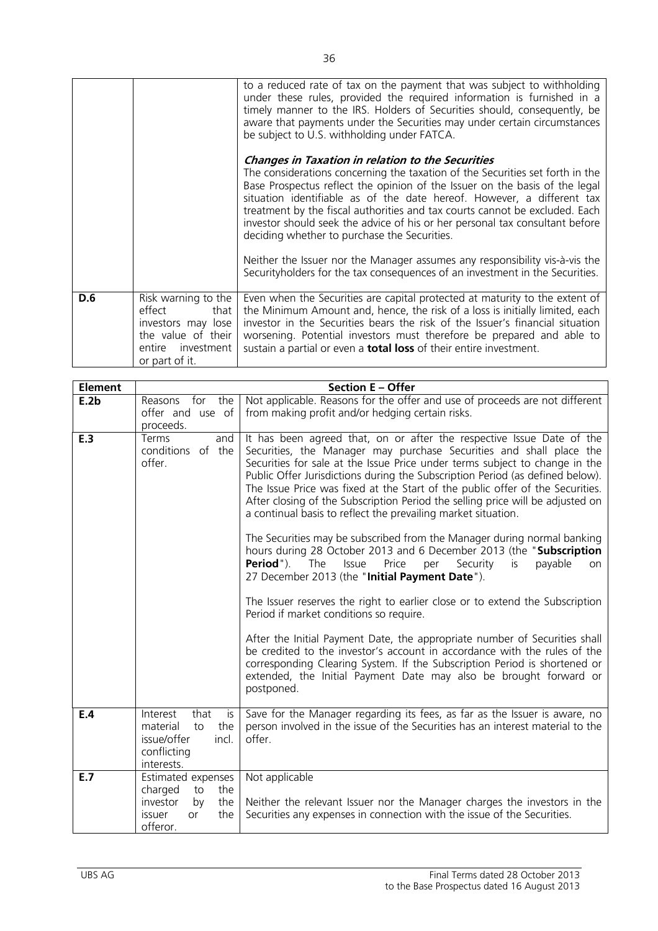|     |                                                                                                                          | to a reduced rate of tax on the payment that was subject to withholding<br>under these rules, provided the required information is furnished in a<br>timely manner to the IRS. Holders of Securities should, consequently, be<br>aware that payments under the Securities may under certain circumstances<br>be subject to U.S. withholding under FATCA.                                                                                                                                                          |
|-----|--------------------------------------------------------------------------------------------------------------------------|-------------------------------------------------------------------------------------------------------------------------------------------------------------------------------------------------------------------------------------------------------------------------------------------------------------------------------------------------------------------------------------------------------------------------------------------------------------------------------------------------------------------|
|     |                                                                                                                          | <b>Changes in Taxation in relation to the Securities</b><br>The considerations concerning the taxation of the Securities set forth in the<br>Base Prospectus reflect the opinion of the Issuer on the basis of the legal<br>situation identifiable as of the date hereof. However, a different tax<br>treatment by the fiscal authorities and tax courts cannot be excluded. Each<br>investor should seek the advice of his or her personal tax consultant before<br>deciding whether to purchase the Securities. |
|     |                                                                                                                          | Neither the Issuer nor the Manager assumes any responsibility vis-à-vis the<br>Security holders for the tax consequences of an investment in the Securities.                                                                                                                                                                                                                                                                                                                                                      |
| D.6 | Risk warning to the<br>effect<br>that<br>investors may lose<br>the value of their<br>entire investment<br>or part of it. | Even when the Securities are capital protected at maturity to the extent of<br>the Minimum Amount and, hence, the risk of a loss is initially limited, each<br>investor in the Securities bears the risk of the Issuer's financial situation<br>worsening. Potential investors must therefore be prepared and able to<br>sustain a partial or even a <b>total loss</b> of their entire investment.                                                                                                                |

| <b>Element</b> | <b>Section E - Offer</b>                                                                                      |                                                                                                                                                                                                                                                                                                                                                                                                                                                                                                                                                                                                                                                                                                                                                                                                                                                                                                                                                                                                                                                                                                                                                                                                                                                                                            |  |  |  |
|----------------|---------------------------------------------------------------------------------------------------------------|--------------------------------------------------------------------------------------------------------------------------------------------------------------------------------------------------------------------------------------------------------------------------------------------------------------------------------------------------------------------------------------------------------------------------------------------------------------------------------------------------------------------------------------------------------------------------------------------------------------------------------------------------------------------------------------------------------------------------------------------------------------------------------------------------------------------------------------------------------------------------------------------------------------------------------------------------------------------------------------------------------------------------------------------------------------------------------------------------------------------------------------------------------------------------------------------------------------------------------------------------------------------------------------------|--|--|--|
| E.2b           | for the<br>Reasons<br>offer and use of<br>proceeds.                                                           | Not applicable. Reasons for the offer and use of proceeds are not different<br>from making profit and/or hedging certain risks.                                                                                                                                                                                                                                                                                                                                                                                                                                                                                                                                                                                                                                                                                                                                                                                                                                                                                                                                                                                                                                                                                                                                                            |  |  |  |
| E.3            | Terms<br>and<br>conditions of the<br>offer.                                                                   | It has been agreed that, on or after the respective Issue Date of the<br>Securities, the Manager may purchase Securities and shall place the<br>Securities for sale at the Issue Price under terms subject to change in the<br>Public Offer Jurisdictions during the Subscription Period (as defined below).<br>The Issue Price was fixed at the Start of the public offer of the Securities.<br>After closing of the Subscription Period the selling price will be adjusted on<br>a continual basis to reflect the prevailing market situation.<br>The Securities may be subscribed from the Manager during normal banking<br>hours during 28 October 2013 and 6 December 2013 (the "Subscription<br>Period").<br>The<br>Issue<br>Price<br>per<br>Security<br>is<br>payable<br>on<br>27 December 2013 (the "Initial Payment Date").<br>The Issuer reserves the right to earlier close or to extend the Subscription<br>Period if market conditions so require.<br>After the Initial Payment Date, the appropriate number of Securities shall<br>be credited to the investor's account in accordance with the rules of the<br>corresponding Clearing System. If the Subscription Period is shortened or<br>extended, the Initial Payment Date may also be brought forward or<br>postponed. |  |  |  |
| E.4            | that<br>Interest<br>is<br>the<br>material<br>to<br>issue/offer<br>incl.<br>conflicting<br>interests.          | Save for the Manager regarding its fees, as far as the Issuer is aware, no<br>person involved in the issue of the Securities has an interest material to the<br>offer.                                                                                                                                                                                                                                                                                                                                                                                                                                                                                                                                                                                                                                                                                                                                                                                                                                                                                                                                                                                                                                                                                                                     |  |  |  |
| E.7            | Estimated expenses<br>charged<br>the<br>to<br>the<br>investor<br>by<br>the<br>issuer<br><b>or</b><br>offeror. | Not applicable<br>Neither the relevant Issuer nor the Manager charges the investors in the<br>Securities any expenses in connection with the issue of the Securities.                                                                                                                                                                                                                                                                                                                                                                                                                                                                                                                                                                                                                                                                                                                                                                                                                                                                                                                                                                                                                                                                                                                      |  |  |  |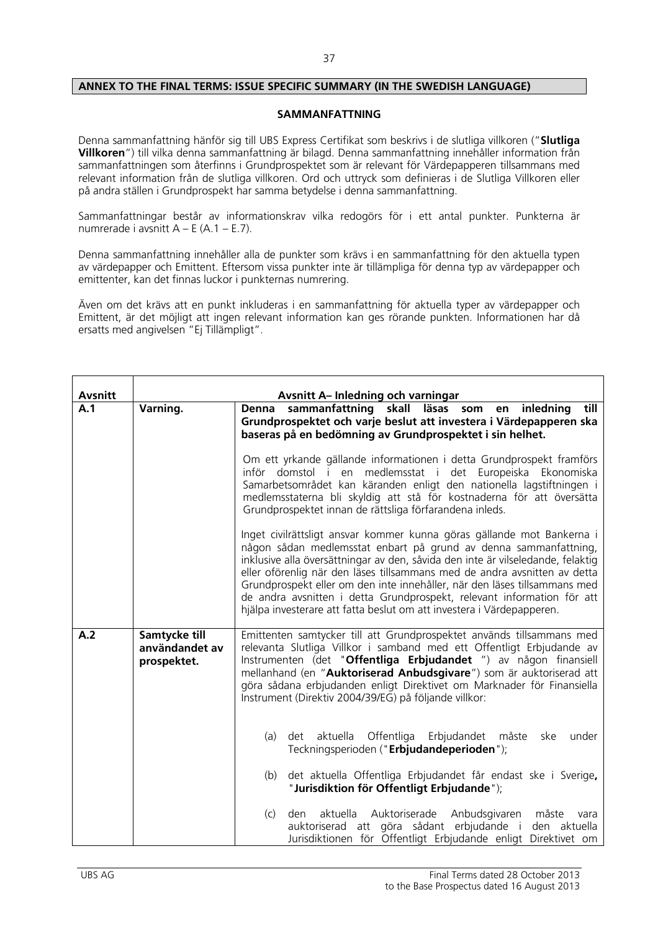### **ANNEX TO THE FINAL TERMS: ISSUE SPECIFIC SUMMARY (IN THE SWEDISH LANGUAGE)**

### **SAMMANFATTNING**

Denna sammanfattning hänför sig till UBS Express Certifikat som beskrivs i de slutliga villkoren ("**Slutliga Villkoren**") till vilka denna sammanfattning är bilagd. Denna sammanfattning innehåller information från sammanfattningen som återfinns i Grundprospektet som är relevant för Värdepapperen tillsammans med relevant information från de slutliga villkoren. Ord och uttryck som definieras i de Slutliga Villkoren eller på andra ställen i Grundprospekt har samma betydelse i denna sammanfattning.

Sammanfattningar består av informationskrav vilka redogörs för i ett antal punkter. Punkterna är numrerade i avsnitt  $A - E (A.1 - E.7)$ .

Denna sammanfattning innehåller alla de punkter som krävs i en sammanfattning för den aktuella typen av värdepapper och Emittent. Eftersom vissa punkter inte är tillämpliga för denna typ av värdepapper och emittenter, kan det finnas luckor i punkternas numrering.

Även om det krävs att en punkt inkluderas i en sammanfattning för aktuella typer av värdepapper och Emittent, är det möjligt att ingen relevant information kan ges rörande punkten. Informationen har då ersatts med angivelsen "Ej Tillämpligt".

| <b>Avsnitt</b> |                                                | <b>Avsnitt A- Inledning och varningar</b>                                                                                                                                                                                                                                                                                                                                                                                                                                                                                                                                                                                                                                                                                                                                                                                                                                                                                                                                                                                                                                                         |
|----------------|------------------------------------------------|---------------------------------------------------------------------------------------------------------------------------------------------------------------------------------------------------------------------------------------------------------------------------------------------------------------------------------------------------------------------------------------------------------------------------------------------------------------------------------------------------------------------------------------------------------------------------------------------------------------------------------------------------------------------------------------------------------------------------------------------------------------------------------------------------------------------------------------------------------------------------------------------------------------------------------------------------------------------------------------------------------------------------------------------------------------------------------------------------|
| A.1            | Varning.                                       | en inledning<br>sammanfattning skall läsas som<br>till<br>Denna<br>Grundprospektet och varje beslut att investera i Värdepapperen ska<br>baseras på en bedömning av Grundprospektet i sin helhet.<br>Om ett yrkande gällande informationen i detta Grundprospekt framförs<br>inför domstol i en medlemsstat i det Europeiska Ekonomiska<br>Samarbetsområdet kan käranden enligt den nationella lagstiftningen i<br>medlemsstaterna bli skyldig att stå för kostnaderna för att översätta<br>Grundprospektet innan de rättsliga förfarandena inleds.<br>Inget civilrättsligt ansvar kommer kunna göras gällande mot Bankerna i<br>någon sådan medlemsstat enbart på grund av denna sammanfattning,<br>inklusive alla översättningar av den, såvida den inte är vilseledande, felaktig<br>eller oförenlig när den läses tillsammans med de andra avsnitten av detta<br>Grundprospekt eller om den inte innehåller, när den läses tillsammans med<br>de andra avsnitten i detta Grundprospekt, relevant information för att<br>hjälpa investerare att fatta beslut om att investera i Värdepapperen. |
| A.2            | Samtycke till<br>användandet av<br>prospektet. | Emittenten samtycker till att Grundprospektet används tillsammans med<br>relevanta Slutliga Villkor i samband med ett Offentligt Erbjudande av<br>Instrumenten (det "Offentliga Erbjudandet ") av någon finansiell<br>mellanhand (en "Auktoriserad Anbudsgivare") som är auktoriserad att<br>göra sådana erbjudanden enligt Direktivet om Marknader för Finansiella<br>Instrument (Direktiv 2004/39/EG) på följande villkor:<br>Offentliga<br>aktuella<br>Erbjudandet måste<br>under<br>(a)<br>det<br>ske<br>Teckningsperioden ("Erbjudandeperioden");<br>det aktuella Offentliga Erbjudandet får endast ske i Sverige,<br>(b)<br>"Jurisdiktion för Offentligt Erbjudande");<br>aktuella Auktoriserade Anbudsgivaren<br>(c)<br>måste<br>den<br>vara<br>auktoriserad att göra sådant erbjudande i<br>den aktuella<br>Jurisdiktionen för Offentligt Erbjudande enligt Direktivet om                                                                                                                                                                                                                 |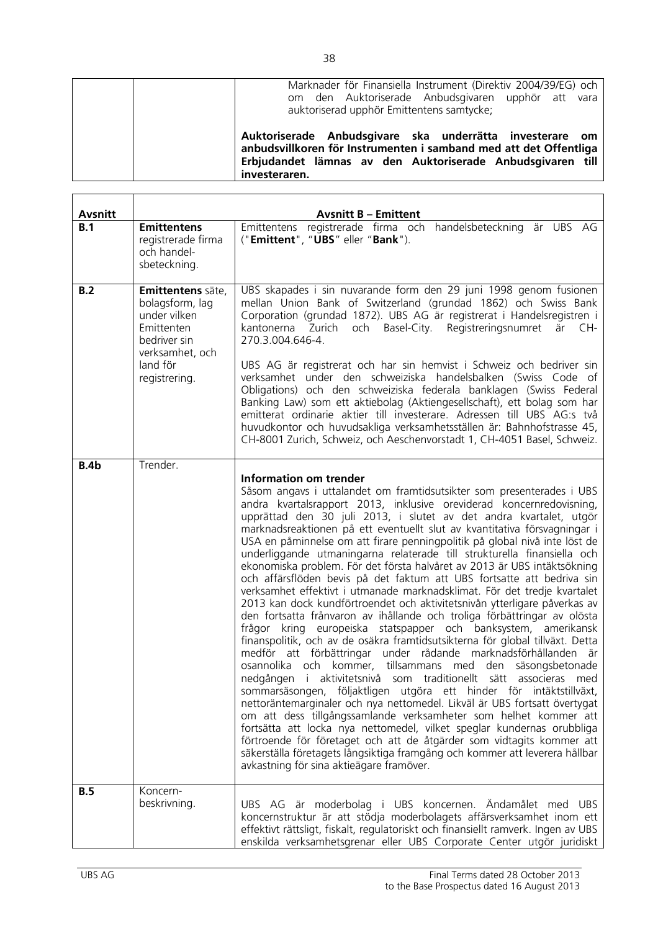| Marknader för Finansiella Instrument (Direktiv 2004/39/EG) och<br>om den Auktoriserade Anbudsgivaren upphör att vara<br>auktoriserad upphör Emittentens samtycke;                                            |
|--------------------------------------------------------------------------------------------------------------------------------------------------------------------------------------------------------------|
| Auktoriserade Anbudsgivare ska underrätta investerare om<br>anbudsvillkoren för Instrumenten i samband med att det Offentliga<br>Erbjudandet lämnas av den Auktoriserade Anbudsgivaren till<br>investeraren. |

| <b>Avsnitt</b> |                                                                                                                                    | <b>Avsnitt B - Emittent</b>                                                                                                                                                                                                                                                                                                                                                                                                                                                                                                                                                                                                                                                                                                                                                                                                                                                                                                                                                                                                                                                                                                                                                                                                                                                                                                                                                                                                                                                                                                                                                                                                                                                                                                                              |
|----------------|------------------------------------------------------------------------------------------------------------------------------------|----------------------------------------------------------------------------------------------------------------------------------------------------------------------------------------------------------------------------------------------------------------------------------------------------------------------------------------------------------------------------------------------------------------------------------------------------------------------------------------------------------------------------------------------------------------------------------------------------------------------------------------------------------------------------------------------------------------------------------------------------------------------------------------------------------------------------------------------------------------------------------------------------------------------------------------------------------------------------------------------------------------------------------------------------------------------------------------------------------------------------------------------------------------------------------------------------------------------------------------------------------------------------------------------------------------------------------------------------------------------------------------------------------------------------------------------------------------------------------------------------------------------------------------------------------------------------------------------------------------------------------------------------------------------------------------------------------------------------------------------------------|
| B.1            | <b>Emittentens</b><br>registrerade firma<br>och handel-<br>sbeteckning.                                                            | Emittentens registrerade firma och handelsbeteckning är UBS AG<br>("Emittent", "UBS" eller "Bank").                                                                                                                                                                                                                                                                                                                                                                                                                                                                                                                                                                                                                                                                                                                                                                                                                                                                                                                                                                                                                                                                                                                                                                                                                                                                                                                                                                                                                                                                                                                                                                                                                                                      |
| B.2            | Emittentens säte,<br>bolagsform, lag<br>under vilken<br>Emittenten<br>bedriver sin<br>verksamhet, och<br>land för<br>registrering. | UBS skapades i sin nuvarande form den 29 juni 1998 genom fusionen<br>mellan Union Bank of Switzerland (grundad 1862) och Swiss Bank<br>Corporation (grundad 1872). UBS AG är registrerat i Handelsregistren i<br>kantonerna Zurich och Basel-City. Registreringsnumret<br>är CH-<br>270.3.004.646-4.<br>UBS AG är registrerat och har sin hemvist i Schweiz och bedriver sin<br>verksamhet under den schweiziska handelsbalken (Swiss Code of<br>Obligations) och den schweiziska federala banklagen (Swiss Federal<br>Banking Law) som ett aktiebolag (Aktiengesellschaft), ett bolag som har<br>emitterat ordinarie aktier till investerare. Adressen till UBS AG:s två<br>huvudkontor och huvudsakliga verksamhetsställen är: Bahnhofstrasse 45,<br>CH-8001 Zurich, Schweiz, och Aeschenvorstadt 1, CH-4051 Basel, Schweiz.                                                                                                                                                                                                                                                                                                                                                                                                                                                                                                                                                                                                                                                                                                                                                                                                                                                                                                                           |
| B.4b           | Trender.                                                                                                                           | <b>Information om trender</b><br>Såsom angavs i uttalandet om framtidsutsikter som presenterades i UBS<br>andra kvartalsrapport 2013, inklusive oreviderad koncernredovisning,<br>upprättad den 30 juli 2013, i slutet av det andra kvartalet, utgör<br>marknadsreaktionen på ett eventuellt slut av kvantitativa försvagningar i<br>USA en påminnelse om att firare penningpolitik på global nivå inte löst de<br>underliggande utmaningarna relaterade till strukturella finansiella och<br>ekonomiska problem. För det första halvåret av 2013 är UBS intäktsökning<br>och affärsflöden bevis på det faktum att UBS fortsatte att bedriva sin<br>verksamhet effektivt i utmanade marknadsklimat. För det tredje kvartalet<br>2013 kan dock kundförtroendet och aktivitetsnivån ytterligare påverkas av<br>den fortsatta frånvaron av ihållande och troliga förbättringar av olösta<br>frågor kring europeiska statspapper och banksystem, amerikansk<br>finanspolitik, och av de osäkra framtidsutsikterna för global tillväxt. Detta<br>medför att förbättringar under rådande marknadsförhållanden är<br>osannolika och kommer, tillsammans med den säsongsbetonade<br>aktivitetsnivå som traditionellt sätt associeras<br>nedgången i<br>med<br>sommarsäsongen, följaktligen utgöra ett hinder för intäktstillväxt,<br>nettoräntemarginaler och nya nettomedel. Likväl är UBS fortsatt övertygat<br>om att dess tillgångssamlande verksamheter som helhet kommer att<br>fortsätta att locka nya nettomedel, vilket speglar kundernas orubbliga<br>förtroende för företaget och att de åtgärder som vidtagits kommer att<br>säkerställa företagets långsiktiga framgång och kommer att leverera hållbar<br>avkastning för sina aktieägare framöver. |
| B.5            | Koncern-<br>beskrivning.                                                                                                           | UBS AG är moderbolag i UBS koncernen. Ändamålet med UBS<br>koncernstruktur är att stödja moderbolagets affärsverksamhet inom ett<br>effektivt rättsligt, fiskalt, regulatoriskt och finansiellt ramverk. Ingen av UBS<br>enskilda verksamhetsgrenar eller UBS Corporate Center utgör juridiskt                                                                                                                                                                                                                                                                                                                                                                                                                                                                                                                                                                                                                                                                                                                                                                                                                                                                                                                                                                                                                                                                                                                                                                                                                                                                                                                                                                                                                                                           |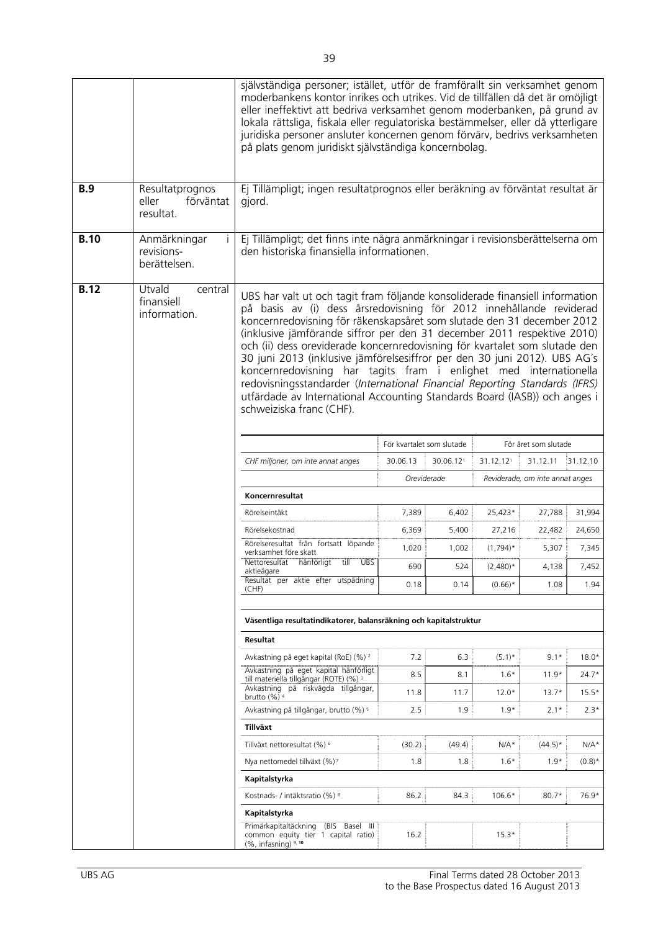|             |                                                    | självständiga personer; istället, utför de framförallt sin verksamhet genom<br>moderbankens kontor inrikes och utrikes. Vid de tillfällen då det är omöjligt<br>eller ineffektivt att bedriva verksamhet genom moderbanken, på grund av<br>lokala rättsliga, fiskala eller regulatoriska bestämmelser, eller då ytterligare<br>juridiska personer ansluter koncernen genom förvärv, bedrivs verksamheten<br>på plats genom juridiskt självständiga koncernbolag.                                                                                                                                                                                                                                                                |                           |           |             |                                 |           |
|-------------|----------------------------------------------------|---------------------------------------------------------------------------------------------------------------------------------------------------------------------------------------------------------------------------------------------------------------------------------------------------------------------------------------------------------------------------------------------------------------------------------------------------------------------------------------------------------------------------------------------------------------------------------------------------------------------------------------------------------------------------------------------------------------------------------|---------------------------|-----------|-------------|---------------------------------|-----------|
| <b>B.9</b>  | Resultatprognos<br>eller<br>förväntat<br>resultat. | Ej Tillämpligt; ingen resultatprognos eller beräkning av förväntat resultat är<br>gjord.                                                                                                                                                                                                                                                                                                                                                                                                                                                                                                                                                                                                                                        |                           |           |             |                                 |           |
| <b>B.10</b> | Anmärkningar<br>Ť<br>revisions-<br>berättelsen.    | Ej Tillämpligt; det finns inte några anmärkningar i revisionsberättelserna om<br>den historiska finansiella informationen.                                                                                                                                                                                                                                                                                                                                                                                                                                                                                                                                                                                                      |                           |           |             |                                 |           |
| <b>B.12</b> | Utvald<br>central<br>finansiell<br>information.    | UBS har valt ut och tagit fram följande konsoliderade finansiell information<br>på basis av (i) dess årsredovisning för 2012 innehållande reviderad<br>koncernredovisning för räkenskapsåret som slutade den 31 december 2012<br>(inklusive jämförande siffror per den 31 december 2011 respektive 2010)<br>och (ii) dess oreviderade koncernredovisning för kvartalet som slutade den<br>30 juni 2013 (inklusive jämförelsesiffror per den 30 juni 2012). UBS AG's<br>koncernredovisning har tagits fram i enlighet med internationella<br>redovisningsstandarder (International Financial Reporting Standards (IFRS)<br>utfärdade av International Accounting Standards Board (IASB)) och anges i<br>schweiziska franc (CHF). |                           |           |             |                                 |           |
|             |                                                    |                                                                                                                                                                                                                                                                                                                                                                                                                                                                                                                                                                                                                                                                                                                                 | För kvartalet som slutade |           |             | För året som slutade            |           |
|             |                                                    | CHF miljoner, om inte annat anges                                                                                                                                                                                                                                                                                                                                                                                                                                                                                                                                                                                                                                                                                               | 30.06.13                  | 30.06.121 | 31.12.121   | 31.12.11                        | 31.12.10  |
|             |                                                    |                                                                                                                                                                                                                                                                                                                                                                                                                                                                                                                                                                                                                                                                                                                                 | Oreviderade               |           |             | Reviderade, om inte annat anges |           |
|             |                                                    | Koncernresultat                                                                                                                                                                                                                                                                                                                                                                                                                                                                                                                                                                                                                                                                                                                 |                           |           |             |                                 |           |
|             |                                                    | Rörelseintäkt                                                                                                                                                                                                                                                                                                                                                                                                                                                                                                                                                                                                                                                                                                                   | 7,389                     | 6,402     | 25,423*     | 27,788                          | 31,994    |
|             |                                                    | Rörelsekostnad                                                                                                                                                                                                                                                                                                                                                                                                                                                                                                                                                                                                                                                                                                                  | 6,369                     | 5,400     | 27,216      | 22,482                          | 24,650    |
|             |                                                    | Rörelseresultat från fortsatt löpande<br>verksamhet före skatt                                                                                                                                                                                                                                                                                                                                                                                                                                                                                                                                                                                                                                                                  | 1,020                     | 1,002     | $(1,794)$ * | 5,307                           | 7,345     |
|             |                                                    | Nettoresultat hänförligt till UBS<br>aktieägare                                                                                                                                                                                                                                                                                                                                                                                                                                                                                                                                                                                                                                                                                 | 690                       | 524       | $(2,480)*$  | 4,138                           | 7,452     |
|             |                                                    | Resultat per aktie efter utspädning<br>(CHF)                                                                                                                                                                                                                                                                                                                                                                                                                                                                                                                                                                                                                                                                                    | 0.18                      | 0.14      | $(0.66)^*$  | 1.08                            | 1.94      |
|             |                                                    | Väsentliga resultatindikatorer, balansräkning och kapitalstruktur                                                                                                                                                                                                                                                                                                                                                                                                                                                                                                                                                                                                                                                               |                           |           |             |                                 |           |
|             |                                                    | Resultat                                                                                                                                                                                                                                                                                                                                                                                                                                                                                                                                                                                                                                                                                                                        |                           |           |             |                                 |           |
|             |                                                    | Avkastning på eget kapital (RoE) (%) <sup>2</sup>                                                                                                                                                                                                                                                                                                                                                                                                                                                                                                                                                                                                                                                                               | 7.2                       | 6.3       | $(5.1)^*$   | $9.1*$                          | $18.0*$   |
|             |                                                    | Avkastning på eget kapital hänförligt                                                                                                                                                                                                                                                                                                                                                                                                                                                                                                                                                                                                                                                                                           | 8.5                       | 8.1       | $1.6*$      | $11.9*$                         | $24.7*$   |
|             |                                                    | till materiella tillgångar (ROTE) (%) 3<br>Avkastning på riskvägda tillgångar,<br>brutto $(\%)^4$                                                                                                                                                                                                                                                                                                                                                                                                                                                                                                                                                                                                                               | 11.8                      | 11.7      | $12.0*$     | $13.7*$                         | $15.5*$   |
|             |                                                    | Avkastning på tillgångar, brutto (%) <sup>5</sup>                                                                                                                                                                                                                                                                                                                                                                                                                                                                                                                                                                                                                                                                               | 2.5                       | 1.9       | $1.9*$      | $2.1*$                          | $2.3*$    |
|             |                                                    | Tillväxt                                                                                                                                                                                                                                                                                                                                                                                                                                                                                                                                                                                                                                                                                                                        |                           |           |             |                                 |           |
|             |                                                    | Tillväxt nettoresultat (%) 6                                                                                                                                                                                                                                                                                                                                                                                                                                                                                                                                                                                                                                                                                                    | (30.2)                    | (49.4)    | $N/A*$      | $(44.5)^*$                      | $N/A*$    |
|             |                                                    | Nya nettomedel tillväxt (%) <sup>7</sup>                                                                                                                                                                                                                                                                                                                                                                                                                                                                                                                                                                                                                                                                                        | 1.8                       | 1.8       | $1.6*$      | $1.9*$                          | $(0.8)^*$ |
|             |                                                    | Kapitalstyrka                                                                                                                                                                                                                                                                                                                                                                                                                                                                                                                                                                                                                                                                                                                   |                           |           |             |                                 |           |
|             |                                                    | Kostnads- / intäktsratio (%) 8                                                                                                                                                                                                                                                                                                                                                                                                                                                                                                                                                                                                                                                                                                  | 86.2                      | 84.3      | 106.6*      | $80.7*$                         | 76.9*     |
|             |                                                    | Kapitalstyrka                                                                                                                                                                                                                                                                                                                                                                                                                                                                                                                                                                                                                                                                                                                   |                           |           |             |                                 |           |
|             |                                                    | Primärkapitaltäckning (BIS Basel III<br>common equity tier 1 capital ratio)<br>$(%$ , infasning) $9, 10$                                                                                                                                                                                                                                                                                                                                                                                                                                                                                                                                                                                                                        | 16.2                      |           | $15.3*$     |                                 |           |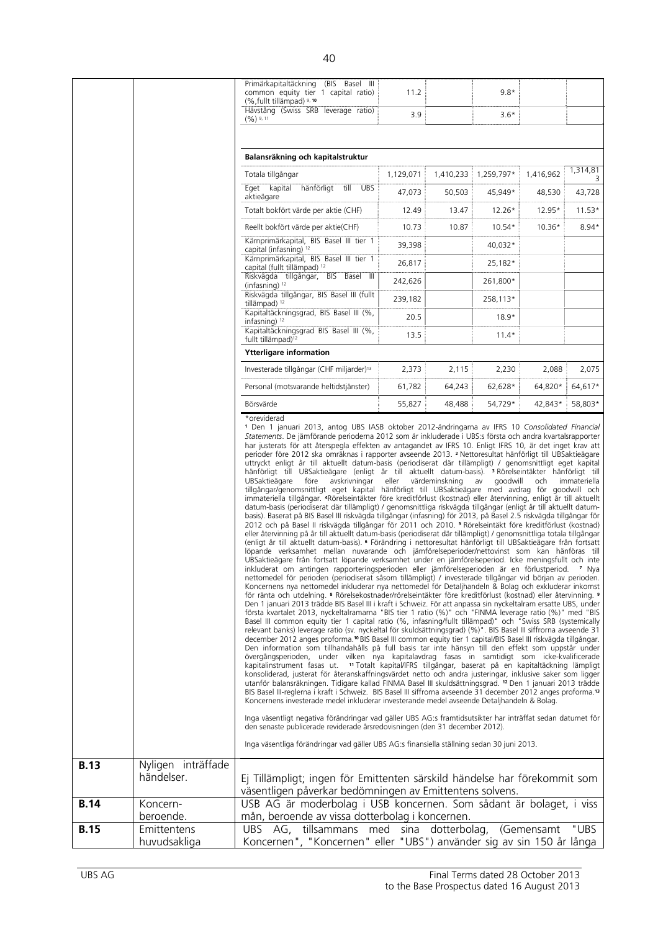|             |                                  | Primärkapitaltäckning (BIS Basel III<br>common equity tier 1 capital ratio)<br>(%, fullt tillämpad) 9, 10                                                                                                                                                                                                                                                                                                                                                                                                                                                                                                                                                                                                                                                                                                                                                                                                                                                                                                                                                                                                                                                                                                                                                                                                                                                                                                                                                                                                                                                                                                                                                                                                                                                                                                                                                                                                                                                                                                                                                                                                                                                                                                                                                                                                                                                                                                                                                                                                                                                                                                                                                                                                                                                                                                                                                                                                                                                                                                                                                                                                                  | 11.2      |                | $9.8*$         |            |              |
|-------------|----------------------------------|----------------------------------------------------------------------------------------------------------------------------------------------------------------------------------------------------------------------------------------------------------------------------------------------------------------------------------------------------------------------------------------------------------------------------------------------------------------------------------------------------------------------------------------------------------------------------------------------------------------------------------------------------------------------------------------------------------------------------------------------------------------------------------------------------------------------------------------------------------------------------------------------------------------------------------------------------------------------------------------------------------------------------------------------------------------------------------------------------------------------------------------------------------------------------------------------------------------------------------------------------------------------------------------------------------------------------------------------------------------------------------------------------------------------------------------------------------------------------------------------------------------------------------------------------------------------------------------------------------------------------------------------------------------------------------------------------------------------------------------------------------------------------------------------------------------------------------------------------------------------------------------------------------------------------------------------------------------------------------------------------------------------------------------------------------------------------------------------------------------------------------------------------------------------------------------------------------------------------------------------------------------------------------------------------------------------------------------------------------------------------------------------------------------------------------------------------------------------------------------------------------------------------------------------------------------------------------------------------------------------------------------------------------------------------------------------------------------------------------------------------------------------------------------------------------------------------------------------------------------------------------------------------------------------------------------------------------------------------------------------------------------------------------------------------------------------------------------------------------------------------|-----------|----------------|----------------|------------|--------------|
|             |                                  | Hävstång (Swiss SRB leverage ratio)<br>$(96)$ 9, 11                                                                                                                                                                                                                                                                                                                                                                                                                                                                                                                                                                                                                                                                                                                                                                                                                                                                                                                                                                                                                                                                                                                                                                                                                                                                                                                                                                                                                                                                                                                                                                                                                                                                                                                                                                                                                                                                                                                                                                                                                                                                                                                                                                                                                                                                                                                                                                                                                                                                                                                                                                                                                                                                                                                                                                                                                                                                                                                                                                                                                                                                        | 3.9       |                | $3.6*$         |            |              |
|             |                                  |                                                                                                                                                                                                                                                                                                                                                                                                                                                                                                                                                                                                                                                                                                                                                                                                                                                                                                                                                                                                                                                                                                                                                                                                                                                                                                                                                                                                                                                                                                                                                                                                                                                                                                                                                                                                                                                                                                                                                                                                                                                                                                                                                                                                                                                                                                                                                                                                                                                                                                                                                                                                                                                                                                                                                                                                                                                                                                                                                                                                                                                                                                                            |           |                |                |            |              |
|             |                                  | Balansräkning och kapitalstruktur                                                                                                                                                                                                                                                                                                                                                                                                                                                                                                                                                                                                                                                                                                                                                                                                                                                                                                                                                                                                                                                                                                                                                                                                                                                                                                                                                                                                                                                                                                                                                                                                                                                                                                                                                                                                                                                                                                                                                                                                                                                                                                                                                                                                                                                                                                                                                                                                                                                                                                                                                                                                                                                                                                                                                                                                                                                                                                                                                                                                                                                                                          |           |                |                |            |              |
|             |                                  | Totala tillgångar                                                                                                                                                                                                                                                                                                                                                                                                                                                                                                                                                                                                                                                                                                                                                                                                                                                                                                                                                                                                                                                                                                                                                                                                                                                                                                                                                                                                                                                                                                                                                                                                                                                                                                                                                                                                                                                                                                                                                                                                                                                                                                                                                                                                                                                                                                                                                                                                                                                                                                                                                                                                                                                                                                                                                                                                                                                                                                                                                                                                                                                                                                          | 1,129,071 | 1,410,233      | 1,259,797*     | 1,416,962  | 1,314,81     |
|             |                                  | Eget kapital<br>hänförligt<br>till<br>UBS<br>aktieägare                                                                                                                                                                                                                                                                                                                                                                                                                                                                                                                                                                                                                                                                                                                                                                                                                                                                                                                                                                                                                                                                                                                                                                                                                                                                                                                                                                                                                                                                                                                                                                                                                                                                                                                                                                                                                                                                                                                                                                                                                                                                                                                                                                                                                                                                                                                                                                                                                                                                                                                                                                                                                                                                                                                                                                                                                                                                                                                                                                                                                                                                    | 47,073    | 50.503         | 45,949*        | 48,530     | 3<br>43,728  |
|             |                                  | Totalt bokfört värde per aktie (CHF)                                                                                                                                                                                                                                                                                                                                                                                                                                                                                                                                                                                                                                                                                                                                                                                                                                                                                                                                                                                                                                                                                                                                                                                                                                                                                                                                                                                                                                                                                                                                                                                                                                                                                                                                                                                                                                                                                                                                                                                                                                                                                                                                                                                                                                                                                                                                                                                                                                                                                                                                                                                                                                                                                                                                                                                                                                                                                                                                                                                                                                                                                       | 12.49     | 13.47          | $12.26*$       | 12.95*     | $11.53*$     |
|             |                                  | Reellt bokfört värde per aktie(CHF)                                                                                                                                                                                                                                                                                                                                                                                                                                                                                                                                                                                                                                                                                                                                                                                                                                                                                                                                                                                                                                                                                                                                                                                                                                                                                                                                                                                                                                                                                                                                                                                                                                                                                                                                                                                                                                                                                                                                                                                                                                                                                                                                                                                                                                                                                                                                                                                                                                                                                                                                                                                                                                                                                                                                                                                                                                                                                                                                                                                                                                                                                        | 10.73     | 10.87          | $10.54*$       | $10.36*$   | $8.94*$      |
|             |                                  | Kärnprimärkapital, BIS Basel III tier 1<br>capital (infasning) 12                                                                                                                                                                                                                                                                                                                                                                                                                                                                                                                                                                                                                                                                                                                                                                                                                                                                                                                                                                                                                                                                                                                                                                                                                                                                                                                                                                                                                                                                                                                                                                                                                                                                                                                                                                                                                                                                                                                                                                                                                                                                                                                                                                                                                                                                                                                                                                                                                                                                                                                                                                                                                                                                                                                                                                                                                                                                                                                                                                                                                                                          | 39,398    |                | 40,032*        |            |              |
|             |                                  | Kärnprimärkapital, BIS Basel III tier 1<br>capital (fullt tillämpad) <sup>12</sup>                                                                                                                                                                                                                                                                                                                                                                                                                                                                                                                                                                                                                                                                                                                                                                                                                                                                                                                                                                                                                                                                                                                                                                                                                                                                                                                                                                                                                                                                                                                                                                                                                                                                                                                                                                                                                                                                                                                                                                                                                                                                                                                                                                                                                                                                                                                                                                                                                                                                                                                                                                                                                                                                                                                                                                                                                                                                                                                                                                                                                                         | 26,817    |                | 25,182*        |            |              |
|             |                                  | Riskvägda tillgångar, BIS Basel III<br>$(infasning)$ <sup>12</sup>                                                                                                                                                                                                                                                                                                                                                                                                                                                                                                                                                                                                                                                                                                                                                                                                                                                                                                                                                                                                                                                                                                                                                                                                                                                                                                                                                                                                                                                                                                                                                                                                                                                                                                                                                                                                                                                                                                                                                                                                                                                                                                                                                                                                                                                                                                                                                                                                                                                                                                                                                                                                                                                                                                                                                                                                                                                                                                                                                                                                                                                         | 242,626   |                | 261,800*       |            |              |
|             |                                  | Riskvägda tillgångar, BIS Basel III (fullt<br>tillämpad) <sup>12</sup>                                                                                                                                                                                                                                                                                                                                                                                                                                                                                                                                                                                                                                                                                                                                                                                                                                                                                                                                                                                                                                                                                                                                                                                                                                                                                                                                                                                                                                                                                                                                                                                                                                                                                                                                                                                                                                                                                                                                                                                                                                                                                                                                                                                                                                                                                                                                                                                                                                                                                                                                                                                                                                                                                                                                                                                                                                                                                                                                                                                                                                                     | 239,182   |                | 258,113*       |            |              |
|             |                                  | Kapitaltäckningsgrad, BIS Basel III (%,<br>infasning) $12$                                                                                                                                                                                                                                                                                                                                                                                                                                                                                                                                                                                                                                                                                                                                                                                                                                                                                                                                                                                                                                                                                                                                                                                                                                                                                                                                                                                                                                                                                                                                                                                                                                                                                                                                                                                                                                                                                                                                                                                                                                                                                                                                                                                                                                                                                                                                                                                                                                                                                                                                                                                                                                                                                                                                                                                                                                                                                                                                                                                                                                                                 | 20.5      |                | $18.9*$        |            |              |
|             |                                  | Kapitaltäckningsgrad BIS Basel III (%,<br>fullt tillämpad) <sup>12</sup>                                                                                                                                                                                                                                                                                                                                                                                                                                                                                                                                                                                                                                                                                                                                                                                                                                                                                                                                                                                                                                                                                                                                                                                                                                                                                                                                                                                                                                                                                                                                                                                                                                                                                                                                                                                                                                                                                                                                                                                                                                                                                                                                                                                                                                                                                                                                                                                                                                                                                                                                                                                                                                                                                                                                                                                                                                                                                                                                                                                                                                                   | 13.5      |                | $11.4*$        |            |              |
|             |                                  | <b>Ytterligare information</b>                                                                                                                                                                                                                                                                                                                                                                                                                                                                                                                                                                                                                                                                                                                                                                                                                                                                                                                                                                                                                                                                                                                                                                                                                                                                                                                                                                                                                                                                                                                                                                                                                                                                                                                                                                                                                                                                                                                                                                                                                                                                                                                                                                                                                                                                                                                                                                                                                                                                                                                                                                                                                                                                                                                                                                                                                                                                                                                                                                                                                                                                                             |           |                |                |            |              |
|             |                                  | Investerade tillgångar (CHF miljarder) <sup>13</sup>                                                                                                                                                                                                                                                                                                                                                                                                                                                                                                                                                                                                                                                                                                                                                                                                                                                                                                                                                                                                                                                                                                                                                                                                                                                                                                                                                                                                                                                                                                                                                                                                                                                                                                                                                                                                                                                                                                                                                                                                                                                                                                                                                                                                                                                                                                                                                                                                                                                                                                                                                                                                                                                                                                                                                                                                                                                                                                                                                                                                                                                                       | 2,373     | 2,115          | 2,230          | 2,088      | 2,075        |
|             |                                  | Personal (motsvarande heltidstiänster)                                                                                                                                                                                                                                                                                                                                                                                                                                                                                                                                                                                                                                                                                                                                                                                                                                                                                                                                                                                                                                                                                                                                                                                                                                                                                                                                                                                                                                                                                                                                                                                                                                                                                                                                                                                                                                                                                                                                                                                                                                                                                                                                                                                                                                                                                                                                                                                                                                                                                                                                                                                                                                                                                                                                                                                                                                                                                                                                                                                                                                                                                     | 61,782    | 64,243         | 62,628*        | 64,820*    | 64,617*      |
|             |                                  | Börsvärde                                                                                                                                                                                                                                                                                                                                                                                                                                                                                                                                                                                                                                                                                                                                                                                                                                                                                                                                                                                                                                                                                                                                                                                                                                                                                                                                                                                                                                                                                                                                                                                                                                                                                                                                                                                                                                                                                                                                                                                                                                                                                                                                                                                                                                                                                                                                                                                                                                                                                                                                                                                                                                                                                                                                                                                                                                                                                                                                                                                                                                                                                                                  | 55,827    | 48,488         | 54,729*        | 42,843*    | 58,803*      |
|             |                                  | *oreviderad<br><sup>1</sup> Den 1 januari 2013, antog UBS IASB oktober 2012-ändringarna av IFRS 10 Consolidated Financial                                                                                                                                                                                                                                                                                                                                                                                                                                                                                                                                                                                                                                                                                                                                                                                                                                                                                                                                                                                                                                                                                                                                                                                                                                                                                                                                                                                                                                                                                                                                                                                                                                                                                                                                                                                                                                                                                                                                                                                                                                                                                                                                                                                                                                                                                                                                                                                                                                                                                                                                                                                                                                                                                                                                                                                                                                                                                                                                                                                                  |           |                |                |            |              |
|             |                                  | uttryckt enligt år till aktuellt datum-basis (periodiserat där tillämpligt) / genomsnittligt eget kapital<br>hänförligt till UBSaktieägare (enligt år till aktuellt datum-basis). <sup>3</sup> Rörelseintäkter hänförligt till<br>UBSaktieägare<br>före<br>avskrivningar<br>tillgångar/genomsnittligt eget kapital hänförligt till UBSaktieägare med avdrag för goodwill och<br>immateriella tillgångar. 4Rörelseintäkter före kreditförlust (kostnad) eller återvinning, enligt år till aktuellt<br>datum-basis (periodiserat där tillämpligt) / genomsnittliga riskvägda tillgångar (enligt år till aktuellt datum-<br>basis). Baserat på BIS Basel III riskvägda tillgångar (infasning) för 2013, på Basel 2.5 riskvägda tillgångar för<br>2012 och på Basel II riskvägda tillgångar för 2011 och 2010. 5 Rörelseintäkt före kreditförlust (kostnad)<br>eller återvinning på år till aktuellt datum-basis (periodiserat där tillämpligt) / genomsnittliga totala tillgångar<br>(enligt år till aktuellt datum-basis). 6 Förändring i nettoresultat hänförligt till UBSaktieägare från fortsatt<br>löpande verksamhet mellan nuvarande och jämförelseperioder/nettovinst som kan hänföras till<br>UBSaktieägare från fortsatt löpande verksamhet under en jämförelseperiod. Icke meningsfullt och inte<br>inkluderat om antingen rapporteringsperioden eller jämförelseperioden är en förlustperiod. 7 Nya<br>nettomedel för perioden (periodiserat såsom tillämpligt) / investerade tillgångar vid början av perioden.<br>Koncernens nya nettomedel inkluderar nya nettomedel för Detaljhandeln & Bolag och exkluderar inkomst<br>för ränta och utdelning. <sup>8</sup> Rörelsekostnader/rörelseintäkter före kreditförlust (kostnad) eller återvinning. 9<br>Den 1 januari 2013 trädde BIS Basel III i kraft i Schweiz. För att anpassa sin nyckeltalram ersatte UBS, under<br>första kvartalet 2013, nyckeltalramarna "BIS tier 1 ratio (%)" och "FINMA leverage ratio (%)" med "BIS<br>Basel III common equity tier 1 capital ratio (%, infasning/fullt tillämpad)" och "Swiss SRB (systemically<br>relevant banks) leverage ratio (sv. nyckeltal för skuldsättningsgrad) (%)". BIS Basel III siffrorna avseende 31<br>december 2012 anges proforma. <sup>10</sup> BIS Basel III common equity tier 1 capital/BIS Basel III riskvägda tillgångar.<br>Den information som tillhandahålls på full basis tar inte hänsyn till den effekt som uppstår under<br>övergångsperioden, under vilken nya kapitalavdrag fasas in samtidigt som icke-kvalificerade<br>kapitalinstrument fasas ut. 11 Totalt kapital/IFRS tillgångar, baserat på en kapitaltäckning lämpligt<br>konsoliderad, justerat för återanskaffningsvärdet netto och andra justeringar, inklusive saker som ligger<br>utanför balansräkningen. Tidigare kallad FINMA Basel III skuldsättningsgrad. 12 Den 1 januari 2013 trädde<br>BIS Basel III-reglerna i kraft i Schweiz. BIS Basel III siffrorna avseende 31 december 2012 anges proforma. <sup>13</sup><br>Koncernens investerade medel inkluderar investerande medel avseende Detaljhandeln & Bolag. | eller     | värdeminskning | av<br>goodwill | och        | immateriella |
|             |                                  | Inga väsentligt negativa förändringar vad gäller UBS AG:s framtidsutsikter har inträffat sedan datumet för<br>den senaste publicerade reviderade årsredovisningen (den 31 december 2012).                                                                                                                                                                                                                                                                                                                                                                                                                                                                                                                                                                                                                                                                                                                                                                                                                                                                                                                                                                                                                                                                                                                                                                                                                                                                                                                                                                                                                                                                                                                                                                                                                                                                                                                                                                                                                                                                                                                                                                                                                                                                                                                                                                                                                                                                                                                                                                                                                                                                                                                                                                                                                                                                                                                                                                                                                                                                                                                                  |           |                |                |            |              |
|             |                                  | Inga väsentliga förändringar vad gäller UBS AG:s finansiella ställning sedan 30 juni 2013.                                                                                                                                                                                                                                                                                                                                                                                                                                                                                                                                                                                                                                                                                                                                                                                                                                                                                                                                                                                                                                                                                                                                                                                                                                                                                                                                                                                                                                                                                                                                                                                                                                                                                                                                                                                                                                                                                                                                                                                                                                                                                                                                                                                                                                                                                                                                                                                                                                                                                                                                                                                                                                                                                                                                                                                                                                                                                                                                                                                                                                 |           |                |                |            |              |
| <b>B.13</b> | Nyligen inträffade<br>händelser. | Ej Tillämpligt; ingen för Emittenten särskild händelse har förekommit som<br>väsentligen påverkar bedömningen av Emittentens solvens.                                                                                                                                                                                                                                                                                                                                                                                                                                                                                                                                                                                                                                                                                                                                                                                                                                                                                                                                                                                                                                                                                                                                                                                                                                                                                                                                                                                                                                                                                                                                                                                                                                                                                                                                                                                                                                                                                                                                                                                                                                                                                                                                                                                                                                                                                                                                                                                                                                                                                                                                                                                                                                                                                                                                                                                                                                                                                                                                                                                      |           |                |                |            |              |
| <b>B.14</b> | Koncern-                         | USB AG är moderbolag i USB koncernen. Som sådant är bolaget, i viss                                                                                                                                                                                                                                                                                                                                                                                                                                                                                                                                                                                                                                                                                                                                                                                                                                                                                                                                                                                                                                                                                                                                                                                                                                                                                                                                                                                                                                                                                                                                                                                                                                                                                                                                                                                                                                                                                                                                                                                                                                                                                                                                                                                                                                                                                                                                                                                                                                                                                                                                                                                                                                                                                                                                                                                                                                                                                                                                                                                                                                                        |           |                |                |            |              |
| <b>B.15</b> | beroende.<br>Emittentens         | mån, beroende av vissa dotterbolag i koncernen.<br>UBS AG, tillsammans med sina dotterbolag,                                                                                                                                                                                                                                                                                                                                                                                                                                                                                                                                                                                                                                                                                                                                                                                                                                                                                                                                                                                                                                                                                                                                                                                                                                                                                                                                                                                                                                                                                                                                                                                                                                                                                                                                                                                                                                                                                                                                                                                                                                                                                                                                                                                                                                                                                                                                                                                                                                                                                                                                                                                                                                                                                                                                                                                                                                                                                                                                                                                                                               |           |                |                | (Gemensamt | "UBS         |
|             | huvudsakliga                     | Koncernen", "Koncernen" eller "UBS") använder sig av sin 150 år långa                                                                                                                                                                                                                                                                                                                                                                                                                                                                                                                                                                                                                                                                                                                                                                                                                                                                                                                                                                                                                                                                                                                                                                                                                                                                                                                                                                                                                                                                                                                                                                                                                                                                                                                                                                                                                                                                                                                                                                                                                                                                                                                                                                                                                                                                                                                                                                                                                                                                                                                                                                                                                                                                                                                                                                                                                                                                                                                                                                                                                                                      |           |                |                |            |              |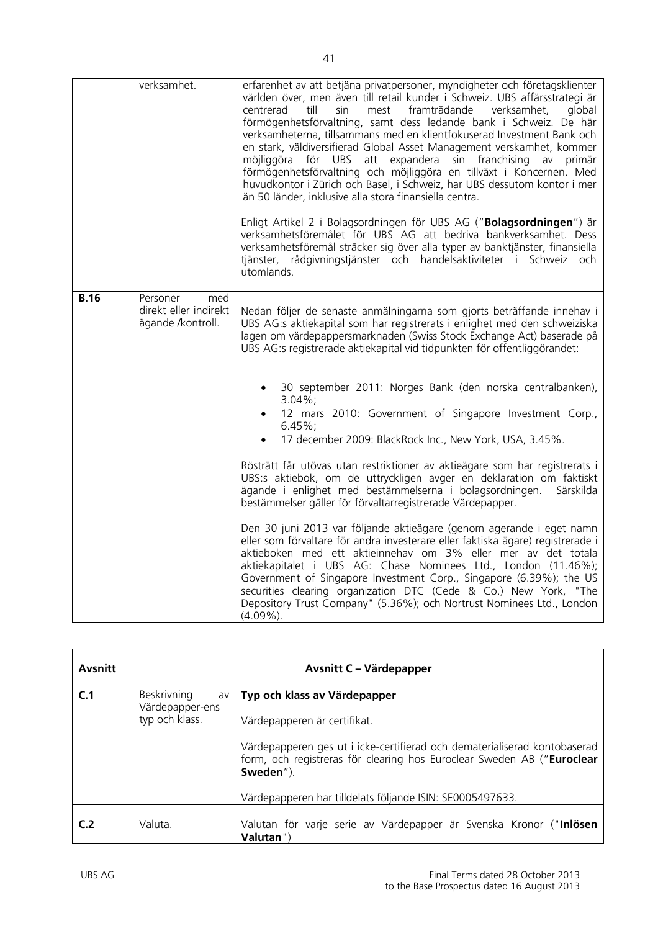|             | verksamhet.                                                   | erfarenhet av att betjäna privatpersoner, myndigheter och företagsklienter<br>världen över, men även till retail kunder i Schweiz. UBS affärsstrategi är<br>centrerad<br>till<br>sin<br>framträdande<br>verksamhet,<br>global<br>mest<br>förmögenhetsförvaltning, samt dess ledande bank i Schweiz. De här<br>verksamheterna, tillsammans med en klientfokuserad Investment Bank och<br>en stark, väldiversifierad Global Asset Management verskamhet, kommer<br>möjliggöra för UBS att expandera sin franchising av<br>primär<br>förmögenhetsförvaltning och möjliggöra en tillväxt i Koncernen. Med<br>huvudkontor i Zürich och Basel, i Schweiz, har UBS dessutom kontor i mer<br>än 50 länder, inklusive alla stora finansiella centra.<br>Enligt Artikel 2 i Bolagsordningen för UBS AG ("Bolagsordningen") är<br>verksamhetsföremålet för UBS AG att bedriva bankverksamhet. Dess<br>verksamhetsföremål sträcker sig över alla typer av banktjänster, finansiella<br>tjänster, rådgivningstjänster och handelsaktiviteter i Schweiz och<br>utomlands.                                                                                                                                                                                                                                                                            |
|-------------|---------------------------------------------------------------|----------------------------------------------------------------------------------------------------------------------------------------------------------------------------------------------------------------------------------------------------------------------------------------------------------------------------------------------------------------------------------------------------------------------------------------------------------------------------------------------------------------------------------------------------------------------------------------------------------------------------------------------------------------------------------------------------------------------------------------------------------------------------------------------------------------------------------------------------------------------------------------------------------------------------------------------------------------------------------------------------------------------------------------------------------------------------------------------------------------------------------------------------------------------------------------------------------------------------------------------------------------------------------------------------------------------------------------|
| <b>B.16</b> | Personer<br>med<br>direkt eller indirekt<br>ägande /kontroll. | Nedan följer de senaste anmälningarna som gjorts beträffande innehav i<br>UBS AG:s aktiekapital som har registrerats i enlighet med den schweiziska<br>lagen om värdepappersmarknaden (Swiss Stock Exchange Act) baserade på<br>UBS AG:s registrerade aktiekapital vid tidpunkten för offentliggörandet:<br>30 september 2011: Norges Bank (den norska centralbanken),<br>$3.04\%$ ;<br>12 mars 2010: Government of Singapore Investment Corp.,<br>$6.45\%$ ;<br>17 december 2009: BlackRock Inc., New York, USA, 3.45%.<br>Rösträtt får utövas utan restriktioner av aktieägare som har registrerats i<br>UBS:s aktiebok, om de uttryckligen avger en deklaration om faktiskt<br>ägande i enlighet med bestämmelserna i bolagsordningen.<br>Särskilda<br>bestämmelser gäller för förvaltarregistrerade Värdepapper.<br>Den 30 juni 2013 var följande aktieägare (genom agerande i eget namn<br>eller som förvaltare för andra investerare eller faktiska ägare) registrerade i<br>aktieboken med ett aktieinnehav om 3% eller mer av det totala<br>aktiekapitalet i UBS AG: Chase Nominees Ltd., London (11.46%);<br>Government of Singapore Investment Corp., Singapore (6.39%); the US<br>securities clearing organization DTC (Cede & Co.) New York, "The<br>Depository Trust Company" (5.36%); och Nortrust Nominees Ltd., London |

| <b>Avsnitt</b> |                                                        | Avsnitt C – Värdepapper                                                                                                                                                                                                                                                                       |
|----------------|--------------------------------------------------------|-----------------------------------------------------------------------------------------------------------------------------------------------------------------------------------------------------------------------------------------------------------------------------------------------|
| C.1            | Beskrivning<br>av<br>Värdepapper-ens<br>typ och klass. | Typ och klass av Värdepapper<br>Värdepapperen är certifikat.<br>Värdepapperen ges ut i icke-certifierad och dematerialiserad kontobaserad<br>form, och registreras för clearing hos Euroclear Sweden AB ("Euroclear<br>Sweden").<br>Värdepapperen har tilldelats följande ISIN: SE0005497633. |
| C.2            | Valuta.                                                | Valutan för varje serie av Värdepapper är Svenska Kronor ("Inlösen<br>Valutan")                                                                                                                                                                                                               |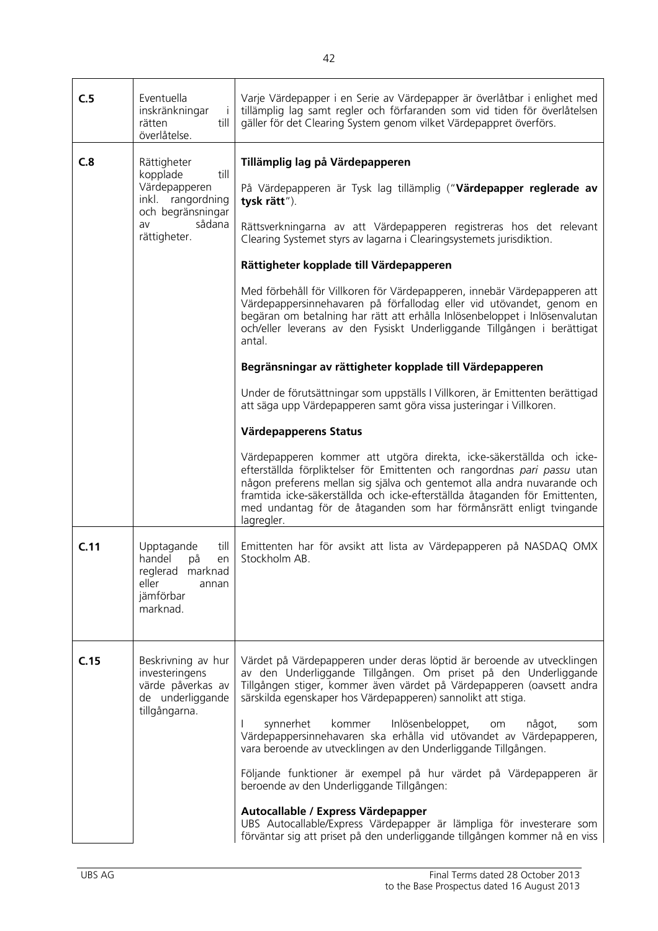| C.5  | Eventuella<br>inskränkningar<br>$\perp$<br>rätten<br>till<br>överlåtelse.                                                  | Varje Värdepapper i en Serie av Värdepapper är överlåtbar i enlighet med<br>tillämplig lag samt regler och förfaranden som vid tiden för överlåtelsen<br>gäller för det Clearing System genom vilket Värdepappret överförs.                                                                                                                                                                                                                                                                                                                                                                                                                                                                                                                                                                                                                                                                                                                                                                                                                                                                                                                                                                                                                                                         |
|------|----------------------------------------------------------------------------------------------------------------------------|-------------------------------------------------------------------------------------------------------------------------------------------------------------------------------------------------------------------------------------------------------------------------------------------------------------------------------------------------------------------------------------------------------------------------------------------------------------------------------------------------------------------------------------------------------------------------------------------------------------------------------------------------------------------------------------------------------------------------------------------------------------------------------------------------------------------------------------------------------------------------------------------------------------------------------------------------------------------------------------------------------------------------------------------------------------------------------------------------------------------------------------------------------------------------------------------------------------------------------------------------------------------------------------|
| C.8  | Rättigheter<br>till<br>kopplade<br>Värdepapperen<br>inkl. rangordning<br>och begränsningar<br>sådana<br>av<br>rättigheter. | Tillämplig lag på Värdepapperen<br>På Värdepapperen är Tysk lag tillämplig ("Värdepapper reglerade av<br>tysk rätt").<br>Rättsverkningarna av att Värdepapperen registreras hos det relevant<br>Clearing Systemet styrs av lagarna i Clearingsystemets jurisdiktion.<br>Rättigheter kopplade till Värdepapperen<br>Med förbehåll för Villkoren för Värdepapperen, innebär Värdepapperen att<br>Värdepappersinnehavaren på förfallodag eller vid utövandet, genom en<br>begäran om betalning har rätt att erhålla Inlösenbeloppet i Inlösenvalutan<br>och/eller leverans av den Fysiskt Underliggande Tillgången i berättigat<br>antal.<br>Begränsningar av rättigheter kopplade till Värdepapperen<br>Under de förutsättningar som uppställs I Villkoren, är Emittenten berättigad<br>att säga upp Värdepapperen samt göra vissa justeringar i Villkoren.<br>Värdepapperens Status<br>Värdepapperen kommer att utgöra direkta, icke-säkerställda och icke-<br>efterställda förpliktelser för Emittenten och rangordnas pari passu utan<br>någon preferens mellan sig själva och gentemot alla andra nuvarande och<br>framtida icke-säkerställda och icke-efterställda åtaganden för Emittenten,<br>med undantag för de åtaganden som har förmånsrätt enligt tvingande<br>lagregler. |
| C.11 | Upptagande<br>till<br>handel<br>på<br>en<br>reglerad marknad<br>eller<br>annan<br>jämförbar<br>marknad.                    | Emittenten har för avsikt att lista av Värdepapperen på NASDAQ OMX<br>Stockholm AB.                                                                                                                                                                                                                                                                                                                                                                                                                                                                                                                                                                                                                                                                                                                                                                                                                                                                                                                                                                                                                                                                                                                                                                                                 |
| C.15 | Beskrivning av hur<br>investeringens<br>värde påverkas av<br>de underliggande<br>tillgångarna.                             | Värdet på Värdepapperen under deras löptid är beroende av utvecklingen<br>av den Underliggande Tillgången. Om priset på den Underliggande<br>Tillgången stiger, kommer även värdet på Värdepapperen (oavsett andra<br>särskilda egenskaper hos Värdepapperen) sannolikt att stiga.<br>synnerhet<br>kommer<br>Inlösenbeloppet,<br>något,<br>om<br>som<br>Värdepappersinnehavaren ska erhålla vid utövandet av Värdepapperen,<br>vara beroende av utvecklingen av den Underliggande Tillgången.<br>Följande funktioner är exempel på hur värdet på Värdepapperen är<br>beroende av den Underliggande Tillgången:<br>Autocallable / Express Värdepapper<br>UBS Autocallable/Express Värdepapper är lämpliga för investerare som<br>förväntar sig att priset på den underliggande tillgången kommer nå en viss                                                                                                                                                                                                                                                                                                                                                                                                                                                                          |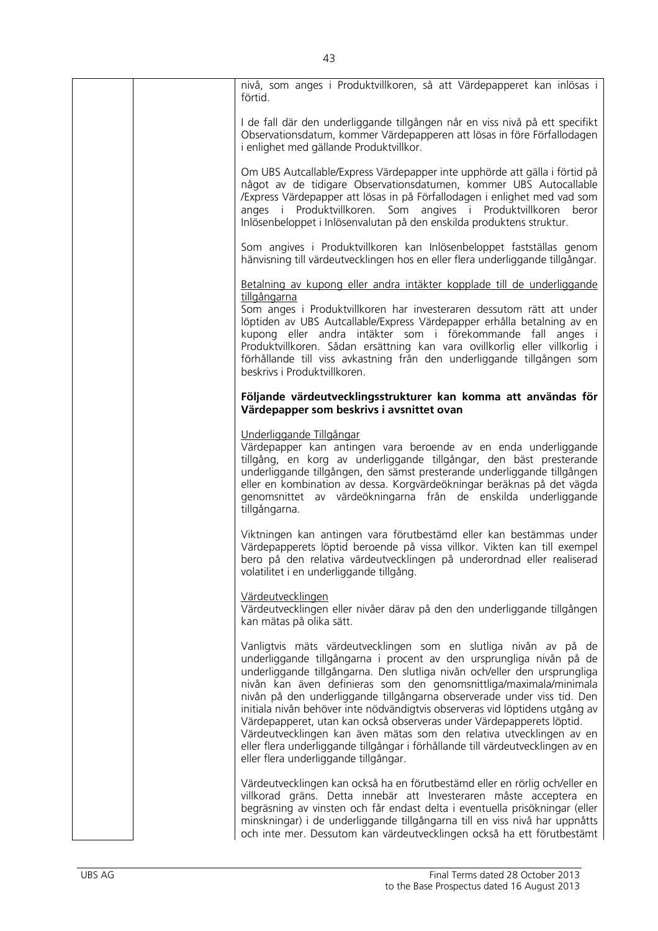|  | nivå, som anges i Produktvillkoren, så att Värdepapperet kan inlösas i<br>förtid.                                                                                                                                                                                                                                                                                                                                                                                                                                                                                                                                                                                                                                                   |
|--|-------------------------------------------------------------------------------------------------------------------------------------------------------------------------------------------------------------------------------------------------------------------------------------------------------------------------------------------------------------------------------------------------------------------------------------------------------------------------------------------------------------------------------------------------------------------------------------------------------------------------------------------------------------------------------------------------------------------------------------|
|  | I de fall där den underliggande tillgången når en viss nivå på ett specifikt<br>Observationsdatum, kommer Värdepapperen att lösas in före Förfallodagen<br>i enlighet med gällande Produktvillkor.                                                                                                                                                                                                                                                                                                                                                                                                                                                                                                                                  |
|  | Om UBS Autcallable/Express Värdepapper inte upphörde att gälla i förtid på<br>något av de tidigare Observationsdatumen, kommer UBS Autocallable<br>/Express Värdepapper att lösas in på Förfallodagen i enlighet med vad som<br>anges i Produktvillkoren. Som angives i Produktvillkoren<br>beror<br>Inlösenbeloppet i Inlösenvalutan på den enskilda produktens struktur.                                                                                                                                                                                                                                                                                                                                                          |
|  | Som angives i Produktvillkoren kan Inlösenbeloppet fastställas genom<br>hänvisning till värdeutvecklingen hos en eller flera underliggande tillgångar.                                                                                                                                                                                                                                                                                                                                                                                                                                                                                                                                                                              |
|  | Betalning av kupong eller andra intäkter kopplade till de underliggande<br>tillgångarna                                                                                                                                                                                                                                                                                                                                                                                                                                                                                                                                                                                                                                             |
|  | Som anges i Produktvillkoren har investeraren dessutom rätt att under<br>löptiden av UBS Autcallable/Express Värdepapper erhålla betalning av en<br>kupong eller andra intäkter som i förekommande fall anges i<br>Produktvillkoren. Sådan ersättning kan vara ovillkorlig eller villkorlig i<br>förhållande till viss avkastning från den underliggande tillgången som<br>beskrivs i Produktvillkoren.                                                                                                                                                                                                                                                                                                                             |
|  | Följande värdeutvecklingsstrukturer kan komma att användas för<br>Värdepapper som beskrivs i avsnittet ovan                                                                                                                                                                                                                                                                                                                                                                                                                                                                                                                                                                                                                         |
|  | Underliggande Tillgångar<br>Värdepapper kan antingen vara beroende av en enda underliggande<br>tillgång, en korg av underliggande tillgångar, den bäst presterande<br>underliggande tillgången, den sämst presterande underliggande tillgången<br>eller en kombination av dessa. Korgvärdeökningar beräknas på det vägda<br>genomsnittet av värdeökningarna från de enskilda underliggande<br>tillgångarna.                                                                                                                                                                                                                                                                                                                         |
|  | Viktningen kan antingen vara förutbestämd eller kan bestämmas under<br>Värdepapperets löptid beroende på vissa villkor. Vikten kan till exempel<br>bero på den relativa värdeutvecklingen på underordnad eller realiserad<br>volatilitet i en underliggande tillgång.                                                                                                                                                                                                                                                                                                                                                                                                                                                               |
|  | Värdeutvecklingen<br>Värdeutvecklingen eller nivåer därav på den den underliggande tillgången<br>kan mätas på olika sätt.                                                                                                                                                                                                                                                                                                                                                                                                                                                                                                                                                                                                           |
|  | Vanligtvis mäts värdeutvecklingen som en slutliga nivån av på de<br>underliggande tillgångarna i procent av den ursprungliga nivån på de<br>underliggande tillgångarna. Den slutliga nivån och/eller den ursprungliga<br>nivån kan även definieras som den genomsnittliga/maximala/minimala<br>nivån på den underliggande tillgångarna observerade under viss tid. Den<br>initiala nivån behöver inte nödvändigtvis observeras vid löptidens utgång av<br>Värdepapperet, utan kan också observeras under Värdepapperets löptid.<br>Värdeutvecklingen kan även mätas som den relativa utvecklingen av en<br>eller flera underliggande tillgångar i förhållande till värdeutvecklingen av en<br>eller flera underliggande tillgångar. |
|  | Värdeutvecklingen kan också ha en förutbestämd eller en rörlig och/eller en<br>villkorad gräns. Detta innebär att Investeraren måste acceptera en<br>begräsning av vinsten och får endast delta i eventuella prisökningar (eller<br>minskningar) i de underliggande tillgångarna till en viss nivå har uppnåtts<br>och inte mer. Dessutom kan värdeutvecklingen också ha ett förutbestämt                                                                                                                                                                                                                                                                                                                                           |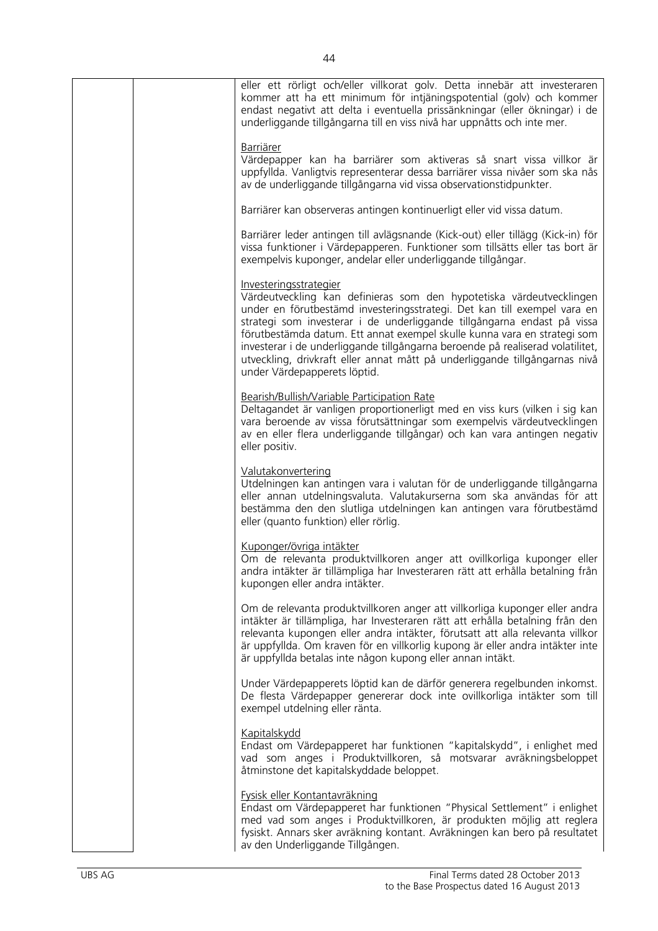| eller ett rörligt och/eller villkorat golv. Detta innebär att investeraren<br>kommer att ha ett minimum för intjäningspotential (golv) och kommer<br>endast negativt att delta i eventuella prissänkningar (eller ökningar) i de<br>underliggande tillgångarna till en viss nivå har uppnåtts och inte mer.                                                                                                                                                                                                                       |
|-----------------------------------------------------------------------------------------------------------------------------------------------------------------------------------------------------------------------------------------------------------------------------------------------------------------------------------------------------------------------------------------------------------------------------------------------------------------------------------------------------------------------------------|
| <b>Barriärer</b><br>Värdepapper kan ha barriärer som aktiveras så snart vissa villkor är<br>uppfyllda. Vanligtvis representerar dessa barriärer vissa nivåer som ska nås<br>av de underliggande tillgångarna vid vissa observationstidpunkter.                                                                                                                                                                                                                                                                                    |
| Barriärer kan observeras antingen kontinuerligt eller vid vissa datum.                                                                                                                                                                                                                                                                                                                                                                                                                                                            |
| Barriärer leder antingen till avlägsnande (Kick-out) eller tillägg (Kick-in) för<br>vissa funktioner i Värdepapperen. Funktioner som tillsätts eller tas bort är<br>exempelvis kuponger, andelar eller underliggande tillgångar.                                                                                                                                                                                                                                                                                                  |
| Investeringsstrategier<br>Värdeutveckling kan definieras som den hypotetiska värdeutvecklingen<br>under en förutbestämd investeringsstrategi. Det kan till exempel vara en<br>strategi som investerar i de underliggande tillgångarna endast på vissa<br>förutbestämda datum. Ett annat exempel skulle kunna vara en strategi som<br>investerar i de underliggande tillgångarna beroende på realiserad volatilitet,<br>utveckling, drivkraft eller annat mått på underliggande tillgångarnas nivå<br>under Värdepapperets löptid. |
| Bearish/Bullish/Variable Participation Rate<br>Deltagandet är vanligen proportionerligt med en viss kurs (vilken i sig kan<br>vara beroende av vissa förutsättningar som exempelvis värdeutvecklingen<br>av en eller flera underliggande tillgångar) och kan vara antingen negativ<br>eller positiv.                                                                                                                                                                                                                              |
| Valutakonvertering<br>Utdelningen kan antingen vara i valutan för de underliggande tillgångarna<br>eller annan utdelningsvaluta. Valutakurserna som ska användas för att<br>bestämma den den slutliga utdelningen kan antingen vara förutbestämd<br>eller (quanto funktion) eller rörlig.                                                                                                                                                                                                                                         |
| Kuponger/övriga intäkter<br>Om de relevanta produktvillkoren anger att ovillkorliga kuponger eller<br>andra intäkter är tillämpliga har Investeraren rätt att erhålla betalning från<br>kupongen eller andra intäkter.                                                                                                                                                                                                                                                                                                            |
| Om de relevanta produktvillkoren anger att villkorliga kuponger eller andra<br>intäkter är tillämpliga, har Investeraren rätt att erhålla betalning från den<br>relevanta kupongen eller andra intäkter, förutsatt att alla relevanta villkor<br>är uppfyllda. Om kraven för en villkorlig kupong är eller andra intäkter inte<br>är uppfyllda betalas inte någon kupong eller annan intäkt.                                                                                                                                      |
| Under Värdepapperets löptid kan de därför generera regelbunden inkomst.<br>De flesta Värdepapper genererar dock inte ovillkorliga intäkter som till<br>exempel utdelning eller ränta.                                                                                                                                                                                                                                                                                                                                             |
| Kapitalskydd<br>Endast om Värdepapperet har funktionen "kapitalskydd", i enlighet med<br>vad som anges i Produktvillkoren, så motsvarar avräkningsbeloppet<br>åtminstone det kapitalskyddade beloppet.                                                                                                                                                                                                                                                                                                                            |
| Fysisk eller Kontantavräkning<br>Endast om Värdepapperet har funktionen "Physical Settlement" i enlighet<br>med vad som anges i Produktvillkoren, är produkten möjlig att reglera<br>fysiskt. Annars sker avräkning kontant. Avräkningen kan bero på resultatet<br>av den Underliggande Tillgången.                                                                                                                                                                                                                               |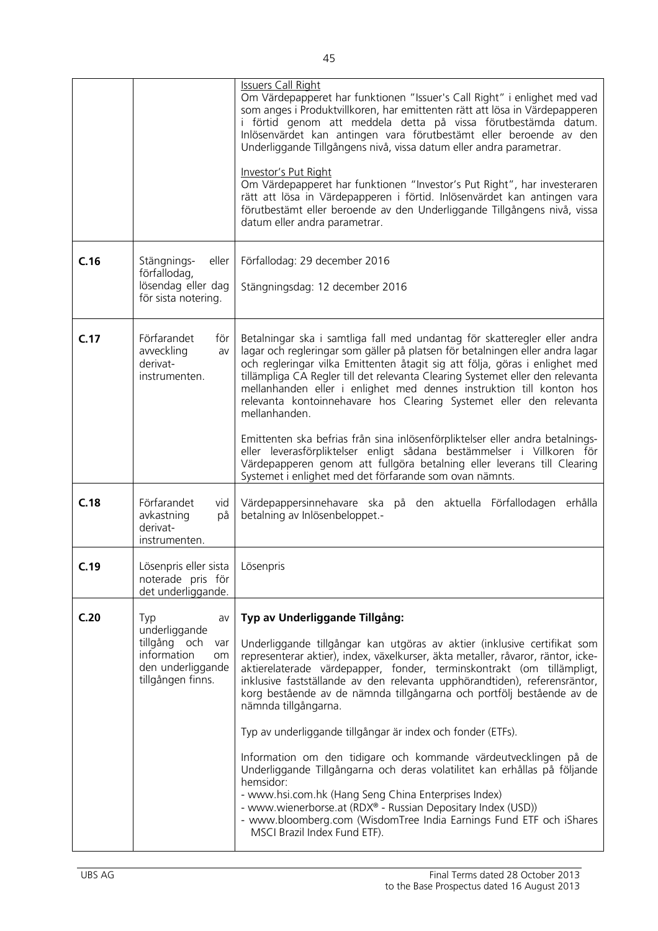|      |                                                                                                                  | <b>Issuers Call Right</b><br>Om Värdepapperet har funktionen "Issuer's Call Right" i enlighet med vad<br>som anges i Produktvillkoren, har emittenten rätt att lösa in Värdepapperen<br>i förtid genom att meddela detta på vissa förutbestämda datum.<br>Inlösenvärdet kan antingen vara förutbestämt eller beroende av den<br>Underliggande Tillgångens nivå, vissa datum eller andra parametrar.<br>Investor's Put Right<br>Om Värdepapperet har funktionen "Investor's Put Right", har investeraren<br>rätt att lösa in Värdepapperen i förtid. Inlösenvärdet kan antingen vara<br>förutbestämt eller beroende av den Underliggande Tillgångens nivå, vissa<br>datum eller andra parametrar.                                                                                                                                                                                                                  |
|------|------------------------------------------------------------------------------------------------------------------|-------------------------------------------------------------------------------------------------------------------------------------------------------------------------------------------------------------------------------------------------------------------------------------------------------------------------------------------------------------------------------------------------------------------------------------------------------------------------------------------------------------------------------------------------------------------------------------------------------------------------------------------------------------------------------------------------------------------------------------------------------------------------------------------------------------------------------------------------------------------------------------------------------------------|
| C.16 | Stängnings-<br>eller<br>förfallodag,<br>lösendag eller dag<br>för sista notering.                                | Förfallodag: 29 december 2016<br>Stängningsdag: 12 december 2016                                                                                                                                                                                                                                                                                                                                                                                                                                                                                                                                                                                                                                                                                                                                                                                                                                                  |
| C.17 | Förfarandet<br>för<br>avveckling<br>av<br>derivat-<br>instrumenten.                                              | Betalningar ska i samtliga fall med undantag för skatteregler eller andra<br>lagar och regleringar som gäller på platsen för betalningen eller andra lagar<br>och regleringar vilka Emittenten åtagit sig att följa, göras i enlighet med<br>tillämpliga CA Regler till det relevanta Clearing Systemet eller den relevanta<br>mellanhanden eller i enlighet med dennes instruktion till konton hos<br>relevanta kontoinnehavare hos Clearing Systemet eller den relevanta<br>mellanhanden.                                                                                                                                                                                                                                                                                                                                                                                                                       |
|      |                                                                                                                  | Emittenten ska befrias från sina inlösenförpliktelser eller andra betalnings-<br>eller leverasförpliktelser enligt sådana bestämmelser i Villkoren för<br>Värdepapperen genom att fullgöra betalning eller leverans till Clearing<br>Systemet i enlighet med det förfarande som ovan nämnts.                                                                                                                                                                                                                                                                                                                                                                                                                                                                                                                                                                                                                      |
| C.18 | Förfarandet<br>vid<br>avkastning<br>på<br>derivat-<br>instrumenten.                                              | Värdepappersinnehavare ska på den aktuella Förfallodagen erhålla<br>betalning av Inlösenbeloppet.-                                                                                                                                                                                                                                                                                                                                                                                                                                                                                                                                                                                                                                                                                                                                                                                                                |
| C.19 | Lösenpris eller sista   Lösenpris<br>noterade pris för<br>det underliggande.                                     |                                                                                                                                                                                                                                                                                                                                                                                                                                                                                                                                                                                                                                                                                                                                                                                                                                                                                                                   |
| C.20 | Typ<br>av<br>underliggande<br>tillgång och<br>var<br>information<br>om<br>den underliggande<br>tillgången finns. | Typ av Underliggande Tillgång:<br>Underliggande tillgångar kan utgöras av aktier (inklusive certifikat som<br>representerar aktier), index, växelkurser, äkta metaller, råvaror, räntor, icke-<br>aktierelaterade värdepapper, fonder, terminskontrakt (om tillämpligt,<br>inklusive fastställande av den relevanta upphörandtiden), referensräntor,<br>korg bestående av de nämnda tillgångarna och portfölj bestående av de<br>nämnda tillgångarna.<br>Typ av underliggande tillgångar är index och fonder (ETFs).<br>Information om den tidigare och kommande värdeutvecklingen på de<br>Underliggande Tillgångarna och deras volatilitet kan erhållas på följande<br>hemsidor:<br>- www.hsi.com.hk (Hang Seng China Enterprises Index)<br>- www.wienerborse.at (RDX® - Russian Depositary Index (USD))<br>- www.bloomberg.com (WisdomTree India Earnings Fund ETF och iShares<br>MSCI Brazil Index Fund ETF). |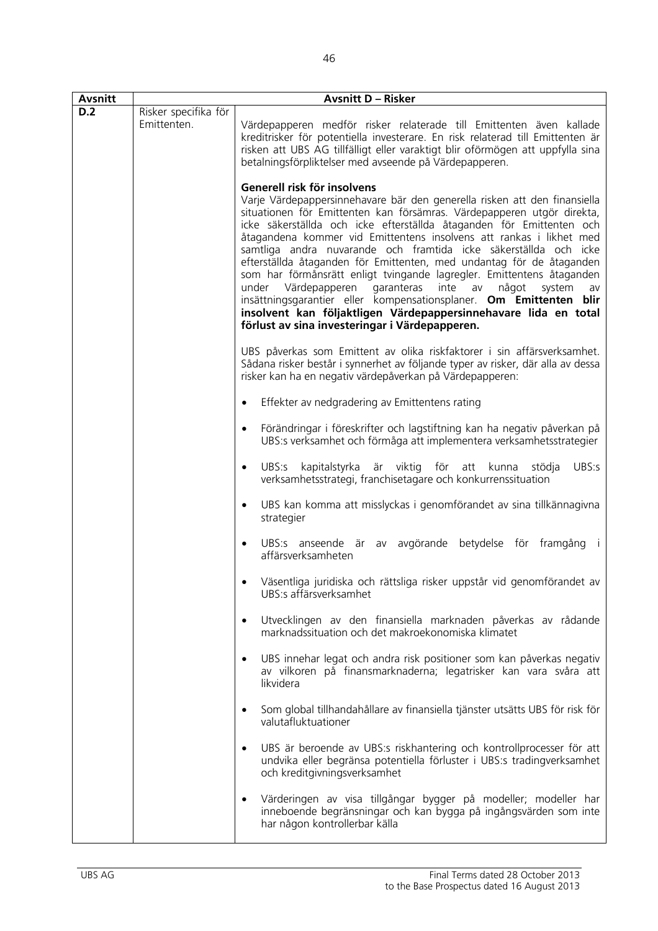| <b>Avsnitt</b> | <b>Avsnitt D - Risker</b>           |                                                                                                                                                                                                                                                                                                                                                                                                                                                                                                                                                                                                                                                                                                                                                                                                                               |  |
|----------------|-------------------------------------|-------------------------------------------------------------------------------------------------------------------------------------------------------------------------------------------------------------------------------------------------------------------------------------------------------------------------------------------------------------------------------------------------------------------------------------------------------------------------------------------------------------------------------------------------------------------------------------------------------------------------------------------------------------------------------------------------------------------------------------------------------------------------------------------------------------------------------|--|
| D.2            | Risker specifika för<br>Emittenten. | Värdepapperen medför risker relaterade till Emittenten även kallade<br>kreditrisker för potentiella investerare. En risk relaterad till Emittenten är<br>risken att UBS AG tillfälligt eller varaktigt blir oförmögen att uppfylla sina<br>betalningsförpliktelser med avseende på Värdepapperen.                                                                                                                                                                                                                                                                                                                                                                                                                                                                                                                             |  |
|                |                                     | Generell risk för insolvens<br>Varje Värdepappersinnehavare bär den generella risken att den finansiella<br>situationen för Emittenten kan försämras. Värdepapperen utgör direkta,<br>icke säkerställda och icke efterställda åtaganden för Emittenten och<br>åtagandena kommer vid Emittentens insolvens att rankas i likhet med<br>samtliga andra nuvarande och framtida icke säkerställda och icke<br>efterställda åtaganden för Emittenten, med undantag för de åtaganden<br>som har förmånsrätt enligt tvingande lagregler. Emittentens åtaganden<br>under Värdepapperen<br>garanteras<br>inte<br>av<br>något<br>system<br>av<br>insättningsgarantier eller kompensationsplaner. Om Emittenten blir<br>insolvent kan följaktligen Värdepappersinnehavare lida en total<br>förlust av sina investeringar i Värdepapperen. |  |
|                |                                     | UBS påverkas som Emittent av olika riskfaktorer i sin affärsverksamhet.<br>Sådana risker består i synnerhet av följande typer av risker, där alla av dessa<br>risker kan ha en negativ värdepåverkan på Värdepapperen:                                                                                                                                                                                                                                                                                                                                                                                                                                                                                                                                                                                                        |  |
|                |                                     | Effekter av nedgradering av Emittentens rating<br>$\bullet$                                                                                                                                                                                                                                                                                                                                                                                                                                                                                                                                                                                                                                                                                                                                                                   |  |
|                |                                     | Förändringar i föreskrifter och lagstiftning kan ha negativ påverkan på<br>$\bullet$<br>UBS:s verksamhet och förmåga att implementera verksamhetsstrategier                                                                                                                                                                                                                                                                                                                                                                                                                                                                                                                                                                                                                                                                   |  |
|                |                                     | UBS:s<br>kapitalstyrka är viktig<br>för<br>UBS:s<br>att<br>kunna<br>stödja<br>$\bullet$<br>verksamhetsstrategi, franchisetagare och konkurrenssituation                                                                                                                                                                                                                                                                                                                                                                                                                                                                                                                                                                                                                                                                       |  |
|                |                                     | UBS kan komma att misslyckas i genomförandet av sina tillkännagivna<br>$\bullet$<br>strategier                                                                                                                                                                                                                                                                                                                                                                                                                                                                                                                                                                                                                                                                                                                                |  |
|                |                                     | UBS:s anseende är av avgörande betydelse för framgång i<br>$\bullet$<br>affärsverksamheten                                                                                                                                                                                                                                                                                                                                                                                                                                                                                                                                                                                                                                                                                                                                    |  |
|                |                                     | Väsentliga juridiska och rättsliga risker uppstår vid genomförandet av<br>UBS:s affärsverksamhet                                                                                                                                                                                                                                                                                                                                                                                                                                                                                                                                                                                                                                                                                                                              |  |
|                |                                     | Utvecklingen av den finansiella marknaden påverkas av rådande<br>$\bullet$<br>marknadssituation och det makroekonomiska klimatet                                                                                                                                                                                                                                                                                                                                                                                                                                                                                                                                                                                                                                                                                              |  |
|                |                                     | UBS innehar legat och andra risk positioner som kan påverkas negativ<br>$\bullet$<br>av vilkoren på finansmarknaderna; legatrisker kan vara svåra att<br>likvidera                                                                                                                                                                                                                                                                                                                                                                                                                                                                                                                                                                                                                                                            |  |
|                |                                     | Som global tillhandahållare av finansiella tjänster utsätts UBS för risk för<br>valutafluktuationer                                                                                                                                                                                                                                                                                                                                                                                                                                                                                                                                                                                                                                                                                                                           |  |
|                |                                     | UBS är beroende av UBS:s riskhantering och kontrollprocesser för att<br>$\bullet$<br>undvika eller begränsa potentiella förluster i UBS:s tradingverksamhet<br>och kreditgivningsverksamhet                                                                                                                                                                                                                                                                                                                                                                                                                                                                                                                                                                                                                                   |  |
|                |                                     | Värderingen av visa tillgångar bygger på modeller; modeller har<br>inneboende begränsningar och kan bygga på ingångsvärden som inte<br>har någon kontrollerbar källa                                                                                                                                                                                                                                                                                                                                                                                                                                                                                                                                                                                                                                                          |  |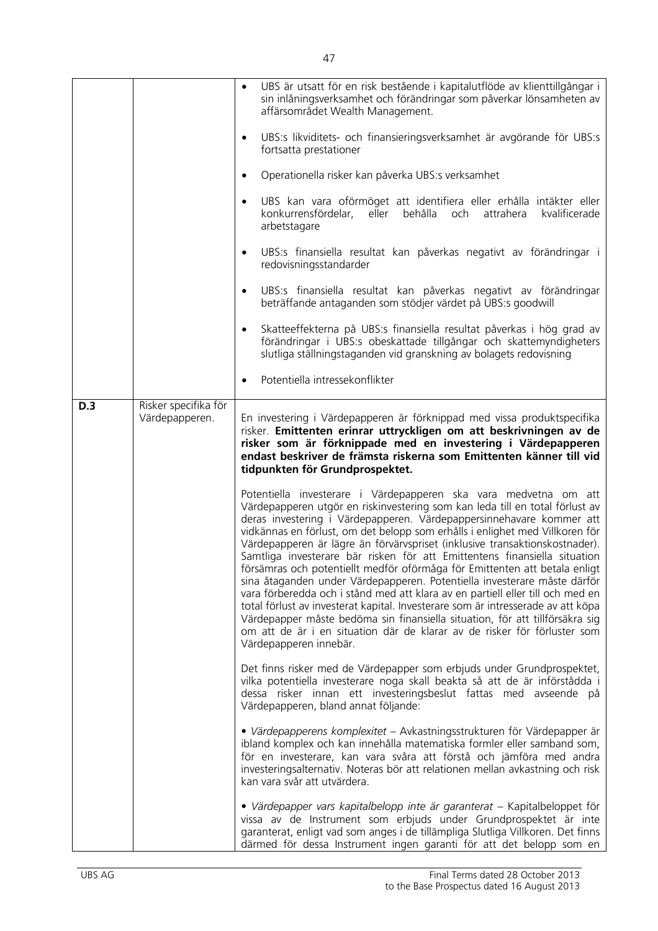|     |                                        | UBS är utsatt för en risk bestående i kapitalutflöde av klienttillgångar i<br>sin inlåningsverksamhet och förändringar som påverkar lönsamheten av<br>affärsområdet Wealth Management.                                                                                                                                                                                                                                                                                                                                                                                                                                                                                                                                                                                                                                                                                                                                                                                                     |
|-----|----------------------------------------|--------------------------------------------------------------------------------------------------------------------------------------------------------------------------------------------------------------------------------------------------------------------------------------------------------------------------------------------------------------------------------------------------------------------------------------------------------------------------------------------------------------------------------------------------------------------------------------------------------------------------------------------------------------------------------------------------------------------------------------------------------------------------------------------------------------------------------------------------------------------------------------------------------------------------------------------------------------------------------------------|
|     |                                        | UBS:s likviditets- och finansieringsverksamhet är avgörande för UBS:s<br>$\bullet$<br>fortsatta prestationer                                                                                                                                                                                                                                                                                                                                                                                                                                                                                                                                                                                                                                                                                                                                                                                                                                                                               |
|     |                                        | Operationella risker kan påverka UBS:s verksamhet<br>$\bullet$                                                                                                                                                                                                                                                                                                                                                                                                                                                                                                                                                                                                                                                                                                                                                                                                                                                                                                                             |
|     |                                        | UBS kan vara oförmöget att identifiera eller erhålla intäkter eller<br>$\bullet$<br>konkurrensfördelar, eller behålla och<br>attrahera<br>kvalificerade<br>arbetstagare                                                                                                                                                                                                                                                                                                                                                                                                                                                                                                                                                                                                                                                                                                                                                                                                                    |
|     |                                        | UBS:s finansiella resultat kan påverkas negativt av förändringar i<br>$\bullet$<br>redovisningsstandarder                                                                                                                                                                                                                                                                                                                                                                                                                                                                                                                                                                                                                                                                                                                                                                                                                                                                                  |
|     |                                        | UBS:s finansiella resultat kan påverkas negativt av förändringar<br>$\bullet$<br>beträffande antaganden som stödjer värdet på UBS:s goodwill                                                                                                                                                                                                                                                                                                                                                                                                                                                                                                                                                                                                                                                                                                                                                                                                                                               |
|     |                                        | Skatteeffekterna på UBS:s finansiella resultat påverkas i hög grad av<br>$\bullet$<br>förändringar i UBS:s obeskattade tillgångar och skattemyndigheters<br>slutliga ställningstaganden vid granskning av bolagets redovisning                                                                                                                                                                                                                                                                                                                                                                                                                                                                                                                                                                                                                                                                                                                                                             |
|     |                                        | Potentiella intressekonflikter<br>$\bullet$                                                                                                                                                                                                                                                                                                                                                                                                                                                                                                                                                                                                                                                                                                                                                                                                                                                                                                                                                |
| D.3 | Risker specifika för<br>Värdepapperen. | En investering i Värdepapperen är förknippad med vissa produktspecifika<br>risker. Emittenten erinrar uttryckligen om att beskrivningen av de<br>risker som är förknippade med en investering i Värdepapperen<br>endast beskriver de främsta riskerna som Emittenten känner till vid<br>tidpunkten för Grundprospektet.                                                                                                                                                                                                                                                                                                                                                                                                                                                                                                                                                                                                                                                                    |
|     |                                        | Potentiella investerare i Värdepapperen ska vara medvetna om att<br>Värdepapperen utgör en riskinvestering som kan leda till en total förlust av<br>deras investering i Värdepapperen. Värdepappersinnehavare kommer att<br>vidkännas en förlust, om det belopp som erhålls i enlighet med Villkoren för<br>Värdepapperen är lägre än förvärvspriset (inklusive transaktionskostnader).<br>Samtliga investerare bär risken för att Emittentens finansiella situation<br>försämras och potentiellt medför oförmåga för Emittenten att betala enligt<br>sina åtaganden under Värdepapperen. Potentiella investerare måste därför<br>vara förberedda och i stånd med att klara av en partiell eller till och med en<br>total förlust av investerat kapital. Investerare som är intresserade av att köpa<br>Värdepapper måste bedöma sin finansiella situation, för att tillförsäkra sig<br>om att de är i en situation där de klarar av de risker för förluster som<br>Värdepapperen innebär. |
|     |                                        | Det finns risker med de Värdepapper som erbjuds under Grundprospektet,<br>vilka potentiella investerare noga skall beakta så att de är införstådda i<br>dessa risker innan ett investeringsbeslut fattas med avseende på<br>Värdepapperen, bland annat följande:                                                                                                                                                                                                                                                                                                                                                                                                                                                                                                                                                                                                                                                                                                                           |
|     |                                        | · Värdepapperens komplexitet - Avkastningsstrukturen för Värdepapper är<br>ibland komplex och kan innehålla matematiska formler eller samband som,<br>för en investerare, kan vara svåra att förstå och jämföra med andra<br>investeringsalternativ. Noteras bör att relationen mellan avkastning och risk<br>kan vara svår att utvärdera.                                                                                                                                                                                                                                                                                                                                                                                                                                                                                                                                                                                                                                                 |
|     |                                        | · Värdepapper vars kapitalbelopp inte är garanterat – Kapitalbeloppet för<br>vissa av de Instrument som erbjuds under Grundprospektet är inte<br>garanterat, enligt vad som anges i de tillämpliga Slutliga Villkoren. Det finns<br>därmed för dessa Instrument ingen garanti för att det belopp som en                                                                                                                                                                                                                                                                                                                                                                                                                                                                                                                                                                                                                                                                                    |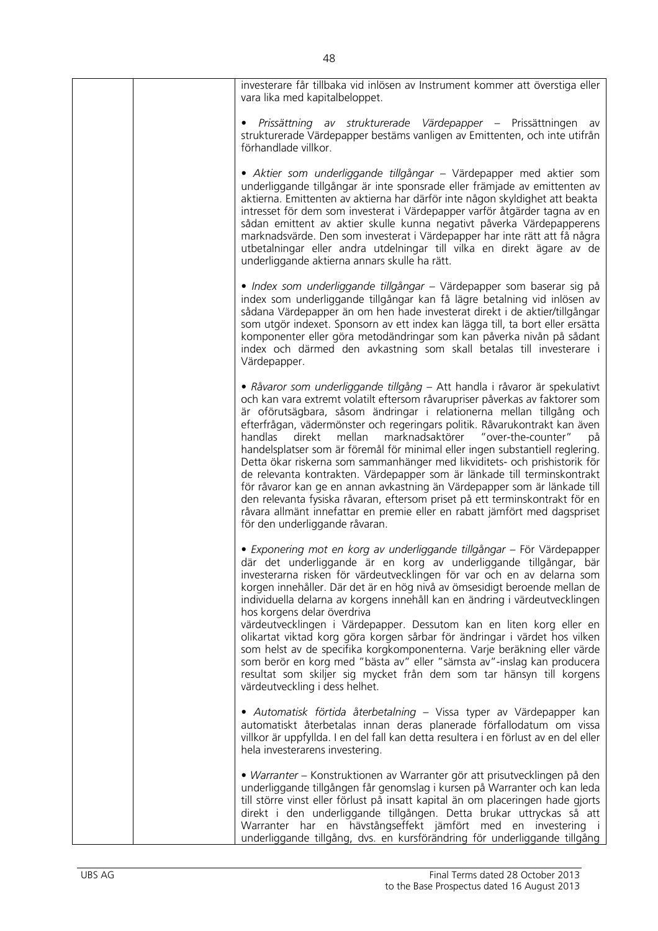| investerare får tillbaka vid inlösen av Instrument kommer att överstiga eller<br>vara lika med kapitalbeloppet.                                                                                                                                                                                                                                                                                                                                                                                                                                                                                                                                                                                                                                                                                                                                                                                                  |
|------------------------------------------------------------------------------------------------------------------------------------------------------------------------------------------------------------------------------------------------------------------------------------------------------------------------------------------------------------------------------------------------------------------------------------------------------------------------------------------------------------------------------------------------------------------------------------------------------------------------------------------------------------------------------------------------------------------------------------------------------------------------------------------------------------------------------------------------------------------------------------------------------------------|
| Prissättning av strukturerade Värdepapper – Prissättningen av<br>strukturerade Värdepapper bestäms vanligen av Emittenten, och inte utifrån<br>förhandlade villkor.                                                                                                                                                                                                                                                                                                                                                                                                                                                                                                                                                                                                                                                                                                                                              |
| • Aktier som underliggande tillgångar – Värdepapper med aktier som<br>underliggande tillgångar är inte sponsrade eller främjade av emittenten av<br>aktierna. Emittenten av aktierna har därför inte någon skyldighet att beakta<br>intresset för dem som investerat i Värdepapper varför åtgärder tagna av en<br>sådan emittent av aktier skulle kunna negativt påverka Värdepapperens<br>marknadsvärde. Den som investerat i Värdepapper har inte rätt att få några<br>utbetalningar eller andra utdelningar till vilka en direkt ägare av de<br>underliggande aktierna annars skulle ha rätt.                                                                                                                                                                                                                                                                                                                 |
| · Index som underliggande tillgångar – Värdepapper som baserar sig på<br>index som underliggande tillgångar kan få lägre betalning vid inlösen av<br>sådana Värdepapper än om hen hade investerat direkt i de aktier/tillgångar<br>som utgör indexet. Sponsorn av ett index kan lägga till, ta bort eller ersätta<br>komponenter eller göra metodändringar som kan påverka nivån på sådant<br>index och därmed den avkastning som skall betalas till investerare i<br>Värdepapper.                                                                                                                                                                                                                                                                                                                                                                                                                               |
| • Råvaror som underliggande tillgång - Att handla i råvaror är spekulativt<br>och kan vara extremt volatilt eftersom råvarupriser påverkas av faktorer som<br>är oförutsägbara, såsom ändringar i relationerna mellan tillgång och<br>efterfrågan, vädermönster och regeringars politik. Råvarukontrakt kan även<br>handlas<br>mellan marknadsaktörer "over-the-counter"<br>direkt<br>pă<br>handelsplatser som är föremål för minimal eller ingen substantiell reglering.<br>Detta ökar riskerna som sammanhänger med likviditets- och prishistorik för<br>de relevanta kontrakten. Värdepapper som är länkade till terminskontrakt<br>för råvaror kan ge en annan avkastning än Värdepapper som är länkade till<br>den relevanta fysiska råvaran, eftersom priset på ett terminskontrakt för en<br>råvara allmänt innefattar en premie eller en rabatt jämfört med dagspriset<br>för den underliggande råvaran. |
| • Exponering mot en korg av underliggande tillgångar - För Värdepapper<br>där det underliggande är en korg av underliggande tillgångar, bär<br>investerarna risken för värdeutvecklingen för var och en av delarna som<br>korgen innehåller. Där det är en hög nivå av ömsesidigt beroende mellan de<br>individuella delarna av korgens innehåll kan en ändring i värdeutvecklingen<br>hos korgens delar överdriva<br>värdeutvecklingen i Värdepapper. Dessutom kan en liten korg eller en<br>olikartat viktad korg göra korgen sårbar för ändringar i värdet hos vilken<br>som helst av de specifika korgkomponenterna. Varje beräkning eller värde<br>som berör en korg med "bästa av" eller "sämsta av"-inslag kan producera<br>resultat som skiljer sig mycket från dem som tar hänsyn till korgens<br>värdeutveckling i dess helhet.                                                                        |
| • Automatisk förtida återbetalning – Vissa typer av Värdepapper kan<br>automatiskt återbetalas innan deras planerade förfallodatum om vissa<br>villkor är uppfyllda. I en del fall kan detta resultera i en förlust av en del eller<br>hela investerarens investering.                                                                                                                                                                                                                                                                                                                                                                                                                                                                                                                                                                                                                                           |
| • Warranter – Konstruktionen av Warranter gör att prisutvecklingen på den<br>underliggande tillgången får genomslag i kursen på Warranter och kan leda<br>till större vinst eller förlust på insatt kapital än om placeringen hade gjorts<br>direkt i den underliggande tillgången. Detta brukar uttryckas så att<br>Warranter har en hävstångseffekt jämfört med en investering i<br>underliggande tillgång, dvs. en kursförändring för underliggande tillgång                                                                                                                                                                                                                                                                                                                                                                                                                                                  |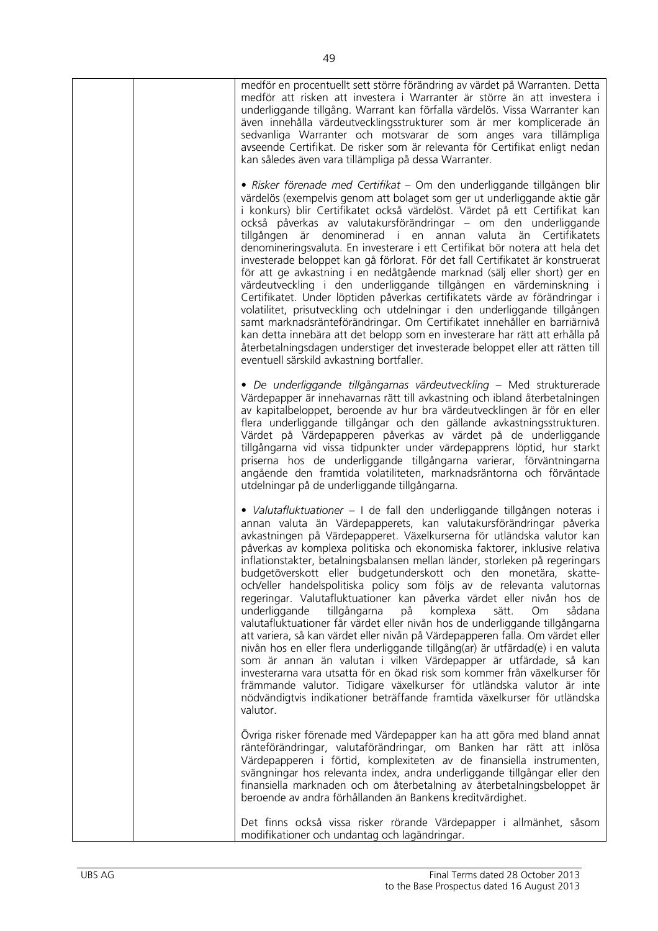| medför en procentuellt sett större förändring av värdet på Warranten. Detta<br>medför att risken att investera i Warranter är större än att investera i<br>underliggande tillgång. Warrant kan förfalla värdelös. Vissa Warranter kan<br>även innehålla värdeutvecklingsstrukturer som är mer komplicerade än<br>sedvanliga Warranter och motsvarar de som anges vara tillämpliga<br>avseende Certifikat. De risker som är relevanta för Certifikat enligt nedan<br>kan således även vara tillämpliga på dessa Warranter.                                                                                                                                                                                                                                                                                                                                                                                                                                                                                                                                                                                                                                                                                                                                           |
|---------------------------------------------------------------------------------------------------------------------------------------------------------------------------------------------------------------------------------------------------------------------------------------------------------------------------------------------------------------------------------------------------------------------------------------------------------------------------------------------------------------------------------------------------------------------------------------------------------------------------------------------------------------------------------------------------------------------------------------------------------------------------------------------------------------------------------------------------------------------------------------------------------------------------------------------------------------------------------------------------------------------------------------------------------------------------------------------------------------------------------------------------------------------------------------------------------------------------------------------------------------------|
| • Risker förenade med Certifikat – Om den underliggande tillgången blir<br>värdelös (exempelvis genom att bolaget som ger ut underliggande aktie går<br>i konkurs) blir Certifikatet också värdelöst. Värdet på ett Certifikat kan<br>också påverkas av valutakursförändringar – om den underliggande<br>tillgången är denominerad i en annan valuta än Certifikatets<br>denomineringsvaluta. En investerare i ett Certifikat bör notera att hela det<br>investerade beloppet kan gå förlorat. För det fall Certifikatet är konstruerat<br>för att ge avkastning i en nedåtgående marknad (sälj eller short) ger en<br>värdeutveckling i den underliggande tillgången en värdeminskning i<br>Certifikatet. Under löptiden påverkas certifikatets värde av förändringar i<br>volatilitet, prisutveckling och utdelningar i den underliggande tillgången<br>samt marknadsränteförändringar. Om Certifikatet innehåller en barriärnivå<br>kan detta innebära att det belopp som en investerare har rätt att erhålla på<br>återbetalningsdagen understiger det investerade beloppet eller att rätten till<br>eventuell särskild avkastning bortfaller.                                                                                                                  |
| · De underliggande tillgångarnas värdeutveckling - Med strukturerade<br>Värdepapper är innehavarnas rätt till avkastning och ibland återbetalningen<br>av kapitalbeloppet, beroende av hur bra värdeutvecklingen är för en eller<br>flera underliggande tillgångar och den gällande avkastningsstrukturen.<br>Värdet på Värdepapperen påverkas av värdet på de underliggande<br>tillgångarna vid vissa tidpunkter under värdepapprens löptid, hur starkt<br>priserna hos de underliggande tillgångarna varierar, förväntningarna<br>angående den framtida volatiliteten, marknadsräntorna och förväntade<br>utdelningar på de underliggande tillgångarna.                                                                                                                                                                                                                                                                                                                                                                                                                                                                                                                                                                                                           |
| • Valutafluktuationer – I de fall den underliggande tillgången noteras i<br>annan valuta än Värdepapperets, kan valutakursförändringar påverka<br>avkastningen på Värdepapperet. Växelkurserna för utländska valutor kan<br>påverkas av komplexa politiska och ekonomiska faktorer, inklusive relativa<br>inflationstakter, betalningsbalansen mellan länder, storleken på regeringars<br>budgetöverskott eller budgetunderskott och den monetära, skatte-<br>och/eller handelspolitiska policy som följs av de relevanta valutornas<br>regeringar. Valutafluktuationer kan påverka värdet eller nivån hos de<br>tillgångarna<br>underliggande<br>komplexa<br>sådana<br>sätt.<br>Om.<br>på<br>valutafluktuationer får värdet eller nivån hos de underliggande tillgångarna<br>att variera, så kan värdet eller nivån på Värdepapperen falla. Om värdet eller<br>nivån hos en eller flera underliggande tillgång(ar) är utfärdad(e) i en valuta<br>som är annan än valutan i vilken Värdepapper är utfärdade, så kan<br>investerarna vara utsatta för en ökad risk som kommer från växelkurser för<br>främmande valutor. Tidigare växelkurser för utländska valutor är inte<br>nödvändigtvis indikationer beträffande framtida växelkurser för utländska<br>valutor. |
| Övriga risker förenade med Värdepapper kan ha att göra med bland annat<br>ränteförändringar, valutaförändringar, om Banken har rätt att inlösa<br>Värdepapperen i förtid, komplexiteten av de finansiella instrumenten,<br>svängningar hos relevanta index, andra underliggande tillgångar eller den<br>finansiella marknaden och om återbetalning av återbetalningsbeloppet är<br>beroende av andra förhållanden än Bankens kreditvärdighet.                                                                                                                                                                                                                                                                                                                                                                                                                                                                                                                                                                                                                                                                                                                                                                                                                       |
| Det finns också vissa risker rörande Värdepapper i allmänhet, såsom<br>modifikationer och undantag och lagändringar.                                                                                                                                                                                                                                                                                                                                                                                                                                                                                                                                                                                                                                                                                                                                                                                                                                                                                                                                                                                                                                                                                                                                                |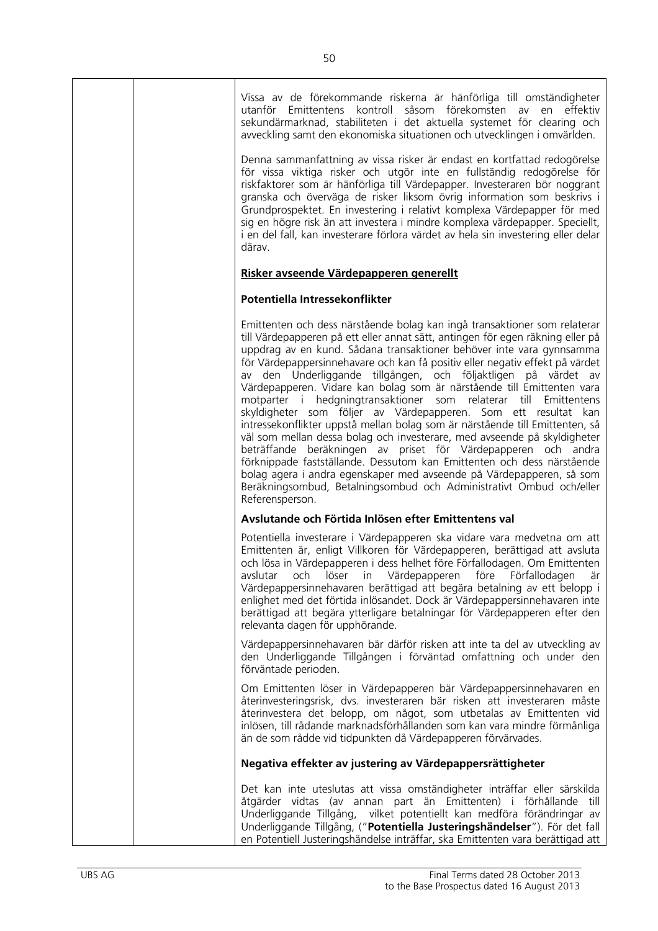|  | Vissa av de förekommande riskerna är hänförliga till omständigheter<br>utanför Emittentens kontroll såsom förekomsten<br>av<br>en<br>effektiv<br>sekundärmarknad, stabiliteten i det aktuella systemet för clearing och<br>avveckling samt den ekonomiska situationen och utvecklingen i omvärlden.<br>Denna sammanfattning av vissa risker är endast en kortfattad redogörelse<br>för vissa viktiga risker och utgör inte en fullständig redogörelse för<br>riskfaktorer som är hänförliga till Värdepapper. Investeraren bör noggrant<br>granska och överväga de risker liksom övrig information som beskrivs i<br>Grundprospektet. En investering i relativt komplexa Värdepapper för med<br>sig en högre risk än att investera i mindre komplexa värdepapper. Speciellt,<br>i en del fall, kan investerare förlora värdet av hela sin investering eller delar<br>därav.                                                                                                                                                                                                    |
|--|--------------------------------------------------------------------------------------------------------------------------------------------------------------------------------------------------------------------------------------------------------------------------------------------------------------------------------------------------------------------------------------------------------------------------------------------------------------------------------------------------------------------------------------------------------------------------------------------------------------------------------------------------------------------------------------------------------------------------------------------------------------------------------------------------------------------------------------------------------------------------------------------------------------------------------------------------------------------------------------------------------------------------------------------------------------------------------|
|  | Risker avseende Värdepapperen generellt                                                                                                                                                                                                                                                                                                                                                                                                                                                                                                                                                                                                                                                                                                                                                                                                                                                                                                                                                                                                                                        |
|  | Potentiella Intressekonflikter                                                                                                                                                                                                                                                                                                                                                                                                                                                                                                                                                                                                                                                                                                                                                                                                                                                                                                                                                                                                                                                 |
|  | Emittenten och dess närstående bolag kan ingå transaktioner som relaterar<br>till Värdepapperen på ett eller annat sätt, antingen för egen räkning eller på<br>uppdrag av en kund. Sådana transaktioner behöver inte vara gynnsamma<br>för Värdepappersinnehavare och kan få positiv eller negativ effekt på värdet<br>av den Underliggande tillgången, och följaktligen på värdet av<br>Värdepapperen. Vidare kan bolag som är närstående till Emittenten vara<br>motparter i hedgningtransaktioner som relaterar till Emittentens<br>skyldigheter som följer av Värdepapperen. Som ett resultat kan<br>intressekonflikter uppstå mellan bolag som är närstående till Emittenten, så<br>väl som mellan dessa bolag och investerare, med avseende på skyldigheter<br>beträffande beräkningen av priset för Värdepapperen och andra<br>förknippade fastställande. Dessutom kan Emittenten och dess närstående<br>bolag agera i andra egenskaper med avseende på Värdepapperen, så som<br>Beräkningsombud, Betalningsombud och Administrativt Ombud och/eller<br>Referensperson. |
|  | Avslutande och Förtida Inlösen efter Emittentens val                                                                                                                                                                                                                                                                                                                                                                                                                                                                                                                                                                                                                                                                                                                                                                                                                                                                                                                                                                                                                           |
|  | Potentiella investerare i Värdepapperen ska vidare vara medvetna om att<br>Emittenten är, enligt Villkoren för Värdepapperen, berättigad att avsluta<br>och lösa in Värdepapperen i dess helhet före Förfallodagen. Om Emittenten<br>löser in Värdepapperen före<br>Förfallodagen<br>avslutar<br>och<br>är<br>Värdepappersinnehavaren berättigad att begära betalning av ett belopp i<br>enlighet med det förtida inlösandet. Dock är Värdepappersinnehavaren inte<br>berättigad att begära ytterligare betalningar för Värdepapperen efter den<br>relevanta dagen för upphörande.                                                                                                                                                                                                                                                                                                                                                                                                                                                                                             |
|  | Värdepappersinnehavaren bär därför risken att inte ta del av utveckling av<br>den Underliggande Tillgången i förväntad omfattning och under den<br>förväntade perioden.                                                                                                                                                                                                                                                                                                                                                                                                                                                                                                                                                                                                                                                                                                                                                                                                                                                                                                        |
|  | Om Emittenten löser in Värdepapperen bär Värdepappersinnehavaren en<br>återinvesteringsrisk, dvs. investeraren bär risken att investeraren måste<br>återinvestera det belopp, om något, som utbetalas av Emittenten vid<br>inlösen, till rådande marknadsförhållanden som kan vara mindre förmånliga<br>än de som rådde vid tidpunkten då Värdepapperen förvärvades.                                                                                                                                                                                                                                                                                                                                                                                                                                                                                                                                                                                                                                                                                                           |
|  | Negativa effekter av justering av Värdepappersrättigheter                                                                                                                                                                                                                                                                                                                                                                                                                                                                                                                                                                                                                                                                                                                                                                                                                                                                                                                                                                                                                      |
|  | Det kan inte uteslutas att vissa omständigheter inträffar eller särskilda<br>åtgärder vidtas (av annan part än Emittenten) i förhållande till<br>Underliggande Tillgång, vilket potentiellt kan medföra förändringar av<br>Underliggande Tillgång, ("Potentiella Justeringshändelser"). För det fall<br>en Potentiell Justeringshändelse inträffar, ska Emittenten vara berättigad att                                                                                                                                                                                                                                                                                                                                                                                                                                                                                                                                                                                                                                                                                         |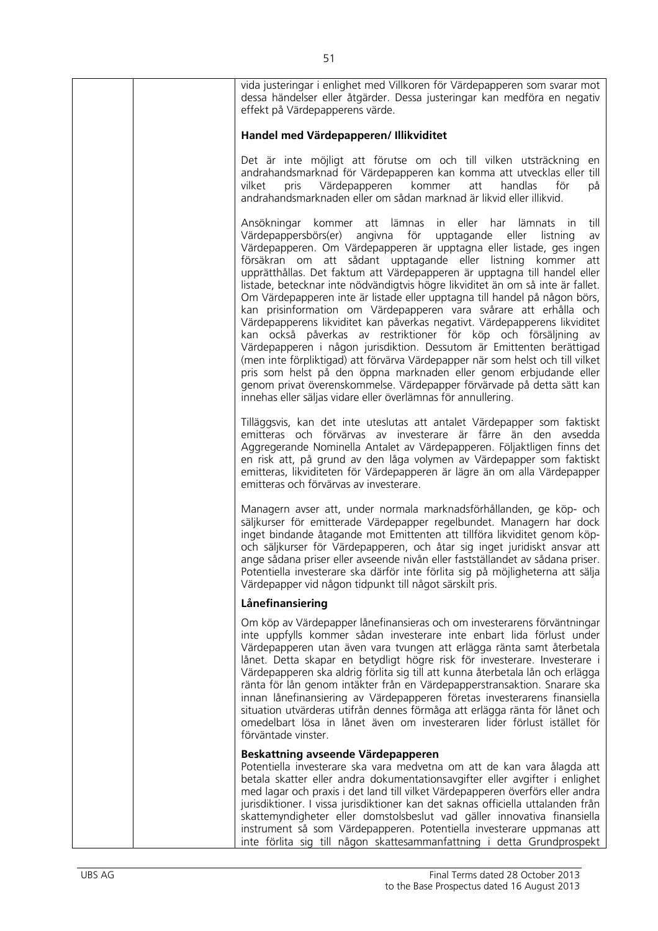| vida justeringar i enlighet med Villkoren för Värdepapperen som svarar mot<br>dessa händelser eller åtgärder. Dessa justeringar kan medföra en negativ<br>effekt på Värdepapperens värde.                                                                                                                                                                                                                                                                                                                                                                                                                                                                                                                                                                                                                                                                                                                                                                                                                                                                                                                                             |
|---------------------------------------------------------------------------------------------------------------------------------------------------------------------------------------------------------------------------------------------------------------------------------------------------------------------------------------------------------------------------------------------------------------------------------------------------------------------------------------------------------------------------------------------------------------------------------------------------------------------------------------------------------------------------------------------------------------------------------------------------------------------------------------------------------------------------------------------------------------------------------------------------------------------------------------------------------------------------------------------------------------------------------------------------------------------------------------------------------------------------------------|
| Handel med Värdepapperen/ Illikviditet                                                                                                                                                                                                                                                                                                                                                                                                                                                                                                                                                                                                                                                                                                                                                                                                                                                                                                                                                                                                                                                                                                |
| Det är inte möjligt att förutse om och till vilken utsträckning en<br>andrahandsmarknad för Värdepapperen kan komma att utvecklas eller till<br>Värdepapperen kommer<br>att<br>handlas<br>för<br>pris<br>på<br>vilket<br>andrahandsmarknaden eller om sådan marknad är likvid eller illikvid.                                                                                                                                                                                                                                                                                                                                                                                                                                                                                                                                                                                                                                                                                                                                                                                                                                         |
| till<br>Ansökningar kommer att lämnas in eller<br>har lämnats<br>in.<br>Värdepappersbörs(er) angivna för<br>upptagande eller<br>listning<br>av<br>Värdepapperen. Om Värdepapperen är upptagna eller listade, ges ingen<br>försäkran om att sådant upptagande eller listning kommer att<br>upprätthållas. Det faktum att Värdepapperen är upptagna till handel eller<br>listade, betecknar inte nödvändigtvis högre likviditet än om så inte är fallet.<br>Om Värdepapperen inte är listade eller upptagna till handel på någon börs,<br>kan prisinformation om Värdepapperen vara svårare att erhålla och<br>Värdepapperens likviditet kan påverkas negativt. Värdepapperens likviditet<br>kan också påverkas av restriktioner för köp och försäljning av<br>Värdepapperen i någon jurisdiktion. Dessutom är Emittenten berättigad<br>(men inte förpliktigad) att förvärva Värdepapper när som helst och till vilket<br>pris som helst på den öppna marknaden eller genom erbjudande eller<br>genom privat överenskommelse. Värdepapper förvärvade på detta sätt kan<br>innehas eller säljas vidare eller överlämnas för annullering. |
| Tilläggsvis, kan det inte uteslutas att antalet Värdepapper som faktiskt<br>emitteras och förvärvas av investerare är färre än den avsedda<br>Aggregerande Nominella Antalet av Värdepapperen. Följaktligen finns det<br>en risk att, på grund av den låga volymen av Värdepapper som faktiskt<br>emitteras, likviditeten för Värdepapperen är lägre än om alla Värdepapper<br>emitteras och förvärvas av investerare.                                                                                                                                                                                                                                                                                                                                                                                                                                                                                                                                                                                                                                                                                                                |
| Managern avser att, under normala marknadsförhållanden, ge köp- och<br>säljkurser för emitterade Värdepapper regelbundet. Managern har dock<br>inget bindande åtagande mot Emittenten att tillföra likviditet genom köp-<br>och säljkurser för Värdepapperen, och åtar sig inget juridiskt ansvar att<br>ange sådana priser eller avseende nivån eller fastställandet av sådana priser.<br>Potentiella investerare ska därför inte förlita sig på möjligheterna att sälja<br>Värdepapper vid någon tidpunkt till något särskilt pris.                                                                                                                                                                                                                                                                                                                                                                                                                                                                                                                                                                                                 |
| Lånefinansiering                                                                                                                                                                                                                                                                                                                                                                                                                                                                                                                                                                                                                                                                                                                                                                                                                                                                                                                                                                                                                                                                                                                      |
| Om köp av Värdepapper lånefinansieras och om investerarens förväntningar<br>inte uppfylls kommer sådan investerare inte enbart lida förlust under<br>Värdepapperen utan även vara tvungen att erlägga ränta samt återbetala<br>lånet. Detta skapar en betydligt högre risk för investerare. Investerare i<br>Värdepapperen ska aldrig förlita sig till att kunna återbetala lån och erlägga<br>ränta för lån genom intäkter från en Värdepapperstransaktion. Snarare ska<br>innan lånefinansiering av Värdepapperen företas investerarens finansiella<br>situation utvärderas utifrån dennes förmåga att erlägga ränta för lånet och<br>omedelbart lösa in lånet även om investeraren lider förlust istället för<br>förväntade vinster.                                                                                                                                                                                                                                                                                                                                                                                               |
| Beskattning avseende Värdepapperen<br>Potentiella investerare ska vara medvetna om att de kan vara ålagda att<br>betala skatter eller andra dokumentationsavgifter eller avgifter i enlighet<br>med lagar och praxis i det land till vilket Värdepapperen överförs eller andra<br>jurisdiktioner. I vissa jurisdiktioner kan det saknas officiella uttalanden från<br>skattemyndigheter eller domstolsbeslut vad gäller innovativa finansiella<br>instrument så som Värdepapperen. Potentiella investerare uppmanas att<br>inte förlita sig till någon skattesammanfattning i detta Grundprospekt                                                                                                                                                                                                                                                                                                                                                                                                                                                                                                                                     |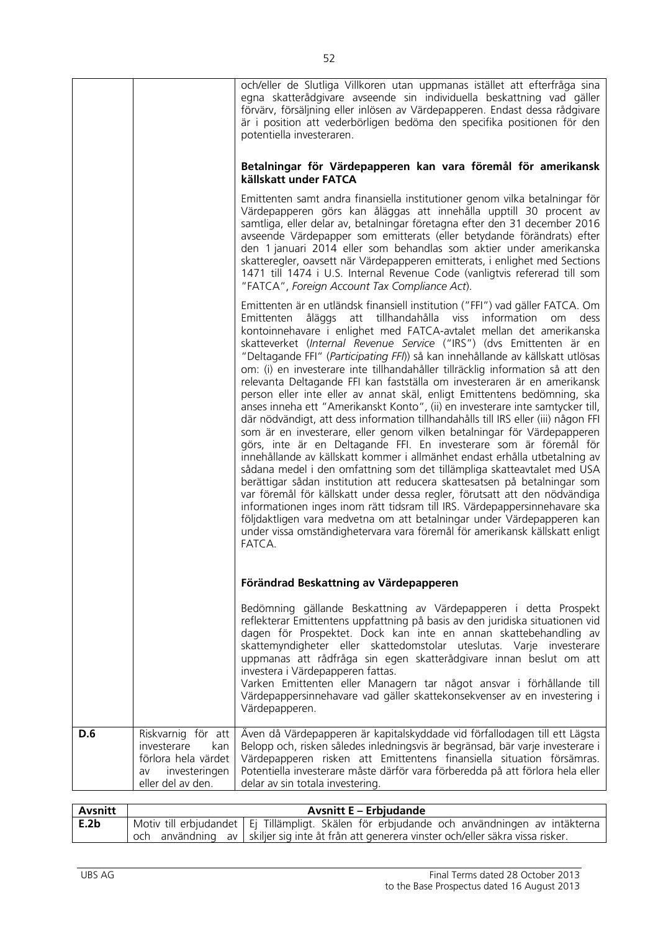|     |                                                                                                             | och/eller de Slutliga Villkoren utan uppmanas istället att efterfråga sina<br>egna skatterådgivare avseende sin individuella beskattning vad gäller<br>förvärv, försäljning eller inlösen av Värdepapperen. Endast dessa rådgivare<br>är i position att vederbörligen bedöma den specifika positionen för den<br>potentiella investeraren.<br>Betalningar för Värdepapperen kan vara föremål för amerikansk<br>källskatt under FATCA<br>Emittenten samt andra finansiella institutioner genom vilka betalningar för<br>Värdepapperen görs kan åläggas att innehålla upptill 30 procent av<br>samtliga, eller delar av, betalningar företagna efter den 31 december 2016<br>avseende Värdepapper som emitterats (eller betydande förändrats) efter<br>den 1 januari 2014 eller som behandlas som aktier under amerikanska<br>skatteregler, oavsett när Värdepapperen emitterats, i enlighet med Sections<br>1471 till 1474 i U.S. Internal Revenue Code (vanligtvis refererad till som<br>"FATCA", Foreign Account Tax Compliance Act).<br>Emittenten är en utländsk finansiell institution ("FFI") vad gäller FATCA. Om<br>åläggs att tillhandahålla viss information<br>Emittenten<br>dess<br>om<br>kontoinnehavare i enlighet med FATCA-avtalet mellan det amerikanska<br>skatteverket (Internal Revenue Service ("IRS") (dvs Emittenten är en<br>"Deltagande FFI" (Participating FFI)) så kan innehållande av källskatt utlösas<br>om: (i) en investerare inte tillhandahåller tillräcklig information så att den<br>relevanta Deltagande FFI kan fastställa om investeraren är en amerikansk<br>person eller inte eller av annat skäl, enligt Emittentens bedömning, ska<br>anses inneha ett "Amerikanskt Konto", (ii) en investerare inte samtycker till,<br>där nödvändigt, att dess information tillhandahålls till IRS eller (iii) någon FFI<br>som är en investerare, eller genom vilken betalningar för Värdepapperen<br>görs, inte är en Deltagande FFI. En investerare som är föremål för<br>innehållande av källskatt kommer i allmänhet endast erhålla utbetalning av<br>sådana medel i den omfattning som det tillämpliga skatteavtalet med USA<br>berättigar sådan institution att reducera skattesatsen på betalningar som<br>var föremål för källskatt under dessa regler, förutsatt att den nödvändiga<br>informationen inges inom rätt tidsram till IRS. Värdepappersinnehavare ska<br>följdaktligen vara medvetna om att betalningar under Värdepapperen kan<br>under vissa omständighetervara vara föremål för amerikansk källskatt enligt<br>FATCA.<br>Förändrad Beskattning av Värdepapperen<br>Bedömning gällande Beskattning av Värdepapperen i detta Prospekt<br>reflekterar Emittentens uppfattning på basis av den juridiska situationen vid<br>dagen för Prospektet. Dock kan inte en annan skattebehandling av<br>skattemyndigheter eller skattedomstolar uteslutas. Varje investerare<br>uppmanas att rådfråga sin egen skatterådgivare innan beslut om att |
|-----|-------------------------------------------------------------------------------------------------------------|---------------------------------------------------------------------------------------------------------------------------------------------------------------------------------------------------------------------------------------------------------------------------------------------------------------------------------------------------------------------------------------------------------------------------------------------------------------------------------------------------------------------------------------------------------------------------------------------------------------------------------------------------------------------------------------------------------------------------------------------------------------------------------------------------------------------------------------------------------------------------------------------------------------------------------------------------------------------------------------------------------------------------------------------------------------------------------------------------------------------------------------------------------------------------------------------------------------------------------------------------------------------------------------------------------------------------------------------------------------------------------------------------------------------------------------------------------------------------------------------------------------------------------------------------------------------------------------------------------------------------------------------------------------------------------------------------------------------------------------------------------------------------------------------------------------------------------------------------------------------------------------------------------------------------------------------------------------------------------------------------------------------------------------------------------------------------------------------------------------------------------------------------------------------------------------------------------------------------------------------------------------------------------------------------------------------------------------------------------------------------------------------------------------------------------------------------------------------------------------------------------------------------------------------------------------------------------------------------------------------------------------------------------------------------------------------------------------------------------------------------------------------------------------------------------------------------------------------------------------------------------------------------------------------------------------------------------------------------------------------|
|     |                                                                                                             | investera i Värdepapperen fattas.<br>Varken Emittenten eller Managern tar något ansvar i förhållande till<br>Värdepappersinnehavare vad gäller skattekonsekvenser av en investering i<br>Värdepapperen.                                                                                                                                                                                                                                                                                                                                                                                                                                                                                                                                                                                                                                                                                                                                                                                                                                                                                                                                                                                                                                                                                                                                                                                                                                                                                                                                                                                                                                                                                                                                                                                                                                                                                                                                                                                                                                                                                                                                                                                                                                                                                                                                                                                                                                                                                                                                                                                                                                                                                                                                                                                                                                                                                                                                                                                     |
| D.6 | Riskvarnig för att<br>investerare<br>kan<br>förlora hela värdet<br>investeringen<br>av<br>eller del av den. | Även då Värdepapperen är kapitalskyddade vid förfallodagen till ett Lägsta<br>Belopp och, risken således inledningsvis är begränsad, bär varje investerare i<br>Värdepapperen risken att Emittentens finansiella situation försämras.<br>Potentiella investerare måste därför vara förberedda på att förlora hela eller<br>delar av sin totala investering.                                                                                                                                                                                                                                                                                                                                                                                                                                                                                                                                                                                                                                                                                                                                                                                                                                                                                                                                                                                                                                                                                                                                                                                                                                                                                                                                                                                                                                                                                                                                                                                                                                                                                                                                                                                                                                                                                                                                                                                                                                                                                                                                                                                                                                                                                                                                                                                                                                                                                                                                                                                                                                 |

| Avsnitt | <b>Avsnitt E – Erbjudande</b> |                                                                                               |
|---------|-------------------------------|-----------------------------------------------------------------------------------------------|
| E.2b    |                               | Motiv till erbjudandet   Ej Tillämpligt. Skälen för erbjudande och användningen av intäkterna |
|         |                               | och användning av Skiljer sig inte åt från att generera vinster och/eller säkra vissa risker. |